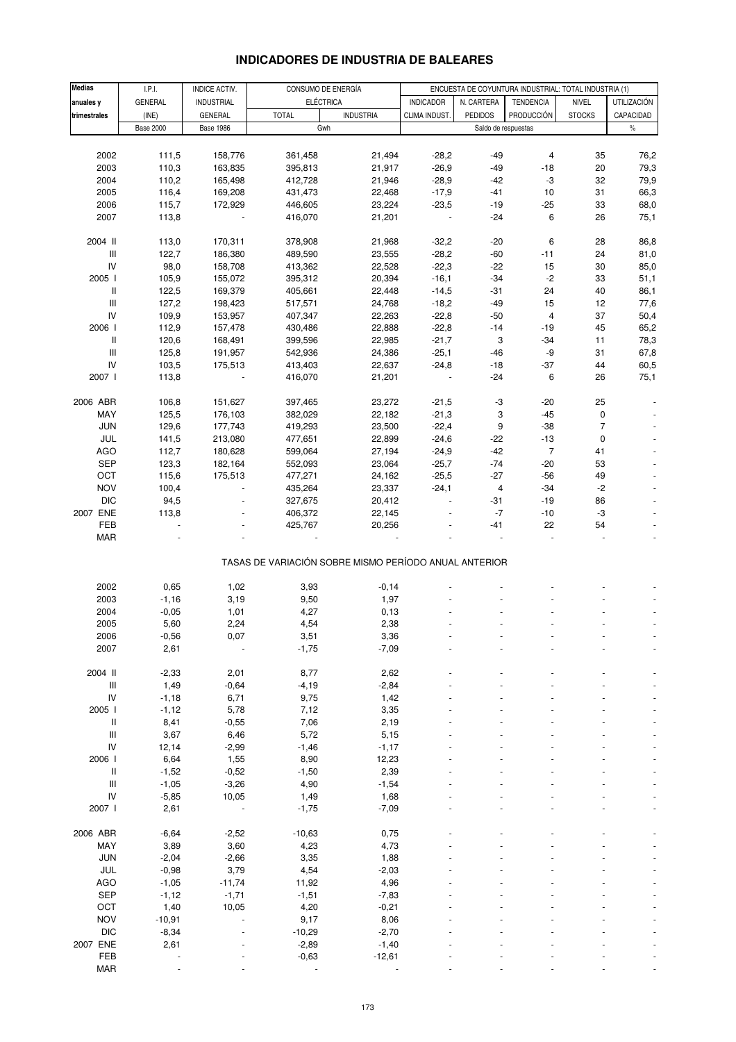# **INDICADORES DE INDUSTRIA DE BALEARES**

| <b>Medias</b>                            | I.P.I.           | INDICE ACTIV.      | CONSUMO DE ENERGÍA                                    |                  | ENCUESTA DE COYUNTURA INDUSTRIAL: TOTAL INDUSTRIA (1) |                     |                  |                |                    |
|------------------------------------------|------------------|--------------------|-------------------------------------------------------|------------------|-------------------------------------------------------|---------------------|------------------|----------------|--------------------|
| anuales y                                | <b>GENERAL</b>   | <b>INDUSTRIAL</b>  | <b>ELÉCTRICA</b>                                      |                  | <b>INDICADOR</b>                                      | N. CARTERA          | <b>TENDENCIA</b> | <b>NIVEL</b>   | <b>UTILIZACIÓN</b> |
| trimestrales                             | (INE)            | <b>GENERAL</b>     | <b>TOTAL</b>                                          | <b>INDUSTRIA</b> | CLIMA INDUST.                                         | <b>PEDIDOS</b>      | PRODUCCIÓN       | <b>STOCKS</b>  | CAPACIDAD          |
|                                          | <b>Base 2000</b> | <b>Base 1986</b>   | Gwh                                                   |                  |                                                       | Saldo de respuestas |                  |                | $\frac{0}{0}$      |
|                                          |                  |                    |                                                       |                  |                                                       |                     |                  |                |                    |
| 2002                                     | 111,5            | 158,776            | 361,458                                               | 21,494           | $-28,2$                                               | $-49$               | 4                | 35             | 76,2               |
| 2003                                     | 110,3            | 163,835            | 395,813                                               | 21,917           | $-26,9$                                               | $-49$               | -18              | 20             | 79,3               |
| 2004                                     | 110,2            | 165,498            | 412,728                                               | 21,946           | $-28,9$                                               | $-42$               | -3               | 32             | 79,9               |
| 2005                                     | 116,4            | 169,208            | 431,473                                               | 22,468           | $-17,9$                                               | $-41$               | 10               | 31             | 66,3               |
| 2006                                     | 115,7            | 172,929            | 446,605                                               | 23,224           | $-23,5$                                               | $-19$               | $-25$            | 33             | 68,0               |
| 2007                                     | 113,8            |                    | 416,070                                               | 21,201           |                                                       | $-24$               | 6                | 26             | 75,1               |
|                                          |                  |                    |                                                       |                  |                                                       |                     |                  |                |                    |
| 2004 II                                  | 113,0            | 170,311            | 378,908                                               | 21,968           | $-32,2$                                               | $-20$               | 6                | 28             | 86,8               |
| $\ensuremath{\mathsf{III}}\xspace$<br>IV | 122,7<br>98,0    | 186,380<br>158,708 | 489,590<br>413,362                                    | 23,555<br>22,528 | $-28,2$<br>$-22,3$                                    | $-60$<br>$-22$      | $-11$<br>15      | 24<br>30       | 81,0<br>85,0       |
| 2005                                     | 105,9            | 155,072            | 395,312                                               | 20,394           | $-16,1$                                               | $-34$               | $-2$             | 33             | 51,1               |
| Ш                                        | 122,5            | 169,379            | 405,661                                               | 22,448           | $-14,5$                                               | $-31$               | 24               | 40             | 86,1               |
| $\mathbf{III}$                           | 127,2            | 198,423            | 517,571                                               | 24,768           | $-18,2$                                               | $-49$               | 15               | 12             | 77,6               |
| ${\sf IV}$                               | 109,9            | 153,957            | 407,347                                               | 22,263           | $-22,8$                                               | $-50$               | $\overline{4}$   | 37             | 50,4               |
| 2006 l                                   | 112,9            | 157,478            | 430,486                                               | 22,888           | $-22,8$                                               | $-14$               | -19              | 45             | 65,2               |
| Ш                                        | 120,6            | 168,491            | 399,596                                               | 22,985           | $-21,7$                                               | 3                   | $-34$            | 11             | 78,3               |
| $\ensuremath{\mathsf{III}}\xspace$       | 125,8            | 191,957            | 542,936                                               | 24,386           | $-25,1$                                               | $-46$               | -9               | 31             | 67,8               |
| ${\sf IV}$                               | 103,5            | 175,513            | 413,403                                               | 22,637           | $-24,8$                                               | $-18$               | $-37$            | 44             | 60,5               |
| 2007 l                                   | 113,8            |                    | 416,070                                               | 21,201           |                                                       | $-24$               | 6                | 26             | 75,1               |
|                                          |                  |                    |                                                       |                  |                                                       |                     |                  |                |                    |
| 2006 ABR                                 | 106,8            | 151,627            | 397,465                                               | 23,272           | $-21,5$                                               | -3                  | -20              | 25             |                    |
| MAY                                      | 125,5            | 176,103            | 382,029                                               | 22,182           | $-21,3$                                               | 3                   | -45              | 0              |                    |
| JUN                                      | 129,6            | 177,743            | 419,293                                               | 23,500           | $-22,4$                                               | 9                   | $-38$            | $\overline{7}$ |                    |
| JUL                                      | 141,5            | 213,080            | 477,651                                               | 22,899           | $-24,6$                                               | $-22$               | $-13$            | 0              |                    |
| <b>AGO</b>                               | 112,7            | 180,628            | 599,064                                               | 27,194           | $-24,9$                                               | $-42$               | 7                | 41             |                    |
| <b>SEP</b>                               | 123,3            | 182,164            | 552,093                                               | 23,064           | $-25,7$                                               | -74                 | $-20$            | 53             |                    |
| OCT                                      | 115,6            | 175,513            | 477,271                                               | 24,162           | $-25,5$                                               | $-27$               | -56              | 49             |                    |
| <b>NOV</b>                               | 100,4            |                    | 435,264                                               | 23,337           | $-24,1$                                               | 4                   | $-34$            | $-2$           |                    |
| <b>DIC</b>                               | 94,5             |                    | 327,675                                               | 20,412           |                                                       | $-31$               | $-19$            | 86             |                    |
| 2007 ENE                                 | 113,8            |                    | 406,372                                               | 22,145           |                                                       | $-7$                | $-10$            | -3             |                    |
| FEB                                      |                  |                    | 425,767                                               | 20,256           |                                                       | -41                 | 22               | 54             |                    |
| <b>MAR</b>                               |                  |                    |                                                       |                  |                                                       |                     |                  |                |                    |
|                                          |                  |                    | TASAS DE VARIACIÓN SOBRE MISMO PERÍODO ANUAL ANTERIOR |                  |                                                       |                     |                  |                |                    |
|                                          |                  |                    |                                                       |                  |                                                       |                     |                  |                |                    |
| 2002                                     | 0,65             | 1,02               | 3,93                                                  | $-0,14$          |                                                       |                     |                  |                |                    |
| 2003                                     | $-1,16$          | 3,19               | 9,50                                                  | 1,97             |                                                       |                     |                  |                |                    |
| 2004                                     | $-0,05$          | 1,01               | 4,27                                                  | 0,13             |                                                       |                     |                  |                |                    |
| 2005                                     | 5,60             | 2,24               | 4,54                                                  | 2,38             |                                                       |                     |                  |                |                    |
| 2006                                     | $-0,56$          | 0,07               | 3,51                                                  | 3,36             |                                                       |                     |                  |                |                    |
| 2007                                     | 2,61             |                    | $-1,75$                                               | $-7,09$          |                                                       |                     |                  |                |                    |
|                                          |                  |                    |                                                       |                  |                                                       |                     |                  |                |                    |
| 2004 II                                  | $-2,33$          | 2,01               | 8,77                                                  | 2,62             |                                                       |                     |                  |                |                    |
| $\ensuremath{\mathsf{III}}\xspace$       | 1,49             | $-0,64$            | $-4,19$                                               | $-2,84$          |                                                       |                     |                  |                |                    |
| IV                                       | $-1,18$          | 6,71               | 9,75                                                  | 1,42             |                                                       |                     |                  |                |                    |
| 2005 l                                   | $-1, 12$         | 5,78               | 7,12                                                  | 3,35             |                                                       |                     |                  |                |                    |
| Ш<br>$\mathbf{III}$                      | 8,41             | $-0,55$            | 7,06                                                  | 2,19             |                                                       |                     |                  |                |                    |
| IV                                       | 3,67<br>12,14    | 6,46<br>$-2,99$    | 5,72<br>$-1,46$                                       | 5,15<br>$-1,17$  |                                                       |                     |                  |                |                    |
| 2006 l                                   | 6,64             | 1,55               | 8,90                                                  | 12,23            |                                                       |                     |                  |                |                    |
| Ш                                        | $-1,52$          | $-0,52$            | $-1,50$                                               | 2,39             |                                                       |                     |                  |                |                    |
| $\ensuremath{\mathsf{III}}\xspace$       | $-1,05$          | $-3,26$            | 4,90                                                  | $-1,54$          |                                                       |                     |                  |                |                    |
| ${\sf IV}$                               | $-5,85$          | 10,05              | 1,49                                                  | 1,68             |                                                       |                     |                  |                |                    |
| 2007 l                                   | 2,61             |                    | $-1,75$                                               | $-7,09$          |                                                       |                     |                  |                |                    |
|                                          |                  |                    |                                                       |                  |                                                       |                     |                  |                |                    |
| 2006 ABR                                 | $-6,64$          | $-2,52$            | $-10,63$                                              | 0,75             |                                                       |                     |                  |                |                    |
| MAY                                      | 3,89             | 3,60               | 4,23                                                  | 4,73             |                                                       |                     |                  |                |                    |
| <b>JUN</b>                               | $-2,04$          | $-2,66$            | 3,35                                                  | 1,88             |                                                       |                     |                  |                |                    |
| JUL                                      | $-0,98$          | 3,79               | 4,54                                                  | $-2,03$          |                                                       |                     |                  |                |                    |
| <b>AGO</b>                               | $-1,05$          | $-11,74$           | 11,92                                                 | 4,96             |                                                       |                     |                  |                |                    |
| <b>SEP</b>                               | $-1, 12$         | $-1,71$            | $-1,51$                                               | $-7,83$          |                                                       |                     |                  |                |                    |
| OCT                                      | 1,40             | 10,05              | 4,20                                                  | $-0,21$          |                                                       |                     |                  |                |                    |
| <b>NOV</b>                               | $-10,91$         |                    | 9,17                                                  | 8,06             |                                                       |                     |                  |                |                    |
| <b>DIC</b>                               | $-8,34$          |                    | $-10,29$                                              | $-2,70$          |                                                       |                     |                  |                |                    |
| 2007 ENE                                 | 2,61             |                    | $-2,89$                                               | $-1,40$          |                                                       |                     |                  |                |                    |
| FEB                                      |                  |                    | $-0,63$                                               | $-12,61$         |                                                       |                     |                  |                |                    |
| <b>MAR</b>                               |                  |                    |                                                       |                  |                                                       |                     |                  |                |                    |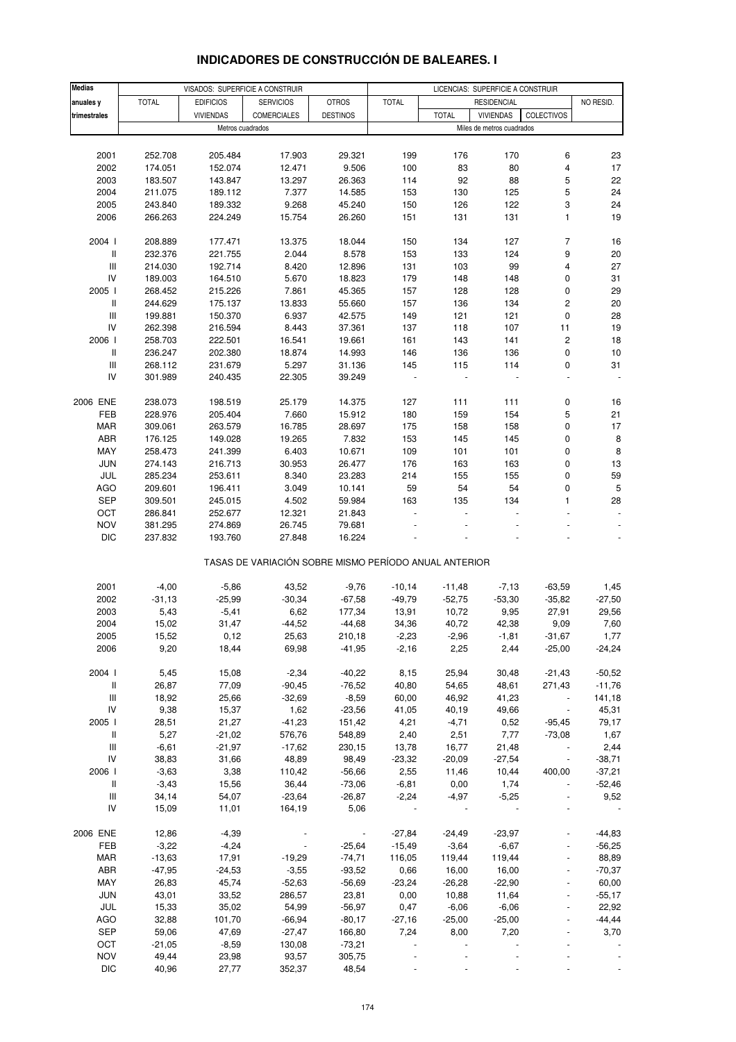#### **Medias anuales y** TOTAL EDIFICIOS SERVICIOS OTROS TOTAL NO RESID. **trimestrales** VIVIENDAS COMERCIALES DESTINOS TOTAL VIVIENDAS COLECTIVOS 2001 252.708 205.484 17.903 29.321 199 176 170 6 23 2002 174.051 152.074 12.471 9.506 100 83 80 4 17 2003 183.507 143.847 13.297 26.363 114 92 88 5 22 2004 211.075 189.112 7.377 14.585 153 130 125 5 24 2005 243.840 189.332 9.268 45.240 150 126 122 3 24 2006 266.263 224.249 15.754 26.260 151 131 131 1 19 2004 I 208.889 177.471 13.375 18.044 150 134 127 7 16 II 232.376 221.755 2.044 8.578 153 133 124 9 20 III 214.030 192.714 8.420 12.896 131 103 99 4 27 IV 189.003 164.510 5.670 18.823 179 148 148 0 31 2005 I 268.452 215.226 7.861 45.365 157 128 128 0 29 II 244.629 175.137 13.833 55.660 157 136 134 2 20 III 199.881 150.370 6.937 42.575 149 121 121 0 28 IV 262.398 216.594 8.443 37.361 137 118 107 11 19 2006 I 258.703 222.501 16.541 19.661 161 143 141 2 18 II 236.247 202.380 18.874 14.993 146 136 136 0 10 III 268.112 231.679 5.297 31.136 145 115 114 0 31 IV 301.989 240.435 22.305 39.249 - - - - - 2006 ENE 238.073 198.519 25.179 14.375 127 111 111 0 16 FEB 228.976 205.404 7.660 15.912 180 159 154 5 21 MAR 309.061 263.579 16.785 28.697 175 158 158 0 17 ABR 176.125 149.028 19.265 7.832 153 145 145 0 8 MAY 258.473 241.399 6.403 10.671 109 101 101 0 8 JUN 274.143 216.713 30.953 26.477 176 163 163 0 13 JUL 285.234 253.611 8.340 23.283 214 155 155 0 59 AGO 209.601 196.411 3.049 10.141 59 54 54 0 5 SEP 309.501 245.015 4.502 59.984 163 135 134 1 28 OCT 286.841 252.677 12.321 21.843 - - - - - NOV 381.295 274.869 26.745 79.681 - - - - - DIC 237.832 193.760 27.848 16.224 - - - - - TASAS DE VARIACIÓN SOBRE MISMO PERÍODO ANUAL ANTERIOR 2001 -4,00 -5,86 43,52 -9,76 -10,14 -11,48 -7,13 -63,59 1,45 2002 -31,13 -25,99 -30,34 -67,58 -49,79 -52,75 -53,30 -35,82 -27,50 2003 5,43 -5,41 6,62 177,34 13,91 10,72 9,95 27,91 29,56 2004 15,02 31,47 -44,52 -44,68 34,36 40,72 42,38 9,09 7,60 2005 15,52 0,12 25,63 210,18 -2,23 -2,96 -1,81 -31,67 1,77 2006 9,20 18,44 69,98 -41,95 -2,16 2,25 2,44 -25,00 -24,24 2004 I 5,45 15,08 -2,34 -40,22 8,15 25,94 30,48 -21,43 -50,52 II 26,87 77,09 -90,45 -76,52 40,80 54,65 48,61 271,43 -11,76 III 18,92 25,66 -32,69 -8,59 60,00 46,92 41,23 - 141,18 IV 9,38 15,37 1,62 -23,56 41,05 40,19 49,66 - 45,31 2005 I 28,51 21,27 -41,23 151,42 4,21 -4,71 0,52 -95,45 79,17 II 5,27 -21,02 576,76 548,89 2,40 2,51 7,77 -73,08 1,67 III -6,61 -21,97 -17,62 230,15 13,78 16,77 21,48 - 2,44 IV 38,83 31,66 48,89 98,49 -23,32 -20,09 -27,54 - -38,71 2006 I -3,63 3,38 110,42 -56,66 2,55 11,46 10,44 400,00 -37,21 II -3,43 15,56 36,44 -73,06 -6,81 0,00 1,74 - -52,46 III 34,14 54,07 -23,64 -26,87 -2,24 -4,97 -5,25 - 9,52 IV 15,09 11,01 164,19 5,06 - - - - - 2006 ENE 12,86 -4,39 - -27,84 -24,49 -23,97 - -44,83 FEB -3,22 -4,24 - -25,64 -15,49 -3,64 -6,67 - -56,25 MAR -13,63 17,91 -19,29 -74,71 116,05 119,44 119,44 - 88,89 ABR -47,95 -24,53 -3,55 -93,52 0,66 16,00 16,00 - -70,37 MAY 26,83 45,74 -52,63 -56,69 -23,24 -26,28 -22,90 - 60,00 JUN 43,01 33,52 286,57 23,81 0,00 10,88 11,64 - -55,17 JUL 15,33 35,02 54,99 -56,97 0,47 -6,06 -6,06 - 22,92 AGO 32,88 101,70 -66,94 -80,17 -27,16 -25,00 -25,00 - -44,44 SEP 59,06 47,69 -27,47 166,80 7,24 8,00 7,20 - 3,70 OCT -21,05 -8,59 130,08 -73,21 - - - - -NOV 49,44 23,98 93,57 305,75 - - - - - VISADOS: SUPERFICIE A CONSTRUIR LICENCIAS: SUPERFICIE A CONSTRUIR **RESIDENCIAL** Metros cuadrados **Miles de metros cuadrados** Miles de metros cuadrados

#### **INDICADORES DE CONSTRUCCIÓN DE BALEARES. I**

DIC 40,96 27,77 352,37 48,54 - - - - -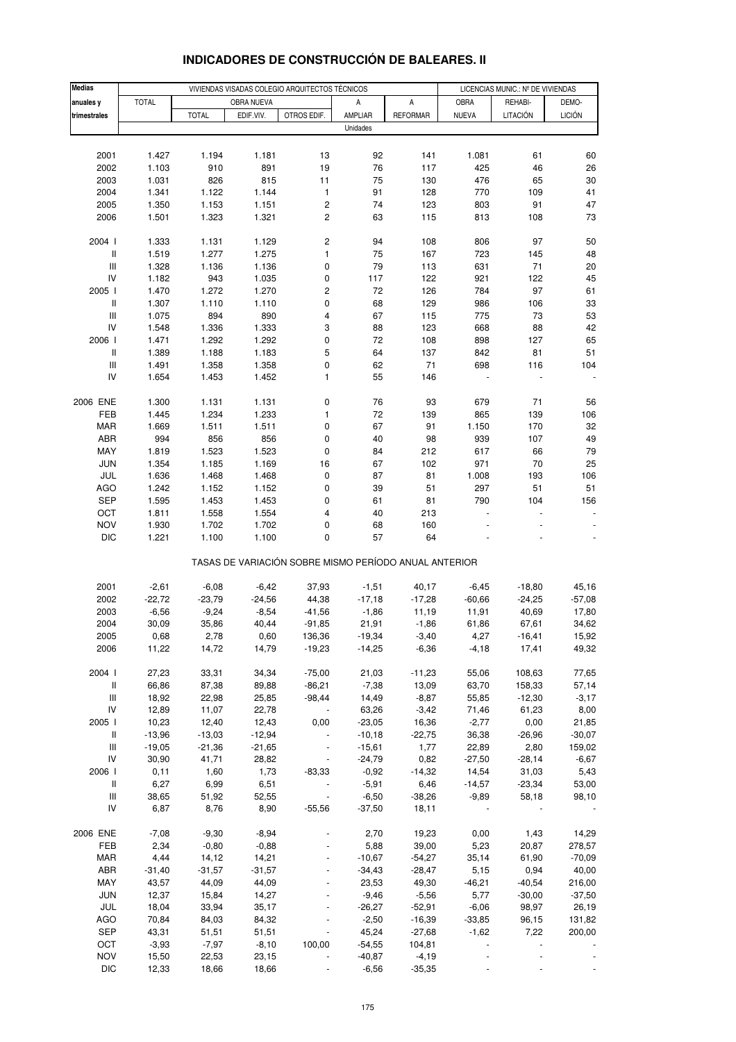| <b>Medias</b>                                        |                  |                   |                   | VIVIENDAS VISADAS COLEGIO ARQUITECTOS TÉCNICOS        |                      |                      | LICENCIAS MUNIC.: Nº DE VIVIENDAS |                   |                   |  |
|------------------------------------------------------|------------------|-------------------|-------------------|-------------------------------------------------------|----------------------|----------------------|-----------------------------------|-------------------|-------------------|--|
| anuales y                                            | <b>TOTAL</b>     |                   | OBRA NUEVA        |                                                       | Α                    | A                    | <b>OBRA</b>                       | REHABI-           | DEMO-             |  |
| trimestrales                                         |                  | <b>TOTAL</b>      | EDIF.VIV.         | OTROS EDIF.                                           | AMPLIAR              | <b>REFORMAR</b>      | <b>NUEVA</b>                      | <b>LITACIÓN</b>   | <b>LICIÓN</b>     |  |
|                                                      |                  |                   |                   |                                                       | Unidades             |                      |                                   |                   |                   |  |
|                                                      |                  |                   |                   |                                                       |                      |                      |                                   |                   |                   |  |
| 2001                                                 | 1.427            | 1.194             | 1.181             | 13                                                    | 92                   | 141                  | 1.081                             | 61                | 60                |  |
| 2002                                                 | 1.103            | 910               | 891               | 19                                                    | 76                   | 117                  | 425                               | 46                | 26                |  |
| 2003                                                 | 1.031            | 826               | 815               | 11                                                    | 75                   | 130                  | 476                               | 65                | 30                |  |
| 2004                                                 | 1.341            | 1.122             | 1.144             | 1                                                     | 91                   | 128                  | 770                               | 109               | 41                |  |
| 2005                                                 | 1.350            | 1.153             | 1.151             | 2                                                     | 74                   | 123                  | 803                               | 91                | 47                |  |
| 2006                                                 | 1.501            | 1.323             | 1.321             | $\overline{c}$                                        | 63                   | 115                  | 813                               | 108               | 73                |  |
| 2004 l                                               | 1.333            | 1.131             | 1.129             | $\overline{\mathbf{c}}$                               | 94                   | 108                  | 806                               | 97                | 50                |  |
| $\mathsf{I}$                                         | 1.519            | 1.277             | 1.275             | 1                                                     | 75                   | 167                  | 723                               | 145               | 48                |  |
| $\ensuremath{\mathsf{III}}\xspace$                   | 1.328            | 1.136             | 1.136             | 0                                                     | 79                   | 113                  | 631                               | 71                | 20                |  |
| IV                                                   | 1.182            | 943               | 1.035             | 0                                                     | 117                  | 122                  | 921                               | 122               | 45                |  |
| 2005 l                                               | 1.470            | 1.272             | 1.270             | 2                                                     | 72                   | 126                  | 784                               | 97                | 61                |  |
| $\, \parallel$<br>$\ensuremath{\mathsf{III}}\xspace$ | 1.307            | 1.110<br>894      | 1.110             | 0                                                     | 68<br>67             | 129                  | 986<br>775                        | 106<br>73         | 33                |  |
| IV                                                   | 1.075<br>1.548   | 1.336             | 890<br>1.333      | 4<br>3                                                | 88                   | 115<br>123           | 668                               | 88                | 53<br>42          |  |
| 2006 l                                               | 1.471            | 1.292             | 1.292             | 0                                                     | 72                   | 108                  | 898                               | 127               | 65                |  |
| $\, \parallel$                                       | 1.389            | 1.188             | 1.183             | 5                                                     | 64                   | 137                  | 842                               | 81                | 51                |  |
| $\mathsf{III}$                                       | 1.491            | 1.358             | 1.358             | 0                                                     | 62                   | 71                   | 698                               | 116               | 104               |  |
| IV                                                   | 1.654            | 1.453             | 1.452             | 1                                                     | 55                   | 146                  |                                   |                   |                   |  |
| 2006 ENE                                             | 1.300            | 1.131             | 1.131             | 0                                                     | 76                   | 93                   | 679                               | 71                | 56                |  |
| FEB                                                  | 1.445            | 1.234             | 1.233             | 1                                                     | 72                   | 139                  | 865                               | 139               | 106               |  |
| <b>MAR</b>                                           | 1.669            | 1.511             | 1.511             | 0                                                     | 67                   | 91                   | 1.150                             | 170               | 32                |  |
| ABR                                                  | 994              | 856               | 856               | 0                                                     | 40                   | 98                   | 939                               | 107               | 49                |  |
| MAY                                                  | 1.819            | 1.523             | 1.523             | 0                                                     | 84                   | 212                  | 617                               | 66                | 79                |  |
| <b>JUN</b>                                           | 1.354            | 1.185             | 1.169             | 16                                                    | 67                   | 102                  | 971                               | 70                | 25                |  |
| JUL                                                  | 1.636            | 1.468             | 1.468             | 0                                                     | 87                   | 81                   | 1.008                             | 193               | 106               |  |
| <b>AGO</b>                                           | 1.242            | 1.152             | 1.152             | 0                                                     | 39                   | 51                   | 297                               | 51                | 51                |  |
| <b>SEP</b>                                           | 1.595            | 1.453             | 1.453             | 0                                                     | 61                   | 81                   | 790                               | 104               | 156               |  |
| OCT                                                  | 1.811            | 1.558             | 1.554             | 4                                                     | 40                   | 213                  |                                   |                   |                   |  |
| <b>NOV</b>                                           | 1.930            | 1.702             | 1.702             | 0                                                     | 68                   | 160                  |                                   |                   |                   |  |
| <b>DIC</b>                                           | 1.221            | 1.100             | 1.100             | 0                                                     | 57                   | 64                   |                                   |                   |                   |  |
|                                                      |                  |                   |                   | TASAS DE VARIACIÓN SOBRE MISMO PERÍODO ANUAL ANTERIOR |                      |                      |                                   |                   |                   |  |
| 2001                                                 | $-2,61$          | $-6,08$           | $-6,42$           | 37,93                                                 | $-1,51$              | 40,17                | -6,45                             | $-18,80$          | 45,16             |  |
| 2002                                                 | $-22,72$         | $-23,79$          | $-24,56$          | 44,38                                                 | $-17,18$             | $-17,28$             | $-60,66$                          | $-24,25$          | $-57,08$          |  |
| 2003                                                 | $-6,56$          | $-9,24$           | $-8,54$           | $-41,56$                                              | $-1,86$              | 11,19                | 11,91                             | 40,69             | 17,80             |  |
| 2004                                                 | 30,09            | 35,86             | 40,44             | $-91,85$                                              | 21,91                | $-1,86$              | 61,86                             | 67,61             | 34,62             |  |
| 2005                                                 | 0,68             | 2,78              | 0,60              | 136,36                                                | $-19,34$             | $-3,40$              | 4,27                              | $-16,41$          | 15,92             |  |
| 2006                                                 | 11,22            | 14,72             | 14,79             | $-19,23$                                              | $-14,25$             | $-6,36$              | $-4,18$                           | 17,41             | 49,32             |  |
| 2004 l                                               | 27,23            | 33,31             | 34,34             | $-75,00$                                              | 21,03                | $-11,23$             | 55,06                             | 108,63            | 77,65             |  |
| $\, \parallel$                                       | 66,86            | 87,38             | 89,88             | $-86,21$                                              | $-7,38$              | 13,09                | 63,70                             | 158,33            | 57,14             |  |
| $\ensuremath{\mathsf{III}}\xspace$                   | 18,92            | 22,98             | 25,85             | $-98,44$                                              | 14,49                | $-8,87$              | 55,85                             | $-12,30$          | $-3,17$           |  |
| IV                                                   | 12,89            | 11,07             | 22,78             |                                                       | 63,26                | $-3,42$              | 71,46                             | 61,23             | 8,00              |  |
| 2005 l                                               | 10,23            | 12,40             | 12,43             | 0,00                                                  | $-23,05$             | 16,36                | $-2,77$                           | 0,00              | 21,85             |  |
| Ш                                                    | $-13,96$         | $-13,03$          | $-12,94$          |                                                       | $-10,18$             | $-22,75$             | 36,38                             | $-26,96$          | $-30,07$          |  |
| $\ensuremath{\mathsf{III}}\xspace$<br>IV             | $-19,05$         | $-21,36$          | $-21,65$          |                                                       | $-15,61$             | 1,77                 | 22,89                             | 2,80              | 159,02            |  |
| 2006                                                 | 30,90<br>0, 11   | 41,71<br>1,60     | 28,82<br>1,73     | $-83,33$                                              | $-24,79$<br>$-0,92$  | 0,82<br>$-14,32$     | $-27,50$<br>14,54                 | $-28,14$<br>31,03 | $-6,67$<br>5,43   |  |
| Ш                                                    | 6,27             | 6,99              | 6,51              |                                                       | $-5,91$              | 6,46                 | $-14,57$                          | $-23,34$          | 53,00             |  |
| $\ensuremath{\mathsf{III}}\xspace$                   | 38,65            | 51,92             | 52,55             | $\overline{\phantom{a}}$                              | $-6,50$              | $-38,26$             | $-9,89$                           | 58,18             | 98,10             |  |
| IV                                                   | 6,87             | 8,76              | 8,90              | $-55,56$                                              | $-37,50$             | 18,11                |                                   |                   |                   |  |
|                                                      |                  |                   |                   |                                                       |                      |                      |                                   |                   |                   |  |
| 2006 ENE                                             | $-7,08$          | $-9,30$           | $-8,94$           |                                                       | 2,70                 | 19,23                | 0,00                              | 1,43              | 14,29             |  |
| FEB                                                  | 2,34             | $-0,80$           | $-0,88$           |                                                       | 5,88                 | 39,00                | 5,23                              | 20,87             | 278,57            |  |
| <b>MAR</b><br>ABR                                    | 4,44<br>$-31,40$ | 14,12<br>$-31,57$ | 14,21<br>$-31,57$ |                                                       | $-10,67$<br>$-34,43$ | $-54,27$<br>$-28,47$ | 35,14<br>5,15                     | 61,90<br>0,94     | $-70,09$<br>40,00 |  |
| MAY                                                  | 43,57            | 44,09             | 44,09             |                                                       | 23,53                | 49,30                | $-46,21$                          | $-40,54$          | 216,00            |  |
| <b>JUN</b>                                           | 12,37            | 15,84             | 14,27             |                                                       | $-9,46$              | $-5,56$              | 5,77                              | $-30,00$          | $-37,50$          |  |
| JUL                                                  | 18,04            | 33,94             | 35,17             |                                                       | $-26,27$             | $-52,91$             | $-6,06$                           | 98,97             | 26,19             |  |
| AGO                                                  | 70,84            | 84,03             | 84,32             |                                                       | $-2,50$              | $-16,39$             | $-33,85$                          | 96,15             | 131,82            |  |
| <b>SEP</b>                                           | 43,31            | 51,51             | 51,51             |                                                       | 45,24                | $-27,68$             | $-1,62$                           | 7,22              | 200,00            |  |
| OCT                                                  | $-3,93$          | $-7,97$           | $-8,10$           | 100,00                                                | $-54,55$             | 104,81               |                                   |                   |                   |  |
| <b>NOV</b>                                           | 15,50            | 22,53             | 23,15             |                                                       | $-40,87$             | $-4,19$              |                                   |                   |                   |  |
| <b>DIC</b>                                           | 12,33            | 18,66             | 18,66             |                                                       | $-6,56$              | $-35,35$             |                                   |                   |                   |  |

# **INDICADORES DE CONSTRUCCIÓN DE BALEARES. II**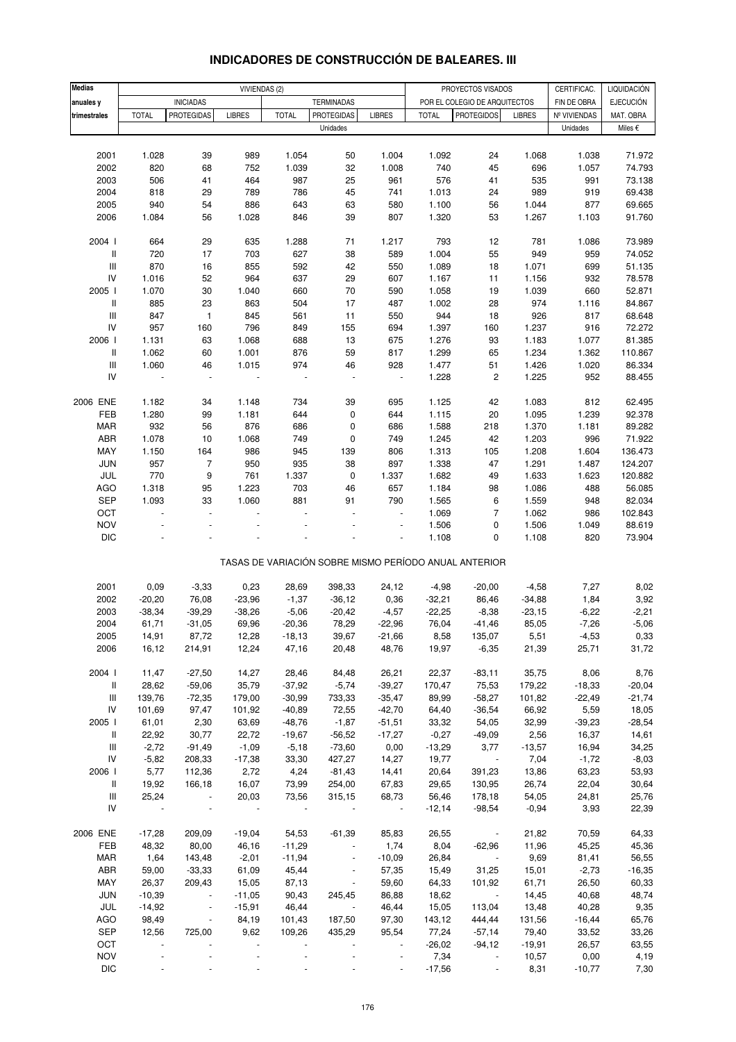| <b>Medias</b>                      |                |                                       |                          |                          |                                        |                                            |                |                                                       |                 |                             |                  |
|------------------------------------|----------------|---------------------------------------|--------------------------|--------------------------|----------------------------------------|--------------------------------------------|----------------|-------------------------------------------------------|-----------------|-----------------------------|------------------|
|                                    |                |                                       |                          | VIVIENDAS (2)            |                                        |                                            |                | PROYECTOS VISADOS                                     |                 | CERTIFICAC.                 | LIQUIDACIÓN      |
| anuales y                          | <b>TOTAL</b>   | <b>INICIADAS</b><br><b>PROTEGIDAS</b> | <b>LIBRES</b>            | <b>TOTAL</b>             | <b>TERMINADAS</b><br><b>PROTEGIDAS</b> | <b>LIBRES</b>                              | <b>TOTAL</b>   | POR EL COLEGIO DE ARQUITECTOS<br><b>PROTEGIDOS</b>    |                 | FIN DE OBRA<br>Nº VIVIENDAS | <b>EJECUCIÓN</b> |
| trimestrales                       |                |                                       |                          |                          | Unidades                               |                                            |                |                                                       | <b>LIBRES</b>   |                             | MAT. OBRA        |
|                                    |                |                                       |                          |                          |                                        |                                            |                |                                                       |                 | Unidades                    | Miles €          |
|                                    |                |                                       |                          |                          |                                        |                                            |                |                                                       |                 |                             |                  |
| 2001                               | 1.028          | 39                                    | 989                      | 1.054                    | 50                                     | 1.004                                      | 1.092          | 24                                                    | 1.068           | 1.038                       | 71.972           |
| 2002                               | 820            | 68                                    | 752                      | 1.039                    | 32                                     | 1.008                                      | 740            | 45                                                    | 696             | 1.057                       | 74.793           |
| 2003                               | 506            | 41                                    | 464                      | 987                      | 25                                     | 961                                        | 576            | 41                                                    | 535             | 991                         | 73.138           |
| 2004<br>2005                       | 818<br>940     | 29<br>54                              | 789<br>886               | 786<br>643               | 45                                     | 741<br>580                                 | 1.013<br>1.100 | 24                                                    | 989<br>1.044    | 919<br>877                  | 69.438<br>69.665 |
|                                    |                |                                       |                          |                          | 63                                     |                                            |                | 56                                                    |                 |                             |                  |
| 2006                               | 1.084          | 56                                    | 1.028                    | 846                      | 39                                     | 807                                        | 1.320          | 53                                                    | 1.267           | 1.103                       | 91.760           |
| 2004 l                             | 664            | 29                                    | 635                      | 1.288                    | 71                                     | 1.217                                      | 793            | 12                                                    | 781             | 1.086                       | 73.989           |
| Ш                                  | 720            | 17                                    | 703                      | 627                      | 38                                     | 589                                        | 1.004          | 55                                                    | 949             | 959                         | 74.052           |
| $\ensuremath{\mathsf{III}}\xspace$ | 870            | 16                                    | 855                      | 592                      | 42                                     | 550                                        | 1.089          | 18                                                    | 1.071           | 699                         | 51.135           |
| IV                                 | 1.016          | 52                                    | 964                      | 637                      | 29                                     | 607                                        | 1.167          | 11                                                    | 1.156           | 932                         | 78.578           |
| 2005 l                             | 1.070          | $30\,$                                | 1.040                    | 660                      | 70                                     | 590                                        | 1.058          | 19                                                    | 1.039           | 660                         | 52.871           |
| Ш                                  | 885            | 23                                    | 863                      | 504                      | 17                                     | 487                                        | 1.002          | 28                                                    | 974             | 1.116                       | 84.867           |
| $\ensuremath{\mathsf{III}}\xspace$ | 847            | $\mathbf{1}$                          | 845                      | 561                      | 11                                     | 550                                        | 944            | 18                                                    | 926             | 817                         | 68.648           |
| IV                                 | 957            | 160                                   | 796                      | 849                      | 155                                    | 694                                        | 1.397          | 160                                                   | 1.237           | 916                         | 72.272           |
| 2006                               | 1.131          | 63                                    | 1.068                    | 688                      | 13                                     | 675                                        | 1.276          | 93                                                    | 1.183           | 1.077                       | 81.385           |
| Ш                                  | 1.062          | 60                                    | 1.001                    | 876                      | 59                                     | 817                                        | 1.299          | 65                                                    | 1.234           | 1.362                       | 110.867          |
| $\ensuremath{\mathsf{III}}\xspace$ | 1.060          | 46                                    | 1.015                    | 974                      | 46                                     | 928                                        | 1.477          | 51                                                    | 1.426           | 1.020                       | 86.334           |
| IV                                 |                | ÷,                                    |                          |                          |                                        | ÷,                                         | 1.228          | $\sqrt{2}$                                            | 1.225           | 952                         | 88.455           |
|                                    |                |                                       |                          |                          |                                        |                                            |                |                                                       |                 |                             |                  |
| 2006 ENE                           | 1.182          | 34                                    | 1.148                    | 734                      | 39                                     | 695                                        | 1.125          | 42                                                    | 1.083           | 812                         | 62.495           |
| FEB                                | 1.280          | 99                                    | 1.181                    | 644                      | $\mathbf 0$                            | 644                                        | 1.115          | 20                                                    | 1.095           | 1.239                       | 92.378           |
| <b>MAR</b>                         | 932            | 56                                    | 876                      | 686                      | 0                                      | 686                                        | 1.588          | 218                                                   | 1.370           | 1.181                       | 89.282           |
| ABR                                | 1.078          | 10                                    | 1.068                    | 749                      | 0                                      | 749                                        | 1.245          | 42                                                    | 1.203           | 996                         | 71.922           |
| MAY                                | 1.150          | 164                                   | 986                      | 945                      | 139                                    | 806                                        | 1.313          | 105                                                   | 1.208           | 1.604                       | 136.473          |
| JUN                                | 957            | $\overline{7}$                        | 950                      | 935                      | 38                                     | 897                                        | 1.338          | 47                                                    | 1.291           | 1.487                       | 124.207          |
| JUL                                | 770            | 9                                     | 761                      | 1.337                    | $\pmb{0}$                              | 1.337                                      | 1.682          | 49                                                    | 1.633           | 1.623                       | 120.882          |
| AGO                                | 1.318          | 95                                    | 1.223                    | 703                      | 46                                     | 657                                        | 1.184          | 98                                                    | 1.086           | 488                         | 56.085           |
| <b>SEP</b>                         | 1.093          | 33                                    | 1.060                    | 881                      | 91                                     | 790                                        | 1.565          | 6                                                     | 1.559           | 948                         | 82.034           |
| OCT                                | ÷,             | ÷,                                    |                          |                          |                                        | L,                                         | 1.069          | $\overline{7}$                                        | 1.062           | 986                         | 102.843          |
| <b>NOV</b>                         |                |                                       |                          |                          |                                        | ÷,                                         | 1.506          | $\pmb{0}$                                             | 1.506           | 1.049                       | 88.619           |
| <b>DIC</b>                         |                |                                       |                          |                          |                                        | ÷,                                         | 1.108          | 0                                                     | 1.108           | 820                         | 73.904           |
|                                    |                |                                       |                          |                          |                                        |                                            |                |                                                       |                 |                             |                  |
|                                    |                |                                       |                          |                          |                                        |                                            |                | TASAS DE VARIACIÓN SOBRE MISMO PERÍODO ANUAL ANTERIOR |                 |                             |                  |
|                                    |                |                                       |                          |                          |                                        |                                            |                |                                                       |                 |                             |                  |
| 2001                               | 0,09           | $-3,33$                               | 0,23                     | 28,69                    | 398,33                                 | 24,12                                      | $-4,98$        | $-20,00$                                              | $-4,58$         | 7,27                        | 8,02             |
| 2002                               | $-20,20$       | 76,08                                 | $-23,96$                 | $-1,37$                  | $-36,12$                               | 0,36                                       | $-32,21$       | 86,46                                                 | $-34,88$        | 1,84                        | 3,92             |
| 2003                               | $-38,34$       | $-39,29$                              | $-38,26$                 | $-5,06$                  | $-20,42$                               | $-4,57$                                    | $-22,25$       | $-8,38$                                               | $-23,15$        | $-6,22$                     | $-2,21$          |
| 2004                               | 61,71          | $-31,05$                              | 69,96                    | $-20,36$                 | 78,29                                  | $-22,96$                                   | 76,04          | $-41,46$                                              | 85,05           | $-7,26$                     | $-5,06$          |
| 2005                               | 14,91          | 87,72                                 | 12,28                    | $-18,13$                 | 39,67                                  | $-21,66$                                   | 8,58           | 135,07                                                | 5,51            | $-4,53$                     | 0,33             |
| 2006                               | 16,12          | 214,91                                | 12,24                    | 47,16                    | 20,48                                  | 48,76                                      | 19,97          | $-6,35$                                               | 21,39           | 25,71                       | 31,72            |
| 2004 l                             | 11,47          | $-27,50$                              | 14,27                    | 28,46                    | 84,48                                  |                                            | 22,37          |                                                       |                 | 8,06                        | 8,76             |
| Ш                                  | 28,62          | $-59,06$                              | 35,79                    | $-37,92$                 | $-5,74$                                | 26,21<br>$-39,27$                          | 170,47         | $-83,11$<br>75,53                                     | 35,75<br>179,22 | $-18,33$                    | $-20,04$         |
| Ш                                  | 139,76         | $-72,35$                              | 179,00                   | $-30,99$                 | 733,33                                 | $-35,47$                                   | 89,99          | $-58,27$                                              | 101,82          | $-22,49$                    | $-21,74$         |
| ${\sf IV}$                         | 101,69         | 97,47                                 | 101,92                   | $-40,89$                 | 72,55                                  | $-42,70$                                   | 64,40          | $-36,54$                                              | 66,92           | 5,59                        | 18,05            |
| 2005                               | 61,01          | 2,30                                  | 63,69                    | $-48,76$                 | $-1,87$                                | $-51,51$                                   | 33,32          | 54,05                                                 | 32,99           | $-39,23$                    | $-28,54$         |
|                                    |                |                                       |                          |                          |                                        |                                            |                |                                                       |                 |                             |                  |
| Ш                                  | 22,92          | 30,77                                 | 22,72                    | $-19,67$                 | $-56,52$                               | $-17,27$                                   | $-0,27$        | $-49,09$                                              | 2,56            | 16,37                       | 14,61            |
| Ш                                  | $-2,72$        | $-91,49$                              | $-1,09$                  | $-5,18$                  | $-73,60$                               | 0,00                                       | $-13,29$       | 3,77                                                  | $-13,57$        | 16,94                       | 34,25            |
| IV                                 | $-5,82$        | 208,33                                | $-17,38$                 | 33,30                    | 427,27                                 | 14,27                                      | 19,77          | $\sim$                                                | 7,04            | $-1,72$                     | $-8,03$          |
| 2006                               | 5,77           | 112,36                                | 2,72                     | 4,24                     | $-81,43$                               | 14,41                                      | 20,64          | 391,23                                                | 13,86           | 63,23                       | 53,93            |
| Ш                                  | 19,92          | 166,18                                | 16,07                    | 73,99                    | 254,00                                 | 67,83                                      | 29,65          | 130,95                                                | 26,74           | 22,04                       | 30,64            |
| Ш                                  | 25,24          | $\sim 10^{11}$ m $^{-1}$              | 20,03                    | 73,56                    | 315,15                                 | 68,73                                      | 56,46          | 178,18                                                | 54,05           | 24,81                       | 25,76            |
| IV                                 | $\blacksquare$ | $\overline{\phantom{a}}$              |                          |                          |                                        | $\sim$                                     | $-12,14$       | $-98,54$                                              | $-0,94$         | 3,93                        | 22,39            |
| 2006 ENE                           | $-17,28$       | 209,09                                | $-19,04$                 | 54,53                    | $-61,39$                               | 85,83                                      | 26,55          | $\overline{\phantom{a}}$                              | 21,82           | 70,59                       | 64,33            |
| FEB                                | 48,32          | 80,00                                 | 46,16                    | $-11,29$                 | $\overline{\phantom{a}}$               | 1,74                                       | 8,04           | $-62,96$                                              | 11,96           | 45,25                       | 45,36            |
| MAR                                | 1,64           | 143,48                                | $-2,01$                  | $-11,94$                 | $\blacksquare$                         | $-10,09$                                   | 26,84          | $\sim 100$                                            | 9,69            | 81,41                       | 56,55            |
| ABR                                | 59,00          | $-33,33$                              | 61,09                    | 45,44                    | $\overline{\phantom{a}}$               | 57,35                                      | 15,49          | 31,25                                                 | 15,01           | $-2,73$                     | $-16,35$         |
| MAY                                | 26,37          | 209,43                                | 15,05                    | 87,13                    | $\blacksquare$                         | 59,60                                      | 64,33          | 101,92                                                | 61,71           | 26,50                       | 60,33            |
| JUN                                | $-10,39$       | $\sim$ $\sim$                         | $-11,05$                 | 90,43                    | 245,45                                 | 86,88                                      | 18,62          | $\sim$ $\sim$                                         | 14,45           | 40,68                       | 48,74            |
| JUL                                | $-14,92$       | $\blacksquare$                        | $-15,91$                 | 46,44                    | $\blacksquare$                         | 46,44                                      | 15,05          | 113,04                                                | 13,48           | 40,28                       | 9,35             |
| AGO                                | 98,49          | $\blacksquare$                        | 84,19                    | 101,43                   | 187,50                                 | 97,30                                      | 143,12         | 444,44                                                | 131,56          | $-16,44$                    | 65,76            |
| SEP                                | 12,56          | 725,00                                | 9,62                     | 109,26                   | 435,29                                 | 95,54                                      | 77,24          | $-57,14$                                              | 79,40           | 33,52                       | 33,26            |
| OCT                                | $\sim$         |                                       | $\overline{\phantom{a}}$ | $\overline{\phantom{a}}$ |                                        |                                            | $-26,02$       | $-94, 12$                                             | $-19,91$        | 26,57                       | 63,55            |
| <b>NOV</b>                         | $\blacksquare$ |                                       |                          |                          |                                        | $\overline{\phantom{a}}$<br>$\blacksquare$ | 7,34           | $\omega$                                              | 10,57           | 0,00                        | 4,19             |
| DIC                                |                |                                       |                          |                          |                                        |                                            | $-17,56$       | $\blacksquare$                                        | 8,31            | $-10,77$                    | 7,30             |
|                                    |                |                                       |                          |                          |                                        |                                            |                |                                                       |                 |                             |                  |

### **INDICADORES DE CONSTRUCCIÓN DE BALEARES. III**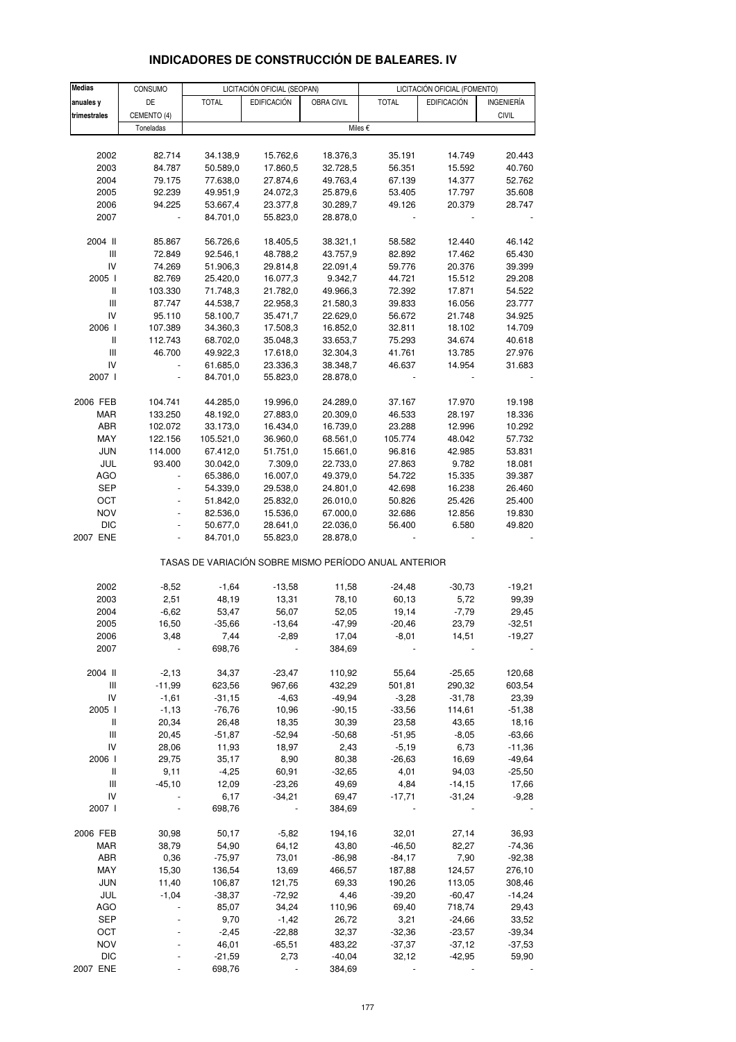| <b>Medias</b>                      | CONSUMO          |                      | LICITACIÓN OFICIAL (SEOPAN) |                      |                                                       | LICITACIÓN OFICIAL (FOMENTO) |                      |
|------------------------------------|------------------|----------------------|-----------------------------|----------------------|-------------------------------------------------------|------------------------------|----------------------|
| anuales y                          | DE               | <b>TOTAL</b>         | <b>EDIFICACIÓN</b>          | OBRA CIVIL           | <b>TOTAL</b>                                          | <b>EDIFICACIÓN</b>           | INGENIERÍA           |
| trimestrales                       | CEMENTO (4)      |                      |                             |                      |                                                       |                              | <b>CIVIL</b>         |
|                                    | Toneladas        |                      |                             |                      | Miles €                                               |                              |                      |
|                                    |                  |                      |                             |                      |                                                       |                              |                      |
| 2002                               | 82.714           | 34.138,9             | 15.762,6                    | 18.376,3             | 35.191                                                | 14.749                       | 20.443               |
| 2003                               | 84.787           | 50.589,0             | 17.860,5                    | 32.728,5             | 56.351                                                | 15.592                       | 40.760               |
| 2004                               | 79.175           | 77.638,0             | 27.874,6                    | 49.763,4             | 67.139                                                | 14.377                       | 52.762               |
| 2005                               | 92.239           | 49.951,9             | 24.072,3                    | 25.879,6             | 53.405                                                | 17.797                       | 35.608               |
| 2006                               | 94.225           | 53.667,4             | 23.377,8                    | 30.289,7             | 49.126                                                | 20.379                       | 28.747               |
| 2007                               |                  | 84.701,0             | 55.823,0                    | 28.878,0             |                                                       |                              |                      |
|                                    |                  |                      |                             |                      |                                                       |                              |                      |
| 2004 II                            | 85.867           | 56.726,6             | 18.405,5                    | 38.321,1             | 58.582                                                | 12.440                       | 46.142               |
| Ш                                  | 72.849           | 92.546,1             | 48.788,2                    | 43.757,9             | 82.892                                                | 17.462                       | 65.430               |
| IV<br>2005 l                       | 74.269<br>82.769 | 51.906,3<br>25.420,0 | 29.814,8<br>16.077,3        | 22.091,4<br>9.342,7  | 59.776<br>44.721                                      | 20.376<br>15.512             | 39.399<br>29.208     |
| $\,$ $\,$ $\,$ $\,$                | 103.330          | 71.748,3             | 21.782,0                    | 49.966,3             | 72.392                                                | 17.871                       | 54.522               |
| Ш                                  | 87.747           | 44.538,7             | 22.958,3                    | 21.580,3             | 39.833                                                | 16.056                       | 23.777               |
| IV                                 | 95.110           | 58.100,7             | 35.471,7                    | 22.629,0             | 56.672                                                | 21.748                       | 34.925               |
| 2006                               | 107.389          | 34.360,3             | 17.508,3                    | 16.852,0             | 32.811                                                | 18.102                       | 14.709               |
| Ш                                  | 112.743          | 68.702,0             | 35.048,3                    | 33.653,7             | 75.293                                                | 34.674                       | 40.618               |
| $\ensuremath{\mathsf{III}}\xspace$ | 46.700           | 49.922,3             | 17.618,0                    | 32.304,3             | 41.761                                                | 13.785                       | 27.976               |
| IV                                 |                  | 61.685,0             | 23.336,3                    | 38.348,7             | 46.637                                                | 14.954                       | 31.683               |
| 2007 l                             |                  | 84.701,0             | 55.823,0                    | 28.878,0             |                                                       |                              |                      |
|                                    |                  |                      |                             |                      |                                                       |                              |                      |
| 2006 FEB                           | 104.741          | 44.285,0             | 19.996,0                    | 24.289,0             | 37.167                                                | 17.970                       | 19.198               |
| MAR                                | 133.250          | 48.192,0             | 27.883,0                    | 20.309,0             | 46.533                                                | 28.197                       | 18.336               |
| ABR                                | 102.072          | 33.173,0             | 16.434,0                    | 16.739,0             | 23.288                                                | 12.996                       | 10.292               |
| MAY                                | 122.156          | 105.521,0            | 36.960,0                    | 68.561,0             | 105.774                                               | 48.042                       | 57.732               |
| <b>JUN</b>                         | 114.000          | 67.412,0             | 51.751,0                    | 15.661,0             | 96.816                                                | 42.985                       | 53.831               |
| JUL                                | 93.400           | 30.042,0             | 7.309,0                     | 22.733,0             | 27.863                                                | 9.782                        | 18.081               |
| <b>AGO</b>                         | $\blacksquare$   | 65.386,0             | 16.007,0                    | 49.379,0             | 54.722                                                | 15.335                       | 39.387               |
| <b>SEP</b>                         |                  | 54.339,0             | 29.538,0                    | 24.801,0             | 42.698                                                | 16.238                       | 26.460               |
| OCT                                |                  | 51.842,0             | 25.832,0                    | 26.010,0             | 50.826                                                | 25.426                       | 25.400               |
| <b>NOV</b><br><b>DIC</b>           | ÷,               | 82.536,0<br>50.677,0 | 15.536,0                    | 67.000,0<br>22.036,0 | 32.686<br>56.400                                      | 12.856<br>6.580              | 19.830<br>49.820     |
| 2007 ENE                           |                  | 84.701,0             | 28.641,0<br>55.823,0        | 28.878,0             |                                                       |                              |                      |
|                                    |                  |                      |                             |                      |                                                       |                              |                      |
|                                    |                  |                      |                             |                      | TASAS DE VARIACIÓN SOBRE MISMO PERÍODO ANUAL ANTERIOR |                              |                      |
| 2002                               | $-8,52$          | $-1,64$              | $-13,58$                    | 11,58                | $-24,48$                                              | $-30,73$                     | $-19,21$             |
| 2003                               | 2,51             | 48,19                | 13,31                       | 78,10                | 60,13                                                 | 5,72                         | 99,39                |
| 2004                               | $-6,62$          | 53,47                | 56,07                       | 52,05                | 19,14                                                 | $-7,79$                      | 29,45                |
| 2005                               | 16,50            | $-35,66$             | $-13,64$                    | $-47,99$             | $-20,46$                                              | 23,79                        | $-32,51$             |
| 2006                               | 3,48             | 7,44                 | -2,89                       | 17,04                | -8,01                                                 | 14,51                        | -19,27               |
| 2007                               |                  | 698,76               |                             | 384,69               |                                                       |                              |                      |
|                                    |                  |                      |                             |                      |                                                       |                              |                      |
| 2004 II                            | $-2,13$          | 34,37                | $-23,47$                    | 110,92               | 55,64                                                 | $-25,65$                     | 120,68               |
| Ш                                  | $-11,99$         | 623,56               | 967,66                      | 432,29               | 501,81                                                | 290,32                       | 603,54               |
| IV                                 | $-1,61$          | $-31,15$             | $-4,63$                     | $-49,94$             | $-3,28$                                               | $-31,78$                     | 23,39                |
| 2005                               | $-1,13$          | $-76,76$             | 10,96                       | $-90, 15$            | $-33,56$                                              | 114,61                       | $-51,38$             |
| Ш                                  | 20,34            | 26,48                | 18,35                       | 30,39                | 23,58                                                 | 43,65                        | 18,16                |
| Ш<br>IV                            | 20,45            | $-51,87$             | $-52,94$                    | $-50,68$<br>2,43     | $-51,95$<br>$-5,19$                                   | $-8,05$                      | $-63,66$             |
| 2006                               | 28,06<br>29,75   | 11,93<br>35,17       | 18,97<br>8,90               | 80,38                | $-26,63$                                              | 6,73<br>16,69                | $-11,36$<br>$-49,64$ |
| Ш                                  | 9,11             | $-4,25$              | 60,91                       | $-32,65$             | 4,01                                                  | 94,03                        | $-25,50$             |
| Ш                                  | $-45, 10$        | 12,09                | $-23,26$                    | 49,69                | 4,84                                                  | $-14,15$                     | 17,66                |
| IV                                 |                  | 6,17                 | $-34,21$                    | 69,47                | $-17,71$                                              | $-31,24$                     | $-9,28$              |
| 2007                               |                  | 698,76               |                             | 384,69               |                                                       |                              |                      |
|                                    |                  |                      |                             |                      |                                                       |                              |                      |
| 2006 FEB                           | 30,98            | 50,17                | $-5,82$                     | 194,16               | 32,01                                                 | 27,14                        | 36,93                |
| MAR                                | 38,79            | 54,90                | 64,12                       | 43,80                | $-46,50$                                              | 82,27                        | $-74,36$             |
| ABR                                | 0,36             | $-75,97$             | 73,01                       | $-86,98$             | $-84,17$                                              | 7,90                         | $-92,38$             |
| MAY                                | 15,30            | 136,54               | 13,69                       | 466,57               | 187,88                                                | 124,57                       | 276,10               |
| <b>JUN</b>                         | 11,40            | 106,87               | 121,75                      | 69,33                | 190,26                                                | 113,05                       | 308,46               |
| JUL                                | $-1,04$          | $-38,37$             | $-72,92$                    | 4,46                 | $-39,20$                                              | $-60,47$                     | $-14,24$             |
| AGO                                |                  | 85,07                | 34,24                       | 110,96               | 69,40                                                 | 718,74                       | 29,43                |
| <b>SEP</b>                         |                  | 9,70                 | $-1,42$                     | 26,72                | 3,21                                                  | $-24,66$                     | 33,52                |
| OCT                                |                  | $-2,45$              | $-22,88$                    | 32,37                | $-32,36$                                              | $-23,57$                     | $-39,34$             |
| <b>NOV</b>                         |                  | 46,01                | $-65,51$                    | 483,22               | $-37,37$                                              | $-37,12$                     | $-37,53$             |
| <b>DIC</b>                         |                  | $-21,59$             | 2,73                        | $-40,04$             | 32,12                                                 | $-42,95$                     | 59,90                |
| 2007 ENE                           |                  | 698,76               |                             | 384,69               |                                                       |                              |                      |

## **INDICADORES DE CONSTRUCCIÓN DE BALEARES. IV**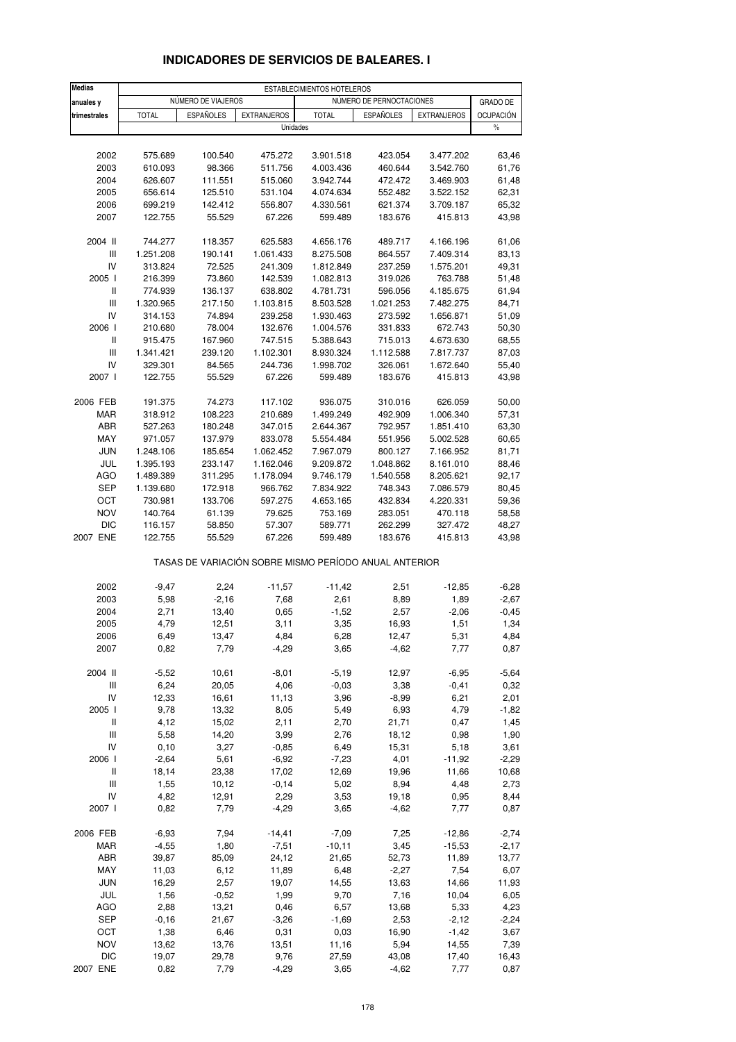| <b>Medias</b>                      | ESTABLECIMIENTOS HOTELEROS |                    |                                                       |                        |                          |                        |                    |  |
|------------------------------------|----------------------------|--------------------|-------------------------------------------------------|------------------------|--------------------------|------------------------|--------------------|--|
| anuales y                          |                            | NÚMERO DE VIAJEROS |                                                       |                        | NÚMERO DE PERNOCTACIONES |                        | <b>GRADO DE</b>    |  |
| trimestrales                       | <b>TOTAL</b>               | <b>ESPAÑOLES</b>   | <b>EXTRANJEROS</b>                                    | <b>TOTAL</b>           | <b>ESPAÑOLES</b>         | <b>EXTRANJEROS</b>     | <b>OCUPACIÓN</b>   |  |
|                                    |                            |                    | Unidades                                              |                        |                          |                        | $\%$               |  |
|                                    |                            |                    |                                                       |                        |                          |                        |                    |  |
| 2002                               | 575.689                    | 100.540            | 475.272                                               | 3.901.518              | 423.054                  | 3.477.202              | 63,46              |  |
| 2003                               | 610.093                    | 98.366             | 511.756                                               | 4.003.436              | 460.644                  | 3.542.760              | 61,76              |  |
| 2004                               | 626.607                    | 111.551            | 515.060                                               | 3.942.744              | 472.472                  | 3.469.903              | 61,48              |  |
| 2005                               | 656.614                    | 125.510            | 531.104                                               | 4.074.634              | 552.482                  | 3.522.152              | 62,31              |  |
| 2006                               | 699.219                    | 142.412            | 556.807                                               | 4.330.561              | 621.374                  | 3.709.187              | 65,32              |  |
| 2007                               | 122.755                    | 55.529             | 67.226                                                | 599.489                | 183.676                  | 415.813                | 43,98              |  |
| 2004 II                            | 744.277                    | 118.357            | 625.583                                               | 4.656.176              | 489.717                  | 4.166.196              | 61,06              |  |
| $\mathsf{III}$                     | 1.251.208                  | 190.141            | 1.061.433                                             | 8.275.508              | 864.557                  | 7.409.314              | 83,13              |  |
| IV                                 | 313.824                    | 72.525             | 241.309                                               | 1.812.849              | 237.259                  | 1.575.201              | 49,31              |  |
| 2005 l<br>$\sf II$                 | 216.399                    | 73.860             | 142.539                                               | 1.082.813              | 319.026                  | 763.788                | 51,48              |  |
| $\mathsf{III}$                     | 774.939<br>1.320.965       | 136.137<br>217.150 | 638.802<br>1.103.815                                  | 4.781.731<br>8.503.528 | 596.056<br>1.021.253     | 4.185.675<br>7.482.275 | 61,94<br>84,71     |  |
| IV                                 | 314.153                    | 74.894             | 239.258                                               | 1.930.463              | 273.592                  | 1.656.871              | 51,09              |  |
| 2006                               | 210.680                    | 78.004             | 132.676                                               | 1.004.576              | 331.833                  | 672.743                | 50,30              |  |
| Ш                                  | 915.475                    | 167.960            | 747.515                                               | 5.388.643              | 715.013                  | 4.673.630              | 68,55              |  |
| Ш                                  | 1.341.421                  | 239.120            | 1.102.301                                             | 8.930.324              | 1.112.588                | 7.817.737              | 87,03              |  |
| IV                                 | 329.301                    | 84.565             | 244.736                                               | 1.998.702              | 326.061                  | 1.672.640              | 55,40              |  |
| 2007 l                             | 122.755                    | 55.529             | 67.226                                                | 599.489                | 183.676                  | 415.813                | 43,98              |  |
| 2006 FEB                           | 191.375                    | 74.273             | 117.102                                               | 936.075                | 310.016                  | 626.059                | 50,00              |  |
| <b>MAR</b>                         | 318.912                    | 108.223            | 210.689                                               | 1.499.249              | 492.909                  | 1.006.340              | 57,31              |  |
| ABR                                | 527.263                    | 180.248            | 347.015                                               | 2.644.367              | 792.957                  | 1.851.410              | 63,30              |  |
| MAY                                | 971.057                    | 137.979            | 833.078                                               | 5.554.484              | 551.956                  | 5.002.528              | 60,65              |  |
| <b>JUN</b>                         | 1.248.106                  | 185.654            | 1.062.452                                             | 7.967.079              | 800.127                  | 7.166.952              | 81,71              |  |
| JUL                                | 1.395.193                  | 233.147            | 1.162.046                                             | 9.209.872              | 1.048.862                | 8.161.010              | 88,46              |  |
| <b>AGO</b>                         | 1.489.389                  | 311.295            | 1.178.094                                             | 9.746.179              | 1.540.558                | 8.205.621              | 92,17              |  |
| <b>SEP</b>                         | 1.139.680                  | 172.918            | 966.762                                               | 7.834.922              | 748.343                  | 7.086.579              | 80,45              |  |
| OCT                                | 730.981                    | 133.706            | 597.275                                               | 4.653.165              | 432.834                  | 4.220.331              | 59,36              |  |
| <b>NOV</b>                         | 140.764                    | 61.139             | 79.625                                                | 753.169                | 283.051                  | 470.118                | 58,58              |  |
| <b>DIC</b><br>2007 ENE             | 116.157<br>122.755         | 58.850<br>55.529   | 57.307<br>67.226                                      | 589.771<br>599.489     | 262.299<br>183.676       | 327.472<br>415.813     | 48,27<br>43,98     |  |
|                                    |                            |                    | TASAS DE VARIACIÓN SOBRE MISMO PERÍODO ANUAL ANTERIOR |                        |                          |                        |                    |  |
|                                    |                            |                    |                                                       |                        |                          |                        |                    |  |
| 2002<br>2003                       | $-9,47$<br>5,98            | 2,24<br>$-2,16$    | $-11,57$<br>7,68                                      | $-11,42$<br>2,61       | 2,51<br>8,89             | $-12,85$<br>1,89       | $-6,28$<br>$-2,67$ |  |
| 2004                               | 2,71                       | 13,40              | 0,65                                                  | $-1,52$                | 2,57                     | $-2,06$                | $-0,45$            |  |
| 2005                               | 4,79                       | 12,51              | 3,11                                                  | 3,35                   | 16,93                    | 1,51                   | 1,34               |  |
| 2006                               | 6,49                       | 13,47              | 4,84                                                  | 6,28                   | 12,47                    | 5,31                   | 4,84               |  |
| 2007                               | 0,82                       | 7,79               | $-4,29$                                               | 3,65                   | $-4,62$                  | 7,77                   | 0,87               |  |
| 2004 II                            | $-5,52$                    | 10,61              | $-8,01$                                               | $-5,19$                | 12,97                    | $-6,95$                | $-5,64$            |  |
| Ш                                  | 6,24                       | 20,05              | 4,06                                                  | $-0,03$                | 3,38                     | $-0,41$                | 0,32               |  |
| IV                                 | 12,33                      | 16,61              | 11,13                                                 | 3,96                   | $-8,99$                  | 6,21                   | 2,01               |  |
| 2005 l                             | 9,78                       | 13,32              | 8,05                                                  | 5,49                   | 6,93                     | 4,79                   | $-1,82$            |  |
| Ш                                  | 4,12                       | 15,02              | 2,11                                                  | 2,70                   | 21,71                    | 0,47                   | 1,45               |  |
| $\ensuremath{\mathsf{III}}\xspace$ | 5,58                       | 14,20              | 3,99                                                  | 2,76                   | 18,12                    | 0,98                   | 1,90               |  |
| IV                                 | 0,10                       | 3,27               | $-0,85$                                               | 6,49                   | 15,31                    | 5,18                   | 3,61               |  |
| 2006                               | $-2,64$                    | 5,61               | $-6,92$                                               | $-7,23$                | 4,01                     | $-11,92$               | $-2,29$            |  |
| Ш                                  | 18,14                      | 23,38              | 17,02                                                 | 12,69                  | 19,96                    | 11,66                  | 10,68              |  |
| Ш                                  | 1,55                       | 10,12              | $-0, 14$                                              | 5,02                   | 8,94                     | 4,48                   | 2,73               |  |
| IV                                 | 4,82                       | 12,91              | 2,29                                                  | 3,53                   | 19,18                    | 0,95                   | 8,44               |  |
| 2007 l                             | 0,82                       | 7,79               | $-4,29$                                               | 3,65                   | $-4,62$                  | 7,77                   | 0,87               |  |
| 2006 FEB                           | $-6,93$                    | 7,94               | $-14,41$                                              | $-7,09$                | 7,25                     | $-12,86$               | $-2,74$            |  |
| MAR                                | $-4,55$                    | 1,80               | $-7,51$                                               | $-10,11$               | 3,45                     | $-15,53$               | $-2,17$            |  |
| ABR                                | 39,87                      | 85,09              | 24,12                                                 | 21,65                  | 52,73                    | 11,89                  | 13,77              |  |
| MAY                                | 11,03                      | 6,12               | 11,89                                                 | 6,48                   | $-2,27$                  | 7,54                   | 6,07               |  |
| <b>JUN</b>                         | 16,29                      | 2,57               | 19,07                                                 | 14,55                  | 13,63                    | 14,66                  | 11,93              |  |
| JUL<br><b>AGO</b>                  | 1,56                       | $-0,52$            | 1,99                                                  | 9,70                   | 7,16                     | 10,04                  | 6,05               |  |
| <b>SEP</b>                         | 2,88<br>$-0,16$            | 13,21<br>21,67     | 0,46<br>$-3,26$                                       | 6,57<br>$-1,69$        | 13,68<br>2,53            | 5,33<br>$-2,12$        | 4,23<br>$-2,24$    |  |
| OCT                                | 1,38                       | 6,46               | 0,31                                                  | 0,03                   | 16,90                    | $-1,42$                | 3,67               |  |
| <b>NOV</b>                         | 13,62                      | 13,76              | 13,51                                                 | 11,16                  | 5,94                     | 14,55                  | 7,39               |  |
| <b>DIC</b>                         | 19,07                      | 29,78              | 9,76                                                  | 27,59                  | 43,08                    | 17,40                  | 16,43              |  |
| 2007 ENE                           | 0,82                       | 7,79               | $-4,29$                                               | 3,65                   | $-4,62$                  | 7,77                   | 0,87               |  |

## **INDICADORES DE SERVICIOS DE BALEARES. I**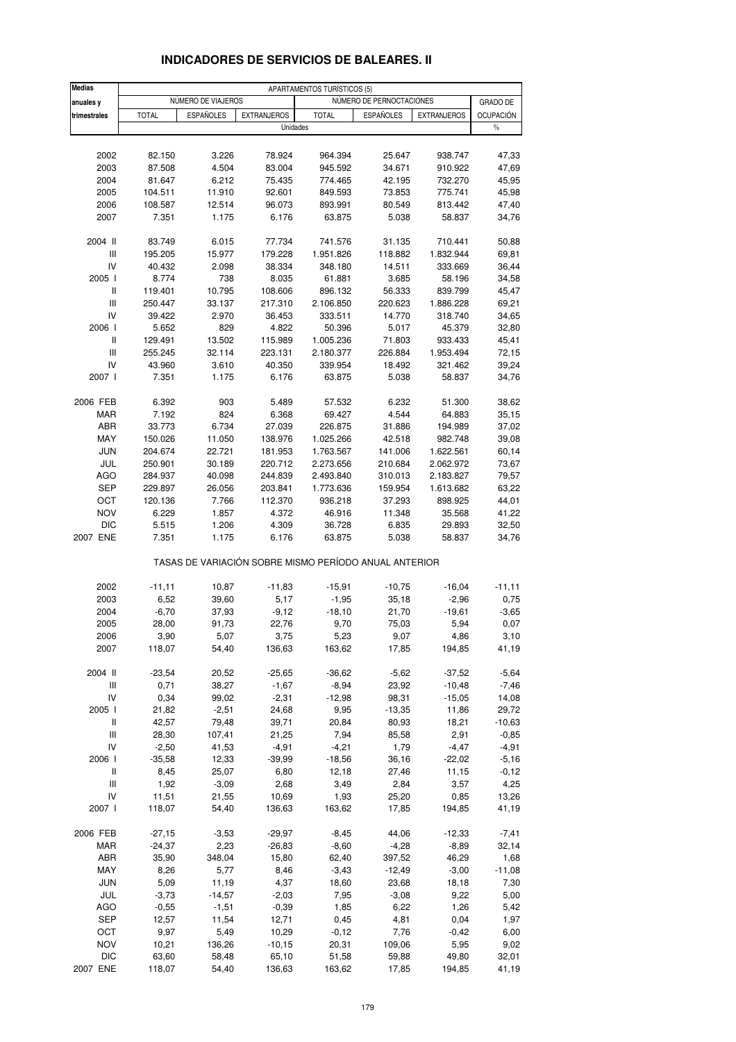| <b>Medias</b>                      | APARTAMENTOS TURÍSTICOS (5) |                    |                                                       |                   |                          |                    |                  |
|------------------------------------|-----------------------------|--------------------|-------------------------------------------------------|-------------------|--------------------------|--------------------|------------------|
| anuales y                          |                             | NÚMERO DE VIAJEROS |                                                       |                   | NÚMERO DE PERNOCTACIONES |                    | GRADO DE         |
| trimestrales                       | <b>TOTAL</b>                | <b>ESPAÑOLES</b>   | <b>EXTRANJEROS</b>                                    | <b>TOTAL</b>      | <b>ESPAÑOLES</b>         | <b>EXTRANJEROS</b> | <b>OCUPACIÓN</b> |
|                                    |                             |                    | Unidades                                              |                   |                          |                    | $\%$             |
|                                    |                             |                    |                                                       |                   |                          |                    |                  |
| 2002                               | 82.150                      | 3.226              | 78.924                                                | 964.394           | 25.647                   | 938.747            | 47,33            |
| 2003                               | 87.508                      | 4.504              | 83.004                                                | 945.592           | 34.671                   | 910.922            | 47,69            |
| 2004                               | 81.647                      | 6.212              | 75.435                                                | 774.465           | 42.195                   | 732.270            | 45,95            |
| 2005                               | 104.511                     | 11.910             | 92.601                                                | 849.593           | 73.853                   | 775.741<br>813.442 | 45,98            |
| 2006<br>2007                       | 108.587<br>7.351            | 12.514<br>1.175    | 96.073<br>6.176                                       | 893.991<br>63.875 | 80.549<br>5.038          | 58.837             | 47,40<br>34,76   |
|                                    |                             |                    |                                                       |                   |                          |                    |                  |
| 2004 II                            | 83.749                      | 6.015              | 77.734                                                | 741.576           | 31.135                   | 710.441            | 50,88            |
| Ш                                  | 195.205                     | 15.977             | 179.228                                               | 1.951.826         | 118.882                  | 1.832.944          | 69,81            |
| IV<br>2005 l                       | 40.432                      | 2.098              | 38.334                                                | 348.180           | 14.511                   | 333.669            | 36,44            |
| Ш                                  | 8.774<br>119.401            | 738<br>10.795      | 8.035<br>108.606                                      | 61.881<br>896.132 | 3.685<br>56.333          | 58.196<br>839.799  | 34,58<br>45,47   |
| Ш                                  | 250.447                     | 33.137             | 217.310                                               | 2.106.850         | 220.623                  | 1.886.228          | 69,21            |
| IV                                 | 39.422                      | 2.970              | 36.453                                                | 333.511           | 14.770                   | 318.740            | 34,65            |
| 2006                               | 5.652                       | 829                | 4.822                                                 | 50.396            | 5.017                    | 45.379             | 32,80            |
| Ш                                  | 129.491                     | 13.502             | 115.989                                               | 1.005.236         | 71.803                   | 933.433            | 45,41            |
| Ш                                  | 255.245                     | 32.114             | 223.131                                               | 2.180.377         | 226.884                  | 1.953.494          | 72,15            |
| IV                                 | 43.960                      | 3.610              | 40.350                                                | 339.954           | 18.492                   | 321.462            | 39,24            |
| 2007 l                             | 7.351                       | 1.175              | 6.176                                                 | 63.875            | 5.038                    | 58.837             | 34,76            |
| 2006 FEB                           | 6.392                       | 903                | 5.489                                                 | 57.532            | 6.232                    | 51.300             | 38,62            |
| <b>MAR</b>                         | 7.192                       | 824                | 6.368                                                 | 69.427            | 4.544                    | 64.883             | 35,15            |
| ABR                                | 33.773                      | 6.734              | 27.039                                                | 226.875           | 31.886                   | 194.989            | 37,02            |
| MAY                                | 150.026                     | 11.050             | 138.976                                               | 1.025.266         | 42.518                   | 982.748            | 39,08            |
| <b>JUN</b>                         | 204.674                     | 22.721             | 181.953                                               | 1.763.567         | 141.006                  | 1.622.561          | 60,14            |
| JUL                                | 250.901                     | 30.189             | 220.712                                               | 2.273.656         | 210.684                  | 2.062.972          | 73,67            |
| <b>AGO</b>                         | 284.937                     | 40.098             | 244.839                                               | 2.493.840         | 310.013                  | 2.183.827          | 79,57            |
| <b>SEP</b>                         | 229.897                     | 26.056             | 203.841                                               | 1.773.636         | 159.954                  | 1.613.682          | 63,22            |
| OCT                                | 120.136                     | 7.766              | 112.370                                               | 936.218           | 37.293                   | 898.925            | 44,01            |
| <b>NOV</b>                         | 6.229                       | 1.857              | 4.372                                                 | 46.916            | 11.348                   | 35.568             | 41,22            |
| DIC<br>2007 ENE                    | 5.515<br>7.351              | 1.206<br>1.175     | 4.309                                                 | 36.728            | 6.835                    | 29.893             | 32,50<br>34,76   |
|                                    |                             |                    | 6.176                                                 | 63.875            | 5.038                    | 58.837             |                  |
|                                    |                             |                    | TASAS DE VARIACIÓN SOBRE MISMO PERÍODO ANUAL ANTERIOR |                   |                          |                    |                  |
| 2002                               | $-11,11$                    | 10,87              | $-11,83$                                              | $-15,91$          | $-10,75$                 | $-16,04$           | $-11,11$         |
| 2003                               | 6,52                        | 39,60              | 5,17                                                  | $-1,95$           | 35,18                    | $-2,96$            | 0,75             |
| 2004                               | $-6,70$                     | 37,93              | $-9,12$                                               | $-18,10$          | 21,70                    | -19,61             | $-3,65$          |
| 2005                               | 28,00                       | 91,73              | 22,76                                                 | 9,70              | 75,03                    | 5,94               | 0,07             |
| 2006                               | 3,90                        | 5,07               | 3,75                                                  | 5,23              | 9,07                     | 4,86               | 3,10             |
| 2007                               | 118,07                      | 54,40              | 136,63                                                | 163,62            | 17,85                    | 194,85             | 41,19            |
| 2004 II                            | $-23,54$                    | 20,52              | $-25,65$                                              | $-36,62$          | $-5,62$                  | $-37,52$           | $-5,64$          |
| $\ensuremath{\mathsf{III}}\xspace$ | 0,71                        | 38,27              | $-1,67$                                               | $-8,94$           | 23,92                    | $-10,48$           | $-7,46$          |
| IV                                 | 0,34                        | 99,02              | $-2,31$                                               | $-12,98$          | 98,31                    | $-15,05$           | 14,08            |
| 2005 l                             | 21,82                       | $-2,51$            | 24,68                                                 | 9,95              | $-13,35$                 | 11,86              | 29,72            |
| Ш                                  | 42,57                       | 79,48              | 39,71                                                 | 20,84             | 80,93                    | 18,21              | $-10,63$         |
| Ш                                  | 28,30                       | 107,41             | 21,25                                                 | 7,94              | 85,58                    | 2,91               | $-0,85$          |
| IV                                 | $-2,50$                     | 41,53              | $-4,91$                                               | $-4,21$           | 1,79                     | $-4,47$            | $-4,91$          |
| 2006                               | $-35,58$                    | 12,33              | $-39,99$                                              | $-18,56$          | 36,16                    | $-22,02$           | $-5,16$          |
| Ш<br>Ш                             | 8,45<br>1,92                | 25,07<br>$-3,09$   | 6,80<br>2,68                                          | 12,18<br>3,49     | 27,46<br>2,84            | 11,15<br>3,57      | $-0, 12$<br>4,25 |
| IV                                 | 11,51                       | 21,55              | 10,69                                                 | 1,93              | 25,20                    | 0,85               | 13,26            |
| 2007                               | 118,07                      | 54,40              | 136,63                                                | 163,62            | 17,85                    | 194,85             | 41,19            |
|                                    |                             |                    |                                                       |                   |                          |                    |                  |
| 2006 FEB                           | $-27,15$                    | $-3,53$            | $-29,97$                                              | $-8,45$           | 44,06                    | $-12,33$           | $-7,41$          |
| MAR                                | $-24,37$                    | 2,23               | $-26,83$                                              | $-8,60$           | $-4,28$                  | $-8,89$            | 32,14            |
| ABR                                | 35,90                       | 348,04             | 15,80                                                 | 62,40             | 397,52                   | 46,29              | 1,68             |
| MAY                                | 8,26                        | 5,77               | 8,46                                                  | $-3,43$           | $-12,49$                 | $-3,00$            | $-11,08$         |
| <b>JUN</b><br>JUL                  | 5,09<br>$-3,73$             | 11,19<br>$-14,57$  | 4,37<br>$-2,03$                                       | 18,60<br>7,95     | 23,68<br>$-3,08$         | 18,18<br>9,22      | 7,30<br>5,00     |
| AGO                                | $-0,55$                     | $-1,51$            | $-0,39$                                               | 1,85              | 6,22                     | 1,26               | 5,42             |
| <b>SEP</b>                         | 12,57                       | 11,54              | 12,71                                                 | 0,45              | 4,81                     | 0,04               | 1,97             |
| OCT                                | 9,97                        | 5,49               | 10,29                                                 | $-0,12$           | 7,76                     | $-0,42$            | 6,00             |
| <b>NOV</b>                         | 10,21                       | 136,26             | $-10, 15$                                             | 20,31             | 109,06                   | 5,95               | 9,02             |
| DIC                                | 63,60                       | 58,48              | 65,10                                                 | 51,58             | 59,88                    | 49,80              | 32,01            |
| 2007 ENE                           | 118,07                      | 54,40              | 136,63                                                | 163,62            | 17,85                    | 194,85             | 41,19            |

#### **INDICADORES DE SERVICIOS DE BALEARES. II**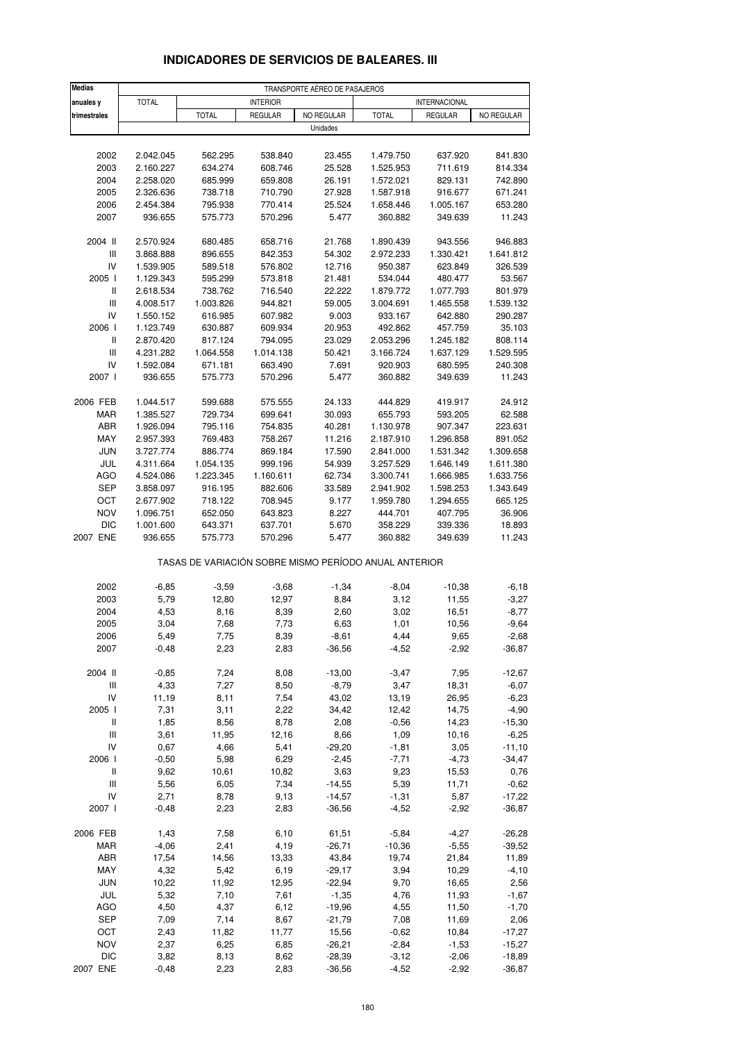| <b>Medias</b>                      |              |              |                                                       | TRANSPORTE AÉREO DE PASAJEROS |                        |                      |                    |
|------------------------------------|--------------|--------------|-------------------------------------------------------|-------------------------------|------------------------|----------------------|--------------------|
| anuales y                          | <b>TOTAL</b> |              | <b>INTERIOR</b>                                       |                               |                        | <b>INTERNACIONAL</b> |                    |
| trimestrales                       |              | <b>TOTAL</b> | <b>REGULAR</b>                                        | NO REGULAR                    | <b>TOTAL</b>           | <b>REGULAR</b>       | NO REGULAR         |
|                                    |              |              |                                                       | Unidades                      |                        |                      |                    |
| 2002                               |              |              |                                                       | 23.455                        |                        | 637.920              |                    |
| 2003                               | 2.042.045    | 562.295      | 538.840                                               |                               | 1.479.750<br>1.525.953 |                      | 841.830<br>814.334 |
|                                    | 2.160.227    | 634.274      | 608.746                                               | 25.528                        |                        | 711.619              |                    |
| 2004                               | 2.258.020    | 685.999      | 659.808                                               | 26.191                        | 1.572.021              | 829.131              | 742.890            |
| 2005                               | 2.326.636    | 738.718      | 710.790                                               | 27.928                        | 1.587.918              | 916.677              | 671.241            |
| 2006                               | 2.454.384    | 795.938      | 770.414                                               | 25.524                        | 1.658.446              | 1.005.167            | 653.280            |
| 2007                               | 936.655      | 575.773      | 570.296                                               | 5.477                         | 360.882                | 349.639              | 11.243             |
| 2004 II                            | 2.570.924    | 680.485      | 658.716                                               | 21.768                        | 1.890.439              | 943.556              | 946.883            |
| Ш                                  | 3.868.888    | 896.655      | 842.353                                               | 54.302                        | 2.972.233              | 1.330.421            | 1.641.812          |
| IV                                 | 1.539.905    | 589.518      | 576.802                                               | 12.716                        | 950.387                | 623.849              | 326.539            |
| 2005 l                             | 1.129.343    | 595.299      | 573.818                                               | 21.481                        | 534.044                | 480.477              | 53.567             |
| $\, \parallel$                     | 2.618.534    | 738.762      | 716.540                                               | 22.222                        | 1.879.772              | 1.077.793            | 801.979            |
| $\ensuremath{\mathsf{III}}\xspace$ | 4.008.517    | 1.003.826    | 944.821                                               | 59.005                        | 3.004.691              | 1.465.558            | 1.539.132          |
| IV                                 | 1.550.152    | 616.985      | 607.982                                               | 9.003                         | 933.167                | 642.880              | 290.287            |
| 2006                               | 1.123.749    | 630.887      | 609.934                                               | 20.953                        | 492.862                | 457.759              | 35.103             |
| $\mathsf{I}$                       | 2.870.420    | 817.124      | 794.095                                               | 23.029                        | 2.053.296              | 1.245.182            | 808.114            |
| Ш                                  | 4.231.282    | 1.064.558    | 1.014.138                                             | 50.421                        | 3.166.724              | 1.637.129            | 1.529.595          |
| IV                                 | 1.592.084    | 671.181      | 663.490                                               | 7.691                         | 920.903                | 680.595              | 240.308            |
| 2007 l                             | 936.655      | 575.773      | 570.296                                               | 5.477                         | 360.882                | 349.639              | 11.243             |
|                                    |              |              |                                                       |                               |                        |                      |                    |
| 2006 FEB                           | 1.044.517    | 599.688      | 575.555                                               | 24.133                        | 444.829                | 419.917              | 24.912             |
| MAR                                | 1.385.527    | 729.734      | 699.641                                               | 30.093                        | 655.793                | 593.205              | 62.588             |
| ABR                                | 1.926.094    | 795.116      | 754.835                                               | 40.281                        | 1.130.978              | 907.347              | 223.631            |
| MAY                                | 2.957.393    | 769.483      | 758.267                                               | 11.216                        | 2.187.910              | 1.296.858            | 891.052            |
| <b>JUN</b>                         | 3.727.774    | 886.774      | 869.184                                               | 17.590                        | 2.841.000              | 1.531.342            | 1.309.658          |
| JUL                                | 4.311.664    | 1.054.135    | 999.196                                               | 54.939                        | 3.257.529              | 1.646.149            | 1.611.380          |
| <b>AGO</b>                         | 4.524.086    | 1.223.345    | 1.160.611                                             | 62.734                        | 3.300.741              | 1.666.985            | 1.633.756          |
| <b>SEP</b>                         | 3.858.097    | 916.195      | 882.606                                               | 33.589                        | 2.941.902              | 1.598.253            | 1.343.649          |
| OCT                                | 2.677.902    | 718.122      | 708.945                                               | 9.177                         | 1.959.780              | 1.294.655            | 665.125            |
| <b>NOV</b>                         | 1.096.751    | 652.050      | 643.823                                               | 8.227                         | 444.701                | 407.795              | 36.906             |
| <b>DIC</b>                         | 1.001.600    | 643.371      | 637.701                                               | 5.670                         | 358.229                | 339.336              | 18.893             |
| 2007 ENE                           | 936.655      | 575.773      | 570.296                                               | 5.477                         | 360.882                | 349.639              | 11.243             |
|                                    |              |              | TASAS DE VARIACIÓN SOBRE MISMO PERÍODO ANUAL ANTERIOR |                               |                        |                      |                    |
| 2002                               | $-6,85$      | $-3,59$      | $-3,68$                                               | $-1,34$                       | $-8,04$                | $-10,38$             | $-6,18$            |
| 2003                               | 5,79         | 12,80        | 12,97                                                 | 8,84                          | 3,12                   | 11,55                | $-3,27$            |
| 2004                               | 4,53         | 8,16         | 8,39                                                  | 2,60                          | 3,02                   | 16,51                | $-8,77$            |
| 2005                               | 3,04         | 7,68         | 7,73                                                  | 6,63                          | 1,01                   | 10,56                | $-9,64$            |
|                                    |              |              |                                                       |                               |                        |                      |                    |
| 2006                               | 5,49         | 7,75         | 8,39                                                  | -8,61                         | 4,44                   | 9,65                 | $-2,68$            |
| 2007                               | $-0,48$      | 2,23         | 2,83                                                  | $-36,56$                      | $-4,52$                | $-2,92$              | $-36,87$           |
| 2004 II                            | $-0,85$      | 7,24         | 8,08                                                  | $-13,00$                      | $-3,47$                | 7,95                 | $-12,67$           |
| $\ensuremath{\mathsf{III}}\xspace$ | 4,33         | 7,27         | 8,50                                                  | $-8,79$                       | 3,47                   | 18,31                | $-6,07$            |
| IV                                 | 11,19        | 8,11         | 7,54                                                  | 43,02                         | 13,19                  | 26,95                | $-6,23$            |
| 2005 l                             | 7,31         | 3,11         | 2,22                                                  | 34,42                         | 12,42                  | 14,75                | $-4,90$            |
| Ш                                  | 1,85         | 8,56         | 8,78                                                  | 2,08                          | $-0,56$                | 14,23                | $-15,30$           |
| $\ensuremath{\mathsf{III}}\xspace$ | 3,61         | 11,95        | 12,16                                                 | 8,66                          | 1,09                   | 10,16                | $-6,25$            |
| IV                                 | 0,67         | 4,66         | 5,41                                                  | $-29,20$                      | $-1,81$                | 3,05                 | $-11,10$           |
| 2006                               | $-0,50$      | 5,98         | 6,29                                                  | $-2,45$                       | $-7,71$                | $-4,73$              | $-34,47$           |
| Ш                                  | 9,62         | 10,61        | 10,82                                                 | 3,63                          | 9,23                   | 15,53                | 0,76               |
| $\ensuremath{\mathsf{III}}\xspace$ | 5,56         | 6,05         | 7,34                                                  | $-14,55$                      | 5,39                   | 11,71                | $-0,62$            |
| IV                                 | 2,71         | 8,78         | 9,13                                                  | $-14,57$                      | $-1,31$                | 5,87                 | $-17,22$           |
| 2007 l                             | $-0,48$      | 2,23         | 2,83                                                  | $-36,56$                      | $-4,52$                | $-2,92$              | $-36,87$           |
|                                    |              |              |                                                       |                               |                        |                      |                    |
| 2006 FEB                           | 1,43         | 7,58         | 6,10                                                  | 61,51                         | $-5,84$                | $-4,27$              | $-26,28$           |
| <b>MAR</b>                         | $-4,06$      | 2,41         | 4,19                                                  | $-26,71$                      | $-10,36$               | $-5,55$              | $-39,52$           |
| ABR                                | 17,54        | 14,56        | 13,33                                                 | 43,84                         | 19,74                  | 21,84                | 11,89              |
| MAY                                | 4,32         | 5,42         | 6,19                                                  | $-29,17$                      | 3,94                   | 10,29                | $-4, 10$           |
| <b>JUN</b>                         | 10,22        | 11,92        | 12,95                                                 | $-22,94$                      | 9,70                   | 16,65                | 2,56               |
| JUL                                | 5,32         | 7,10         | 7,61                                                  | $-1,35$                       | 4,76                   | 11,93                | $-1,67$            |
| AGO                                | 4,50         | 4,37         | 6,12                                                  | $-19,96$                      | 4,55                   | 11,50                | $-1,70$            |
| <b>SEP</b>                         | 7,09         | 7,14         | 8,67                                                  | $-21,79$                      | 7,08                   | 11,69                | 2,06               |
| OCT                                | 2,43         | 11,82        | 11,77                                                 | 15,56                         | $-0,62$                | 10,84                | $-17,27$           |
| <b>NOV</b>                         | 2,37         | 6,25         | 6,85                                                  | $-26,21$                      | $-2,84$                | $-1,53$              | $-15,27$           |

### **INDICADORES DE SERVICIOS DE BALEARES. III**

DIC 3,82 8,13 8,62 -28,39 -3,12 -2,06 -18,89 2007 ENE -0,48 2,23 2,83 -36,56 -4,52 -2,92 -36,87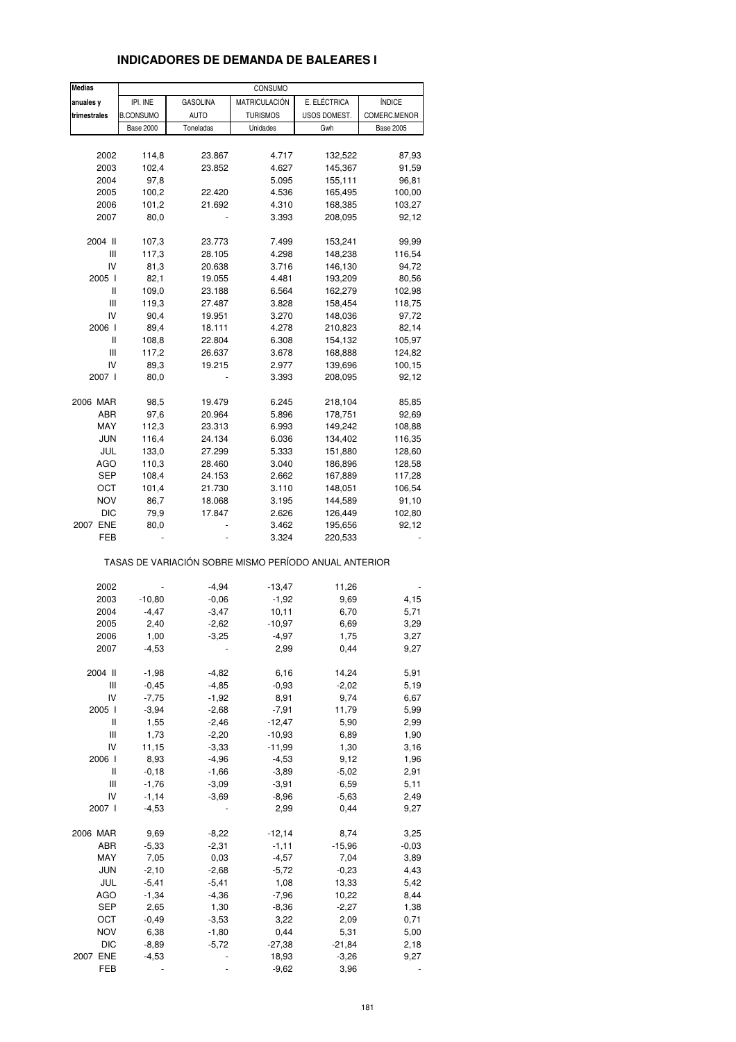#### **Medias anuales v IPI. INE GASOLINA MATRICULACIÓN E. ELÉCTRICA I ÍNDICE trimestrales B.CONSUMO AUTO** TURISMOS USOS DOMEST. COMERC.MENOR Base 2000 Toneladas Unidades Gwh Base 2005 2002 114,8 23.867 4.717 132,522 87,93 2003 102,4 23.852 4.627 145,367 91,59 2004 97,8 5.095 155,111 96,81 2005 100,2 22.420 4.536 165,495 100,00 2006 101,2 21.692 4.310 168,385 103,27 2007 80,0 - 3.393 208,095 92,12 2004 II 107,3 23.773 7.499 153,241 99,99 III 117,3 28.105 4.298 148,238 116,54 IV 81,3 20.638 3.716 146,130 94,72 2005 I 82,1 19.055 4.481 193,209 80,56 II 109,0 23.188 6.564 162,279 102,98 III 119,3 27.487 3.828 158,454 118,75 IV 90,4 19.951 3.270 148,036 97,72 2006 I 89,4 18.111 4.278 210,823 82,14 II 108,8 22.804 6.308 154,132 105,97 III 117,2 26.637 3.678 168,888 124,82 IV 89,3 19.215 2.977 139,696 100,15 2007 I 80,0 - 3.393 208,095 92,12 2006 MAR 98,5 19.479 6.245 218,104 85,85 ABR 97,6 20.964 5.896 178,751 92,69 MAY 112,3 23.313 6.993 149,242 108,88 JUN 116,4 24.134 6.036 134,402 116,35 JUL 133,0 27.299 5.333 151,880 128,60 AGO 110,3 28.460 3.040 186,896 128,58 SEP 108,4 24.153 2.662 167,889 117,28 OCT 101,4 21.730 3.110 148,051 106,54 NOV 86,7 18.068 3.195 144,589 91,10 DIC 79,9 17.847 2.626 126,449 102,80 2007 ENE 80,0 - 3.462 195,656 92,12 FEB - - 3.324 220,533 - TASAS DE VARIACIÓN SOBRE MISMO PERÍODO ANUAL ANTERIOR 2002 - -4,94 -13,47 11,26 - 2003 -10,80 -0,06 -1,92 9,69 4,15 2004 -4,47 -3,47 10,11 6,70 5,71 2005 2,40 -2,62 -10,97 6,69 3,29 2006 1,00 -3,25 -4,97 1,75 3,27 2007 -4,53 - 2,99 0,44 9,27 2004 II -1,98 -4,82 6,16 14,24 5,91 III -0,45 -4,85 -0,93 -2,02 5,19 IV -7,75 -1,92 8,91 9,74 6,67 2005 I -3,94 -2,68 -7,91 11,79 5,99 II 1,55 -2,46 -12,47 5,90 2,99 III 1,73 -2,20 -10,93 6,89 1,90 IV 11,15 -3,33 -11,99 1,30 3,16 2006 I 8,93 -4,96 -4,53 9,12 1,96 II -0,18 -1,66 -3,89 -5,02 2,91 III -1,76 -3,09 -3,91 6,59 5,11 IV -1,14 -3,69 -8,96 -5,63 2,49 2007 I -4,53 - 2,99 0,44 9,27 2006 MAR 9,69 -8,22 -12,14 8,74 3,25 ABR -5,33 -2,31 -1,11 -15,96 -0,03 MAY 7,05 0,03 -4,57 7,04 3,89 JUN -2,10 -2,68 -5,72 -0,23 4,43 JUL -5,41 -5,41 1,08 13,33 5,42 AGO -1,34 -4,36 -7,96 10,22 8,44 SEP 2,65 1,30 -8,36 -2,27 1,38 OCT -0,49 -3,53 3,22 2,09 0,71 NOV 6,38 -1,80 0,44 5,31 5,00 DIC -8,89 -5,72 -27,38 -21,84 2,18 2007 ENE -4,53 - 18,93 -3,26 9,27 CONSUMO

FEB - - -9,62 3,96 -

#### **INDICADORES DE DEMANDA DE BALEARES I**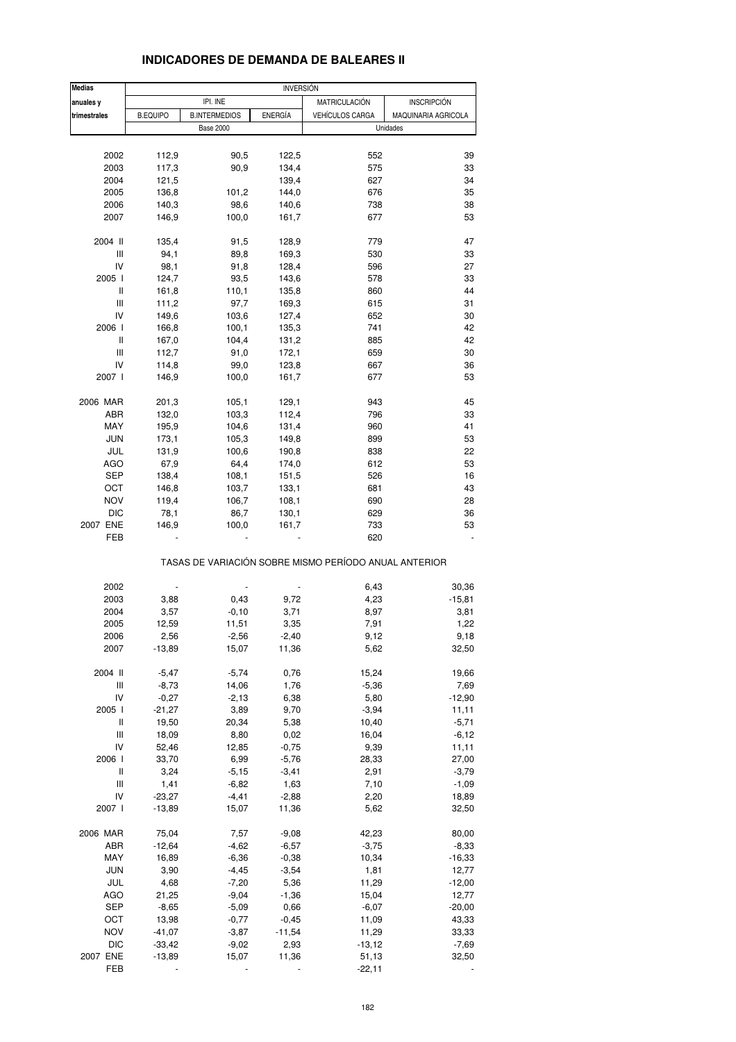| <b>Medias</b>                      |                           |                      |                    | <b>INVERSION</b>                                      |                     |  |  |  |
|------------------------------------|---------------------------|----------------------|--------------------|-------------------------------------------------------|---------------------|--|--|--|
| anuales y                          | IPI. INE<br>MATRICULACIÓN |                      | <b>INSCRIPCIÓN</b> |                                                       |                     |  |  |  |
| trimestrales                       | <b>B.EQUIPO</b>           | <b>B.INTERMEDIOS</b> | <b>ENERGÍA</b>     | <b>VEHÍCULOS CARGA</b>                                | MAQUINARIA AGRICOLA |  |  |  |
|                                    |                           | <b>Base 2000</b>     |                    |                                                       | Unidades            |  |  |  |
|                                    |                           |                      |                    |                                                       |                     |  |  |  |
| 2002                               | 112,9                     | 90,5                 | 122,5              | 552                                                   | 39                  |  |  |  |
| 2003                               | 117,3                     | 90,9                 | 134,4              | 575                                                   | 33                  |  |  |  |
| 2004                               | 121,5                     |                      | 139,4              | 627                                                   | 34                  |  |  |  |
| 2005                               | 136,8                     | 101,2                | 144,0              | 676                                                   | 35                  |  |  |  |
| 2006                               | 140,3                     | 98,6                 | 140,6              | 738                                                   | 38                  |  |  |  |
| 2007                               | 146,9                     | 100,0                | 161,7              | 677                                                   | 53                  |  |  |  |
|                                    |                           |                      |                    |                                                       |                     |  |  |  |
| 2004 II                            | 135,4                     | 91,5                 | 128,9              | 779                                                   | 47                  |  |  |  |
| Ш                                  | 94,1                      | 89,8                 | 169,3              | 530                                                   | 33                  |  |  |  |
| IV                                 | 98,1                      | 91,8                 | 128,4              | 596                                                   | 27                  |  |  |  |
| 2005 l                             | 124,7                     | 93,5                 | 143,6              | 578                                                   | 33                  |  |  |  |
| Ш                                  | 161,8                     | 110,1                | 135,8              | 860                                                   | 44                  |  |  |  |
| Ш                                  | 111,2                     | 97,7                 | 169,3              | 615                                                   | 31                  |  |  |  |
| IV                                 | 149,6                     | 103,6                | 127,4              | 652                                                   | 30                  |  |  |  |
| 2006                               | 166,8                     | 100,1                | 135,3              | 741                                                   | 42                  |  |  |  |
| Ш                                  | 167,0                     | 104,4                | 131,2              | 885                                                   | 42                  |  |  |  |
| Ш                                  | 112,7                     | 91,0                 | 172,1              | 659                                                   | 30                  |  |  |  |
| IV                                 | 114,8                     | 99,0                 | 123,8              | 667                                                   | 36                  |  |  |  |
| 2007 l                             | 146,9                     | 100,0                | 161,7              | 677                                                   | 53                  |  |  |  |
|                                    |                           |                      |                    |                                                       |                     |  |  |  |
| 2006 MAR                           | 201,3                     | 105,1                | 129,1              | 943                                                   | 45                  |  |  |  |
| ABR                                | 132,0                     | 103,3                | 112,4              | 796                                                   | 33                  |  |  |  |
| MAY                                | 195,9                     | 104,6                | 131,4              | 960                                                   | 41                  |  |  |  |
| <b>JUN</b>                         | 173,1                     | 105,3                | 149,8              | 899                                                   | 53                  |  |  |  |
| JUL                                | 131,9                     | 100,6                | 190,8              | 838                                                   | 22                  |  |  |  |
| AGO                                | 67,9                      | 64,4                 | 174,0              | 612                                                   | 53                  |  |  |  |
| SEP                                | 138,4                     | 108,1                | 151,5              | 526                                                   | 16                  |  |  |  |
| OCT                                | 146,8                     | 103,7                | 133,1              | 681                                                   | 43                  |  |  |  |
| <b>NOV</b>                         | 119,4                     | 106,7                | 108,1              | 690                                                   | 28                  |  |  |  |
| DIC                                | 78,1                      | 86,7                 | 130,1              | 629                                                   | 36                  |  |  |  |
| 2007 ENE                           | 146,9                     | 100,0                | 161,7              | 733                                                   | 53                  |  |  |  |
| FEB                                |                           |                      |                    | 620                                                   |                     |  |  |  |
|                                    |                           |                      |                    | TASAS DE VARIACIÓN SOBRE MISMO PERÍODO ANUAL ANTERIOR |                     |  |  |  |
| 2002                               |                           |                      |                    | 6,43                                                  | 30,36               |  |  |  |
| 2003                               | 3,88                      | 0,43                 | 9,72               | 4,23                                                  | $-15,81$            |  |  |  |
| 2004                               | 3,57                      | $-0,10$              | 3,71               | 8,97                                                  | 3,81                |  |  |  |
| 2005                               | 12,59                     | 11,51                | 3,35               | 7,91                                                  | 1,22                |  |  |  |
| 2006                               | 2,56                      | $-2,56$              | $-2,40$            | 9,12                                                  | 9,18                |  |  |  |
| 2007                               | $-13,89$                  | 15,07                | 11,36              | 5,62                                                  | 32,50               |  |  |  |
| 2004 II                            | $-5,47$                   | $-5,74$              | 0,76               | 15,24                                                 | 19,66               |  |  |  |
| $\ensuremath{\mathsf{III}}\xspace$ | $-8,73$                   | 14,06                | 1,76               | $-5,36$                                               | 7,69                |  |  |  |
|                                    |                           |                      |                    |                                                       |                     |  |  |  |
| IV                                 | $-0,27$                   | $-2,13$              | 6,38               | 5,80                                                  | $-12,90$            |  |  |  |
| 2005 l                             | $-21,27$                  | 3,89                 | 9,70               | $-3,94$                                               | 11,11               |  |  |  |
| Ш                                  | 19,50                     | 20,34                | 5,38               | 10,40                                                 | $-5,71$             |  |  |  |
| Ш                                  | 18,09                     | 8,80                 | 0,02               | 16,04                                                 | $-6, 12$            |  |  |  |
| IV                                 | 52,46                     | 12,85                | $-0,75$            | 9,39                                                  | 11,11               |  |  |  |
| 2006 l                             | 33,70                     | 6,99                 | $-5,76$            | 28,33                                                 | 27,00               |  |  |  |
| Ш                                  | 3,24                      | $-5, 15$             | $-3,41$            | 2,91                                                  | $-3,79$             |  |  |  |
| Ш                                  | 1,41                      | $-6,82$              | 1,63               | 7,10                                                  | $-1,09$             |  |  |  |
| IV                                 | $-23,27$                  | $-4,41$              | $-2,88$            | 2,20                                                  | 18,89               |  |  |  |
| 2007 l                             | $-13,89$                  | 15,07                | 11,36              | 5,62                                                  | 32,50               |  |  |  |
| 2006 MAR                           | 75,04                     | 7,57                 | $-9,08$            | 42,23                                                 |                     |  |  |  |
|                                    |                           |                      |                    |                                                       | 80,00               |  |  |  |
| ABR                                | $-12,64$                  | $-4,62$              | $-6,57$            | $-3,75$                                               | $-8,33$             |  |  |  |
| MAY                                | 16,89                     | $-6,36$              | $-0,38$            | 10,34                                                 | $-16,33$            |  |  |  |
| <b>JUN</b>                         | 3,90                      | $-4,45$              | $-3,54$            | 1,81                                                  | 12,77               |  |  |  |
| JUL                                | 4,68                      | $-7,20$              | 5,36               | 11,29                                                 | $-12,00$            |  |  |  |
| <b>AGO</b>                         | 21,25                     | $-9,04$              | $-1,36$            | 15,04                                                 | 12,77               |  |  |  |
| <b>SEP</b>                         | $-8,65$                   | $-5,09$              | 0,66               | $-6,07$                                               | $-20,00$            |  |  |  |
| ОСТ                                | 13,98                     | $-0,77$              | $-0,45$            | 11,09                                                 | 43,33               |  |  |  |
| <b>NOV</b>                         | $-41,07$                  | $-3,87$              | $-11,54$           | 11,29                                                 | 33,33               |  |  |  |
| DIC                                | $-33,42$                  | $-9,02$              | 2,93               | $-13,12$                                              | $-7,69$             |  |  |  |
| 2007 ENE                           | $-13,89$                  | 15,07                | 11,36              | 51,13                                                 | 32,50               |  |  |  |
| FEB                                |                           |                      |                    | $-22,11$                                              |                     |  |  |  |
|                                    |                           |                      |                    |                                                       |                     |  |  |  |

## **INDICADORES DE DEMANDA DE BALEARES II**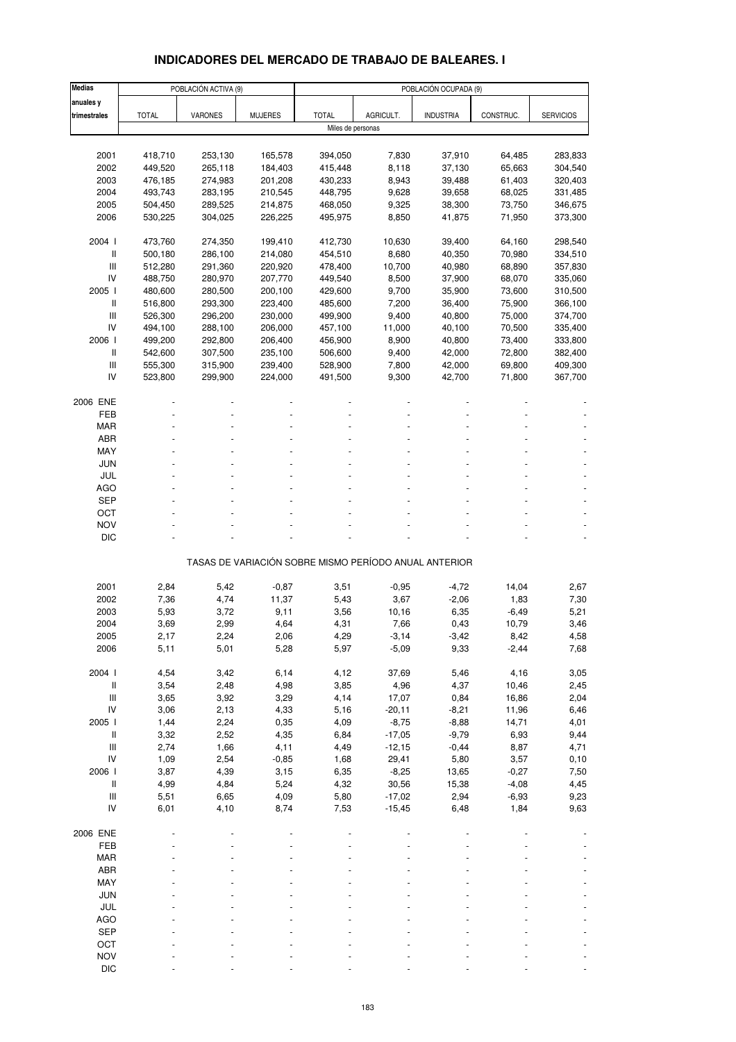# **INDICADORES DEL MERCADO DE TRABAJO DE BALEARES. I**

| <b>Medias</b>                      |              | POBLACIÓN ACTIVA (9) |                |                   |                  | POBLACIÓN OCUPADA (9)                                 |                    |                  |
|------------------------------------|--------------|----------------------|----------------|-------------------|------------------|-------------------------------------------------------|--------------------|------------------|
| anuales y                          |              |                      |                |                   |                  |                                                       |                    |                  |
| trimestrales                       | <b>TOTAL</b> | <b>VARONES</b>       | <b>MUJERES</b> | <b>TOTAL</b>      | AGRICULT.        | <b>INDUSTRIA</b>                                      | CONSTRUC.          | <b>SERVICIOS</b> |
|                                    |              |                      |                | Miles de personas |                  |                                                       |                    |                  |
|                                    |              |                      |                |                   |                  |                                                       |                    |                  |
| 2001                               | 418,710      | 253,130              | 165,578        | 394,050           | 7,830            | 37,910                                                | 64,485             | 283,833          |
| 2002                               | 449,520      | 265,118              | 184,403        | 415,448           | 8,118            | 37,130                                                | 65,663             | 304,540          |
| 2003                               | 476,185      | 274,983              | 201,208        | 430,233           | 8,943            | 39,488                                                | 61,403             | 320,403          |
| 2004                               | 493,743      | 283,195              | 210,545        | 448,795           | 9,628            | 39,658                                                | 68,025             | 331,485          |
| 2005                               | 504,450      | 289,525              | 214,875        | 468,050           | 9,325            | 38,300                                                | 73,750             | 346,675          |
| 2006                               | 530,225      | 304,025              | 226,225        | 495,975           | 8,850            | 41,875                                                | 71,950             | 373,300          |
| 2004 l                             | 473,760      | 274,350              | 199,410        | 412,730           | 10,630           | 39,400                                                | 64,160             | 298,540          |
| $\mathsf{I}$                       | 500,180      | 286,100              | 214,080        | 454,510           | 8,680            | 40,350                                                | 70,980             | 334,510          |
| $\mathsf{III}$                     | 512,280      | 291,360              | 220,920        | 478,400           | 10,700           | 40,980                                                | 68,890             | 357,830          |
| IV                                 | 488,750      | 280,970              | 207,770        | 449,540           | 8,500            | 37,900                                                | 68,070             | 335,060          |
| 2005 l                             | 480,600      | 280,500              | 200,100        | 429,600           | 9,700            | 35,900                                                | 73,600             | 310,500          |
| $\mathsf{I}$                       | 516,800      | 293,300              | 223,400        | 485,600           | 7,200            | 36,400                                                | 75,900             | 366,100          |
| III                                | 526,300      | 296,200              | 230,000        | 499,900           | 9,400            | 40,800                                                | 75,000             | 374,700          |
| IV                                 | 494,100      | 288,100              | 206,000        | 457,100           | 11,000           | 40,100                                                | 70,500             | 335,400          |
| 2006                               | 499,200      | 292,800              | 206,400        | 456,900           | 8,900            | 40,800                                                | 73,400             | 333,800          |
| $\mathsf{I}$                       | 542,600      | 307,500              | 235,100        | 506,600           | 9,400            | 42,000                                                | 72,800             | 382,400          |
| III                                | 555,300      | 315,900              | 239,400        | 528,900           | 7,800            | 42,000                                                | 69,800             | 409,300          |
| IV                                 | 523,800      | 299,900              | 224,000        | 491,500           | 9,300            | 42,700                                                | 71,800             | 367,700          |
|                                    |              |                      |                |                   |                  |                                                       |                    |                  |
| 2006 ENE                           |              |                      |                |                   |                  |                                                       |                    |                  |
| FEB<br><b>MAR</b>                  |              |                      |                |                   |                  |                                                       |                    |                  |
| <b>ABR</b>                         |              |                      |                |                   |                  |                                                       |                    |                  |
| MAY                                |              |                      |                |                   |                  |                                                       |                    |                  |
| <b>JUN</b>                         |              |                      |                |                   |                  |                                                       |                    |                  |
| JUL                                |              |                      |                |                   |                  |                                                       |                    |                  |
| AGO                                |              |                      |                |                   |                  |                                                       |                    |                  |
| <b>SEP</b>                         |              |                      |                |                   |                  |                                                       |                    |                  |
| OCT                                |              |                      |                |                   |                  |                                                       |                    |                  |
| <b>NOV</b>                         |              |                      |                |                   |                  |                                                       |                    |                  |
| <b>DIC</b>                         |              |                      |                |                   |                  |                                                       |                    |                  |
|                                    |              |                      |                |                   |                  |                                                       |                    |                  |
|                                    |              |                      |                |                   |                  | TASAS DE VARIACIÓN SOBRE MISMO PERÍODO ANUAL ANTERIOR |                    |                  |
| 2001                               | 2,84         | 5,42                 | $-0,87$        | 3,51              | $-0,95$          | $-4,72$                                               | 14,04              | 2,67             |
| 2002                               | 7,36         | 4,74                 | 11,37          | 5,43              | 3,67             | $-2,06$                                               | 1,83               | 7,30             |
| 2003                               | 5,93         | 3,72                 | 9,11           | 3,56              | 10,16            | 6,35                                                  | $-6,49$            | 5,21             |
| 2004                               | 3,69         | 2,99                 | 4,64           | 4,31              | 7,66             | 0,43                                                  | 10,79              | 3,46             |
| 2005                               | 2,17         | 2,24                 | 2,06           | 4,29              | -3,14            | $-3,42$                                               | 8,42               | 4,58             |
| 2006                               | 5,11         | 5,01                 | 5,28           | 5,97              | $-5,09$          | 9,33                                                  | $-2,44$            | 7,68             |
|                                    |              |                      |                |                   |                  |                                                       |                    |                  |
| 2004 l                             | 4,54         | 3,42                 | 6, 14          | 4,12              | 37,69            | 5,46                                                  | 4,16               | 3,05             |
| $\, \parallel$                     | 3,54         | 2,48                 | 4,98           | 3,85              | 4,96             | 4,37                                                  | 10,46              | 2,45             |
| $\ensuremath{\mathsf{III}}\xspace$ | 3,65         | 3,92                 | 3,29           | 4,14              | 17,07            | 0,84                                                  | 16,86              | 2,04             |
| ${\sf IV}$                         | 3,06         | 2,13                 | 4,33           | 5,16              | $-20,11$         | $-8,21$                                               | 11,96              | 6,46             |
| 2005 l                             | 1,44         | 2,24                 | 0,35           | 4,09              | $-8,75$          | $-8,88$                                               | 14,71              | 4,01             |
| $\, \parallel$                     | 3,32         | 2,52                 | 4,35           | 6,84              | $-17,05$         | $-9,79$                                               | 6,93               | 9,44             |
| $\ensuremath{\mathsf{III}}\xspace$ | 2,74         | 1,66                 | 4,11           | 4,49              | $-12,15$         | $-0,44$                                               | 8,87               | 4,71             |
| IV                                 | 1,09         | 2,54                 | $-0,85$        | 1,68              | 29,41            | 5,80                                                  | 3,57               | 0,10             |
| 2006  <br>$\, \parallel$           | 3,87<br>4,99 | 4,39<br>4,84         | 3,15<br>5,24   | 6,35<br>4,32      | $-8,25$<br>30,56 | 13,65<br>15,38                                        | $-0,27$<br>$-4,08$ | 7,50<br>4,45     |
| $\ensuremath{\mathsf{III}}\xspace$ | 5,51         | 6,65                 | 4,09           | 5,80              | $-17,02$         | 2,94                                                  | $-6,93$            | 9,23             |
| IV                                 | 6,01         | 4,10                 | 8,74           | 7,53              | $-15,45$         | 6,48                                                  | 1,84               | 9,63             |
|                                    |              |                      |                |                   |                  |                                                       |                    |                  |
| 2006 ENE                           |              |                      |                |                   |                  |                                                       |                    |                  |
| FEB                                |              |                      |                |                   |                  |                                                       |                    |                  |
| MAR                                |              |                      |                |                   |                  |                                                       |                    |                  |
| ABR                                |              |                      |                |                   |                  |                                                       |                    |                  |
| MAY                                |              |                      |                |                   |                  |                                                       |                    |                  |
| <b>JUN</b>                         |              |                      |                |                   |                  |                                                       |                    |                  |
| JUL                                |              |                      |                |                   |                  |                                                       |                    |                  |
| <b>AGO</b>                         |              |                      |                |                   |                  |                                                       |                    |                  |
| <b>SEP</b>                         |              |                      |                |                   |                  |                                                       |                    |                  |
| OCT                                |              |                      |                |                   |                  |                                                       |                    |                  |
| <b>NOV</b>                         |              |                      |                |                   |                  |                                                       |                    |                  |
| <b>DIC</b>                         |              |                      |                |                   |                  |                                                       |                    |                  |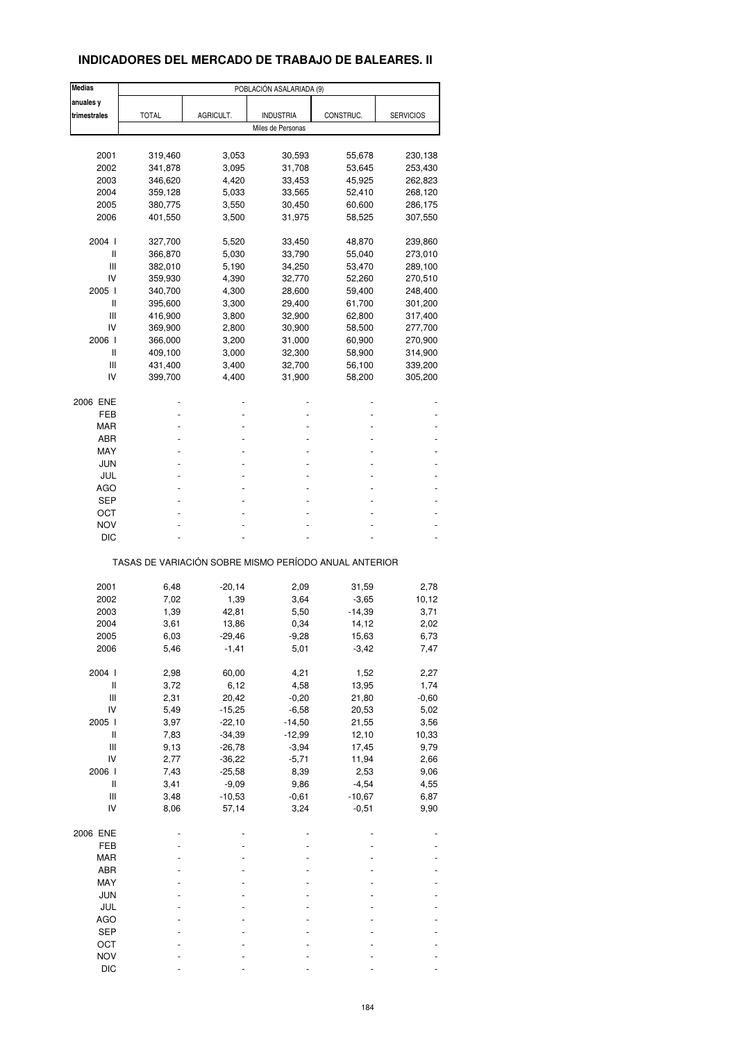# **INDICADORES DEL MERCADO DE TRABAJO DE BALEARES. II**

| <b>Medias</b>                      |                                                       |           | POBLACIÓN ASALARIADA (9) |           |                  |
|------------------------------------|-------------------------------------------------------|-----------|--------------------------|-----------|------------------|
| anuales y                          |                                                       |           |                          |           |                  |
| trimestrales                       | <b>TOTAL</b>                                          | AGRICULT. | <b>INDUSTRIA</b>         | CONSTRUC. | <b>SERVICIOS</b> |
|                                    |                                                       |           | Miles de Personas        |           |                  |
|                                    |                                                       |           |                          |           |                  |
| 2001                               | 319,460                                               | 3,053     | 30,593                   | 55,678    | 230,138          |
| 2002                               | 341,878                                               | 3,095     | 31,708                   | 53,645    | 253,430          |
|                                    |                                                       |           |                          |           |                  |
| 2003                               | 346,620                                               | 4,420     | 33,453                   | 45,925    | 262,823          |
| 2004                               | 359,128                                               | 5,033     | 33,565                   | 52,410    | 268,120          |
| 2005                               | 380,775                                               | 3,550     | 30,450                   | 60,600    | 286,175          |
| 2006                               | 401,550                                               | 3,500     | 31,975                   | 58,525    | 307,550          |
| 2004 l                             | 327,700                                               | 5,520     | 33,450                   | 48,870    | 239,860          |
| Ш                                  | 366,870                                               | 5,030     | 33,790                   | 55,040    | 273,010          |
| Ш                                  |                                                       |           |                          |           |                  |
|                                    | 382,010                                               | 5,190     | 34,250                   | 53,470    | 289,100          |
| IV                                 | 359,930                                               | 4,390     | 32,770                   | 52,260    | 270,510          |
| 2005 l                             | 340,700                                               | 4,300     | 28,600                   | 59,400    | 248,400          |
| Ш                                  | 395,600                                               | 3,300     | 29,400                   | 61,700    | 301,200          |
| Ш                                  | 416,900                                               | 3,800     | 32,900                   | 62,800    | 317,400          |
| IV                                 | 369,900                                               | 2,800     | 30,900                   | 58,500    | 277,700          |
|                                    |                                                       |           |                          |           |                  |
| 2006                               | 366,000                                               | 3,200     | 31,000                   | 60,900    | 270,900          |
| Ш                                  | 409,100                                               | 3,000     | 32,300                   | 58,900    | 314,900          |
| Ш                                  | 431,400                                               | 3,400     | 32,700                   | 56,100    | 339,200          |
| IV                                 | 399,700                                               | 4,400     | 31,900                   | 58,200    | 305,200          |
| 2006 ENE                           |                                                       |           |                          |           |                  |
|                                    |                                                       |           |                          |           |                  |
| FEB                                |                                                       |           |                          |           |                  |
| MAR                                |                                                       |           |                          |           |                  |
| ABR                                |                                                       |           |                          |           |                  |
| MAY                                |                                                       |           |                          |           |                  |
| JUN                                |                                                       |           |                          |           |                  |
| JUL                                |                                                       |           |                          |           |                  |
|                                    |                                                       |           |                          |           |                  |
| <b>AGO</b>                         |                                                       |           |                          |           |                  |
| SEP                                |                                                       |           |                          |           |                  |
| ост                                |                                                       |           |                          |           |                  |
| NOV                                |                                                       |           |                          |           |                  |
| DIC                                |                                                       |           |                          |           |                  |
|                                    | TASAS DE VARIACIÓN SOBRE MISMO PERÍODO ANUAL ANTERIOR |           |                          |           |                  |
|                                    |                                                       |           |                          |           |                  |
| 2001                               | 6,48                                                  | $-20,14$  | 2,09                     | 31,59     | 2,78             |
| 2002                               | 7,02                                                  | 1,39      | 3,64                     | $-3,65$   | 10,12            |
| 2003                               | 1,39                                                  | 42,81     | 5,50                     | -14,39    | 3,71             |
| 2004                               | 3,61                                                  | 13,86     | 0,34                     | 14,12     | 2,02             |
| 2005                               | 6,03                                                  | -29,46    | $-9,28$                  | 15,63     | 6,73             |
| 2006                               | 5,46                                                  | $-1,41$   | 5,01                     | $-3,42$   | 7,47             |
|                                    |                                                       |           |                          |           |                  |
| 2004 l                             | 2,98                                                  | 60,00     | 4,21                     | 1,52      | 2,27             |
| $\sf II$                           | 3,72                                                  | 6,12      | 4,58                     | 13,95     | 1,74             |
| $\ensuremath{\mathsf{III}}\xspace$ | 2,31                                                  | 20,42     | $-0,20$                  | 21,80     | $-0,60$          |
| IV                                 | 5,49                                                  | $-15,25$  | $-6,58$                  | 20,53     | 5,02             |
| 2005 l                             | 3,97                                                  | $-22,10$  | $-14,50$                 | 21,55     | 3,56             |
| $\sf II$                           |                                                       | $-34,39$  |                          |           | 10,33            |
|                                    | 7,83                                                  |           | $-12,99$                 | 12,10     |                  |
| $\ensuremath{\mathsf{III}}\xspace$ | 9,13                                                  | $-26,78$  | $-3,94$                  | 17,45     | 9,79             |
| IV                                 | 2,77                                                  | $-36,22$  | $-5,71$                  | 11,94     | 2,66             |
| 2006                               | 7,43                                                  | $-25,58$  | 8,39                     | 2,53      | 9,06             |
| $\, \parallel$                     | 3,41                                                  | $-9,09$   | 9,86                     | $-4,54$   | 4,55             |
| Ш                                  | 3,48                                                  | $-10,53$  | $-0,61$                  | $-10,67$  | 6,87             |
| IV                                 | 8,06                                                  | 57,14     | 3,24                     | $-0,51$   | 9,90             |
|                                    |                                                       |           |                          |           |                  |
| 2006 ENE                           |                                                       |           |                          |           |                  |
| FEB                                |                                                       |           |                          |           |                  |
| MAR                                |                                                       |           |                          |           |                  |
| ABR                                |                                                       |           |                          |           |                  |
|                                    |                                                       |           |                          |           |                  |
| MAY                                |                                                       |           |                          |           |                  |
| JUN                                |                                                       |           |                          |           |                  |
| JUL                                |                                                       |           |                          |           |                  |
| AGO                                |                                                       |           |                          |           |                  |
| <b>SEP</b>                         |                                                       |           |                          |           |                  |
| OCT                                |                                                       |           |                          |           |                  |
|                                    |                                                       |           |                          |           |                  |
| <b>NOV</b>                         |                                                       |           |                          |           |                  |
| <b>DIC</b>                         |                                                       |           |                          |           |                  |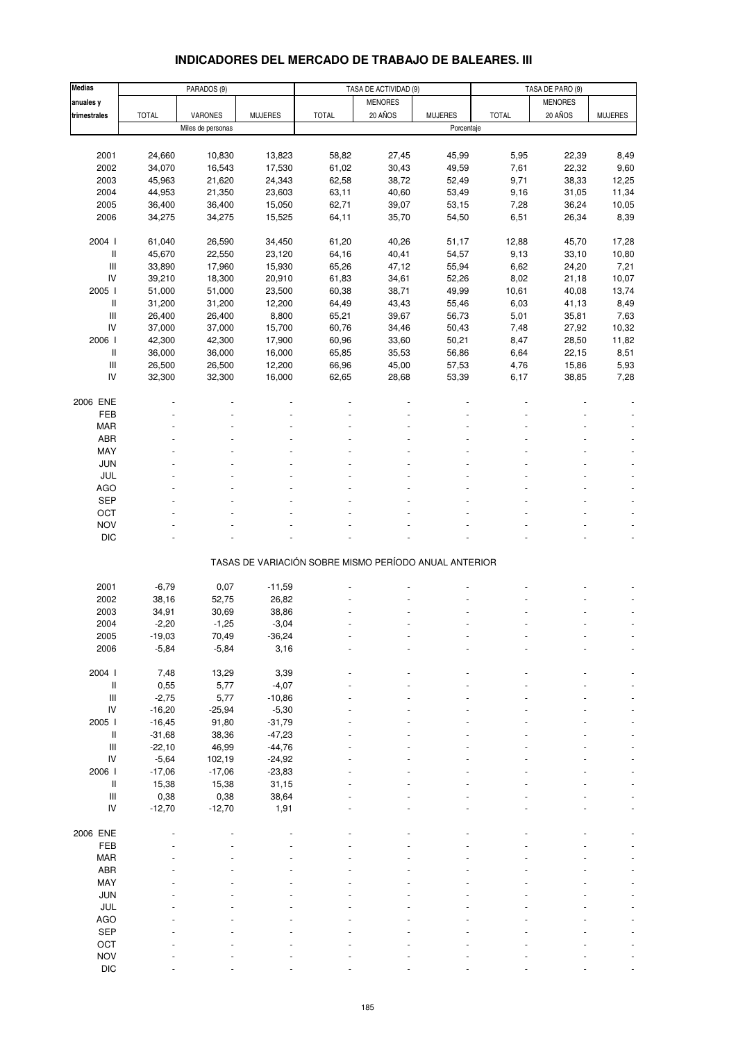# **INDICADORES DEL MERCADO DE TRABAJO DE BALEARES. III**

| <b>Medias</b>                      |              | PARADOS (9)       | TASA DE ACTIVIDAD (9) |                                                       |                |                | TASA DE PARO (9) |                |                |
|------------------------------------|--------------|-------------------|-----------------------|-------------------------------------------------------|----------------|----------------|------------------|----------------|----------------|
| anuales y                          |              |                   |                       |                                                       | <b>MENORES</b> |                |                  | <b>MENORES</b> |                |
| trimestrales                       | <b>TOTAL</b> | VARONES           | <b>MUJERES</b>        | <b>TOTAL</b>                                          | 20 AÑOS        | <b>MUJERES</b> | <b>TOTAL</b>     | 20 AÑOS        | <b>MUJERES</b> |
|                                    |              | Miles de personas |                       |                                                       |                | Porcentaje     |                  |                |                |
|                                    |              |                   |                       |                                                       |                |                |                  |                |                |
|                                    |              |                   |                       |                                                       |                |                |                  |                |                |
| 2001                               | 24,660       | 10,830            | 13,823                | 58,82                                                 | 27,45          | 45,99          | 5,95             | 22,39          | 8,49           |
| 2002                               | 34,070       | 16,543            | 17,530                | 61,02                                                 | 30,43          | 49,59          | 7,61             | 22,32          | 9,60           |
| 2003                               | 45,963       | 21,620            | 24,343                | 62,58                                                 | 38,72          | 52,49          | 9,71             | 38,33          | 12,25          |
| 2004                               | 44,953       | 21,350            | 23,603                | 63,11                                                 | 40,60          | 53,49          | 9,16             | 31,05          | 11,34          |
| 2005                               | 36,400       | 36,400            | 15,050                | 62,71                                                 | 39,07          | 53,15          | 7,28             | 36,24          | 10,05          |
| 2006                               | 34,275       | 34,275            | 15,525                | 64,11                                                 | 35,70          | 54,50          | 6,51             | 26,34          | 8,39           |
|                                    |              |                   |                       |                                                       |                |                |                  |                |                |
| 2004 l                             | 61,040       | 26,590            | 34,450                | 61,20                                                 | 40,26          | 51,17          | 12,88            | 45,70          | 17,28          |
|                                    |              |                   |                       |                                                       |                |                |                  |                |                |
| Ш                                  | 45,670       | 22,550            | 23,120                | 64,16                                                 | 40,41          | 54,57          | 9,13             | 33,10          | 10,80          |
| $\ensuremath{\mathsf{III}}\xspace$ | 33,890       | 17,960            | 15,930                | 65,26                                                 | 47,12          | 55,94          | 6,62             | 24,20          | 7,21           |
| IV                                 | 39,210       | 18,300            | 20,910                | 61,83                                                 | 34,61          | 52,26          | 8,02             | 21,18          | 10,07          |
| 2005 l                             | 51,000       | 51,000            | 23,500                | 60,38                                                 | 38,71          | 49,99          | 10,61            | 40,08          | 13,74          |
| Ш                                  | 31,200       | 31,200            | 12,200                | 64,49                                                 | 43,43          | 55,46          | 6,03             | 41,13          | 8,49           |
| $\ensuremath{\mathsf{III}}\xspace$ | 26,400       | 26,400            | 8,800                 | 65,21                                                 | 39,67          | 56,73          | 5,01             | 35,81          | 7,63           |
| IV                                 | 37,000       | 37,000            | 15,700                | 60,76                                                 | 34,46          | 50,43          | 7,48             | 27,92          | 10,32          |
|                                    |              |                   |                       |                                                       |                |                |                  |                |                |
| 2006                               | 42,300       | 42,300            | 17,900                | 60,96                                                 | 33,60          | 50,21          | 8,47             | 28,50          | 11,82          |
| II                                 | 36,000       | 36,000            | 16,000                | 65,85                                                 | 35,53          | 56,86          | 6,64             | 22,15          | 8,51           |
| $\ensuremath{\mathsf{III}}\xspace$ | 26,500       | 26,500            | 12,200                | 66,96                                                 | 45,00          | 57,53          | 4,76             | 15,86          | 5,93           |
| IV                                 | 32,300       | 32,300            | 16,000                | 62,65                                                 | 28,68          | 53,39          | 6,17             | 38,85          | 7,28           |
|                                    |              |                   |                       |                                                       |                |                |                  |                |                |
| 2006 ENE                           |              |                   |                       |                                                       |                |                |                  |                |                |
| FEB                                |              |                   |                       |                                                       |                |                |                  |                |                |
| <b>MAR</b>                         |              |                   |                       |                                                       |                |                |                  |                |                |
| ABR                                |              |                   |                       |                                                       |                |                |                  |                |                |
|                                    |              |                   |                       |                                                       |                |                |                  |                |                |
| MAY                                |              |                   |                       |                                                       |                |                |                  |                |                |
| <b>JUN</b>                         |              |                   |                       |                                                       |                |                |                  |                |                |
| JUL                                |              |                   |                       |                                                       |                |                |                  |                |                |
| <b>AGO</b>                         |              |                   |                       |                                                       |                |                |                  |                |                |
| <b>SEP</b>                         |              |                   |                       |                                                       |                |                |                  |                |                |
| OCT                                |              |                   |                       |                                                       |                |                |                  |                |                |
| <b>NOV</b>                         |              |                   |                       |                                                       |                |                |                  |                |                |
|                                    |              |                   |                       |                                                       |                |                |                  |                |                |
| <b>DIC</b>                         |              |                   |                       |                                                       |                |                |                  |                |                |
|                                    |              |                   |                       | TASAS DE VARIACIÓN SOBRE MISMO PERÍODO ANUAL ANTERIOR |                |                |                  |                |                |
|                                    |              |                   |                       |                                                       |                |                |                  |                |                |
| 2001                               | $-6,79$      | 0,07              | $-11,59$              |                                                       |                |                |                  |                |                |
| 2002                               | 38,16        | 52,75             | 26,82                 |                                                       |                |                |                  |                |                |
| 2003                               | 34,91        | 30,69             | 38,86                 |                                                       |                |                |                  |                |                |
| 2004                               | $-2,20$      | $-1,25$           | $-3,04$               |                                                       |                |                |                  |                |                |
| 2005                               |              |                   | $-36,24$              |                                                       |                |                |                  |                |                |
|                                    | $-19,03$     | 70,49             |                       |                                                       |                |                |                  |                |                |
| 2006                               | $-5,84$      | $-5,84$           | 3,16                  |                                                       |                |                |                  |                |                |
|                                    |              |                   |                       |                                                       |                |                |                  |                |                |
| 2004 l                             | 7,48         | 13,29             | 3,39                  |                                                       |                |                |                  |                |                |
| Ш                                  | 0,55         | 5,77              | $-4,07$               |                                                       |                |                |                  |                |                |
| $\ensuremath{\mathsf{III}}\xspace$ | $-2,75$      | 5,77              | $-10,86$              |                                                       |                |                |                  |                |                |
| IV                                 | $-16,20$     | $-25,94$          | $-5,30$               |                                                       |                |                |                  |                |                |
| 2005 l                             | $-16,45$     | 91,80             | $-31,79$              |                                                       |                |                |                  |                |                |
| Ш                                  | $-31,68$     | 38,36             | $-47,23$              |                                                       |                |                |                  |                |                |
| $\ensuremath{\mathsf{III}}\xspace$ | $-22,10$     | 46,99             | $-44,76$              |                                                       |                |                |                  |                |                |
|                                    |              |                   |                       |                                                       |                |                |                  |                |                |
| ${\sf IV}$                         | $-5,64$      | 102,19            | $-24,92$              |                                                       |                |                |                  |                |                |
| 2006                               | $-17,06$     | $-17,06$          | $-23,83$              |                                                       |                |                |                  |                |                |
| II                                 | 15,38        | 15,38             | 31,15                 |                                                       |                |                |                  |                |                |
| Ш                                  | 0,38         | 0,38              | 38,64                 |                                                       |                |                |                  |                |                |
| IV                                 | $-12,70$     | $-12,70$          | 1,91                  |                                                       |                |                |                  |                |                |
|                                    |              |                   |                       |                                                       |                |                |                  |                |                |
| 2006 ENE                           |              |                   |                       |                                                       |                |                |                  |                |                |
| FEB                                |              |                   |                       |                                                       |                |                |                  |                |                |
| <b>MAR</b>                         |              |                   |                       |                                                       |                |                |                  |                |                |
| ABR                                |              |                   |                       |                                                       |                |                |                  |                |                |
|                                    |              |                   |                       |                                                       |                |                |                  |                |                |
| MAY                                |              |                   |                       |                                                       |                |                |                  |                |                |
| JUN                                |              |                   |                       |                                                       |                |                |                  |                |                |
| JUL                                |              |                   |                       |                                                       |                |                |                  |                |                |
| <b>AGO</b>                         |              |                   |                       |                                                       |                |                |                  |                |                |
| <b>SEP</b>                         |              |                   |                       |                                                       |                |                |                  |                |                |
| OCT                                |              |                   |                       |                                                       |                |                |                  |                |                |
| <b>NOV</b>                         |              |                   |                       |                                                       |                |                |                  |                |                |
| <b>DIC</b>                         |              |                   |                       |                                                       |                |                |                  |                |                |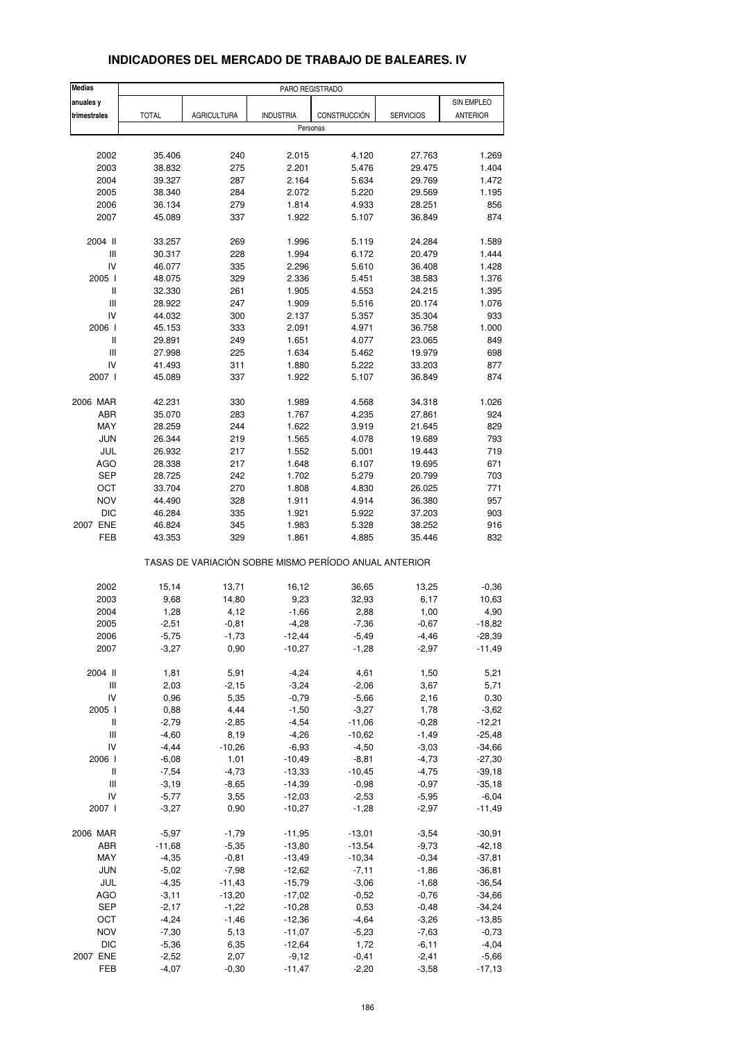| <b>Medias</b>                      |              |                                                       | PARO REGISTRADO  |              |                  |                 |
|------------------------------------|--------------|-------------------------------------------------------|------------------|--------------|------------------|-----------------|
| anuales y                          |              |                                                       |                  |              |                  | SIN EMPLEO      |
| trimestrales                       | <b>TOTAL</b> | <b>AGRICULTURA</b>                                    | <b>INDUSTRIA</b> | CONSTRUCCIÓN | <b>SERVICIOS</b> | <b>ANTERIOR</b> |
|                                    |              |                                                       | Personas         |              |                  |                 |
|                                    |              |                                                       |                  |              |                  |                 |
| 2002                               | 35.406       | 240                                                   | 2.015            | 4.120        | 27.763           | 1.269           |
| 2003                               | 38.832       | 275                                                   | 2.201            | 5.476        | 29.475           | 1.404           |
| 2004                               | 39.327       | 287                                                   | 2.164            | 5.634        | 29.769           | 1.472           |
| 2005                               | 38.340       | 284                                                   | 2.072            | 5.220        | 29.569           | 1.195           |
| 2006                               | 36.134       | 279                                                   | 1.814            | 4.933        | 28.251           | 856             |
| 2007                               | 45.089       | 337                                                   | 1.922            | 5.107        | 36.849           | 874             |
| 2004 II                            | 33.257       | 269                                                   | 1.996            | 5.119        | 24.284           | 1.589           |
| Ш                                  | 30.317       | 228                                                   | 1.994            | 6.172        | 20.479           | 1.444           |
| IV                                 | 46.077       | 335                                                   | 2.296            | 5.610        | 36.408           | 1.428           |
| 2005 l                             | 48.075       | 329                                                   | 2.336            | 5.451        | 38.583           | 1.376           |
| Ш                                  | 32.330       | 261                                                   | 1.905            | 4.553        | 24.215           | 1.395           |
| Ш                                  | 28.922       | 247                                                   | 1.909            | 5.516        | 20.174           | 1.076           |
| IV                                 | 44.032       | 300                                                   | 2.137            | 5.357        | 35.304           | 933             |
| 2006                               | 45.153       | 333                                                   | 2.091            | 4.971        | 36.758           | 1.000           |
| Ш                                  | 29.891       | 249                                                   | 1.651            | 4.077        | 23.065           | 849             |
| $\ensuremath{\mathsf{III}}\xspace$ | 27.998       | 225                                                   | 1.634            | 5.462        | 19.979           | 698             |
| IV                                 | 41.493       | 311                                                   | 1.880            | 5.222        | 33.203           | 877             |
| 2007 l                             | 45.089       | 337                                                   | 1.922            | 5.107        | 36.849           | 874             |
| 2006 MAR                           | 42.231       | 330                                                   | 1.989            | 4.568        | 34.318           | 1.026           |
| ABR                                | 35.070       | 283                                                   | 1.767            | 4.235        | 27.861           | 924             |
| MAY                                | 28.259       | 244                                                   | 1.622            | 3.919        | 21.645           | 829             |
| <b>JUN</b>                         | 26.344       | 219                                                   | 1.565            | 4.078        | 19.689           | 793             |
| JUL                                | 26.932       | 217                                                   | 1.552            | 5.001        | 19.443           | 719             |
| AGO                                | 28.338       | 217                                                   | 1.648            | 6.107        | 19.695           | 671             |
| <b>SEP</b>                         | 28.725       | 242                                                   | 1.702            | 5.279        | 20.799           | 703             |
| OCT                                | 33.704       | 270                                                   | 1.808            | 4.830        | 26.025           | 771             |
| <b>NOV</b>                         | 44.490       | 328                                                   | 1.911            | 4.914        | 36.380           | 957             |
| <b>DIC</b>                         | 46.284       | 335                                                   | 1.921            | 5.922        | 37.203           | 903             |
| 2007 ENE                           | 46.824       | 345                                                   | 1.983            | 5.328        | 38.252           | 916             |
| FEB                                | 43.353       | 329                                                   | 1.861            | 4.885        | 35.446           | 832             |
|                                    |              | TASAS DE VARIACIÓN SOBRE MISMO PERÍODO ANUAL ANTERIOR |                  |              |                  |                 |
| 2002                               | 15,14        | 13,71                                                 | 16,12            | 36,65        | 13,25            | $-0,36$         |
| 2003                               | 9,68         | 14,80                                                 | 9,23             | 32,93        | 6,17             | 10,63           |
| 2004                               | 1,28         | 4,12                                                  | $-1,66$          | 2,88         | 1,00             | 4,90            |
| 2005                               | $-2,51$      | $-0,81$                                               | $-4,28$          | $-7,36$      | $-0,67$          | $-18,82$        |
| 2006                               | $-5,75$      | $-1,73$                                               | -12,44           | $-5,49$      | -4,46            | -28,39          |
| 2007                               | $-3,27$      | 0,90                                                  | $-10,27$         | $-1,28$      | $-2,97$          | $-11,49$        |
| 2004 II                            | 1,81         | 5,91                                                  | $-4,24$          | 4,61         | 1,50             | 5,21            |
| $\ensuremath{\mathsf{III}}\xspace$ | 2,03         | $-2,15$                                               | $-3,24$          | $-2,06$      | 3,67             | 5,71            |
| IV                                 | 0,96         | 5,35                                                  | $-0,79$          | $-5,66$      | 2,16             | 0,30            |
| 2005 l                             | 0,88         | 4,44                                                  | $-1,50$          | $-3,27$      | 1,78             | $-3,62$         |
| Ш                                  | $-2,79$      | $-2,85$                                               | $-4,54$          | $-11,06$     | $-0,28$          | $-12,21$        |
| Ш                                  | $-4,60$      | 8,19                                                  | $-4,26$          | $-10,62$     | $-1,49$          | $-25,48$        |
| IV                                 | $-4,44$      | $-10,26$                                              | $-6,93$          | $-4,50$      | $-3,03$          | $-34,66$        |
| 2006                               | $-6,08$      | 1,01                                                  | $-10,49$         | $-8,81$      | $-4,73$          | $-27,30$        |
| Ш                                  | $-7,54$      | $-4,73$                                               | $-13,33$         | $-10,45$     | $-4,75$          | $-39,18$        |
| Ш                                  | $-3,19$      | $-8,65$                                               | $-14,39$         | $-0,98$      | $-0,97$          | $-35,18$        |
| IV                                 | $-5,77$      | 3,55                                                  | $-12,03$         | $-2,53$      | $-5,95$          | $-6,04$         |
| 2007 l                             | $-3,27$      | 0,90                                                  | $-10,27$         | $-1,28$      | $-2,97$          | $-11,49$        |
| 2006 MAR                           | $-5,97$      | $-1,79$                                               | $-11,95$         | $-13,01$     | $-3,54$          | $-30,91$        |
| ABR                                | $-11,68$     | $-5,35$                                               | $-13,80$         | $-13,54$     | $-9,73$          | $-42,18$        |
| MAY                                | $-4,35$      | $-0,81$                                               | $-13,49$         | $-10,34$     | $-0,34$          | $-37,81$        |
| JUN                                | $-5,02$      | $-7,98$                                               | $-12,62$         | $-7,11$      | $-1,86$          | $-36,81$        |
| JUL                                | $-4,35$      | $-11,43$                                              | $-15,79$         | $-3,06$      | $-1,68$          | $-36,54$        |
| AGO                                | $-3, 11$     | $-13,20$                                              | $-17,02$         | $-0,52$      | $-0,76$          | $-34,66$        |
| <b>SEP</b>                         | $-2,17$      | $-1,22$                                               | $-10,28$         | 0,53         | $-0,48$          | $-34,24$        |
| OCT                                | $-4,24$      | $-1,46$                                               | $-12,36$         | $-4,64$      | $-3,26$          | $-13,85$        |
| <b>NOV</b>                         | $-7,30$      | 5,13                                                  | $-11,07$         | $-5,23$      | $-7,63$          | $-0,73$         |
| <b>DIC</b>                         | $-5,36$      | 6,35                                                  | $-12,64$         | 1,72         | $-6, 11$         | $-4,04$         |
| 2007 ENE                           | $-2,52$      | 2,07                                                  | $-9,12$          | $-0,41$      | $-2,41$          | $-5,66$         |
| FEB                                | $-4,07$      | $-0,30$                                               | $-11,47$         | $-2,20$      | $-3,58$          | $-17,13$        |

## **INDICADORES DEL MERCADO DE TRABAJO DE BALEARES. IV**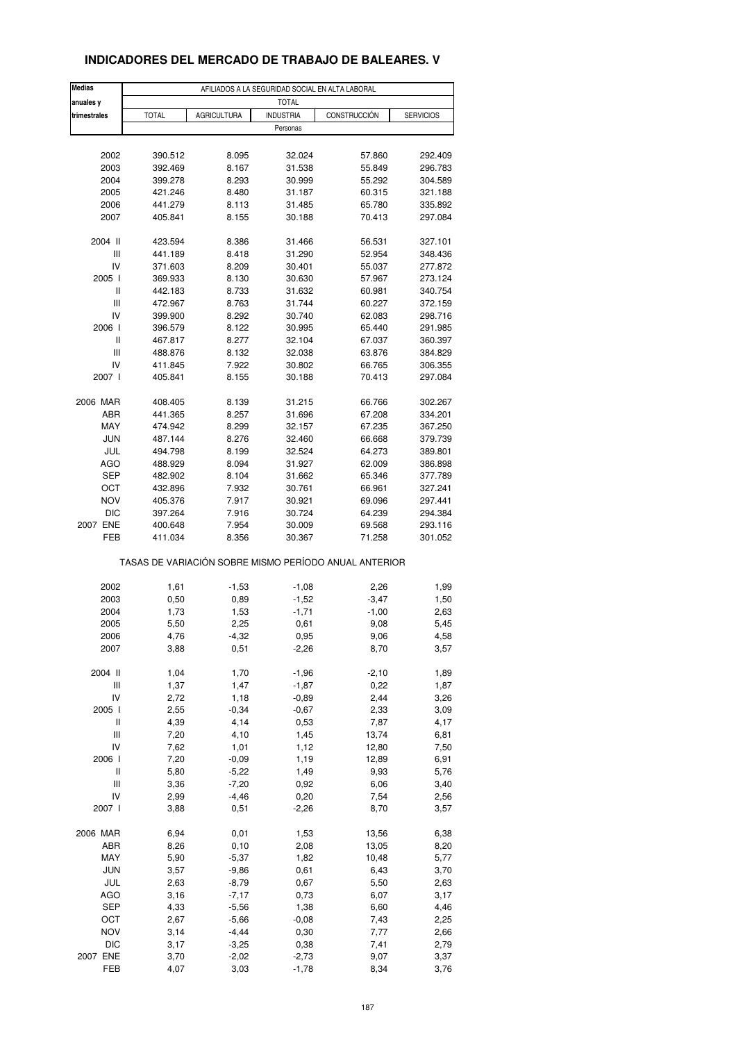# **INDICADORES DEL MERCADO DE TRABAJO DE BALEARES. V**

| <b>Medias</b>  |              |                    | AFILIADOS A LA SEGURIDAD SOCIAL EN ALTA LABORAL |                                                       |                  |
|----------------|--------------|--------------------|-------------------------------------------------|-------------------------------------------------------|------------------|
| anuales y      |              |                    | <b>TOTAL</b>                                    |                                                       |                  |
| trimestrales   | <b>TOTAL</b> | <b>AGRICULTURA</b> | <b>INDUSTRIA</b>                                | CONSTRUCCIÓN                                          | <b>SERVICIOS</b> |
|                |              |                    | Personas                                        |                                                       |                  |
|                |              |                    |                                                 |                                                       |                  |
| 2002           | 390.512      | 8.095              | 32.024                                          | 57.860                                                | 292.409          |
| 2003           | 392.469      | 8.167              | 31.538                                          | 55.849                                                | 296.783          |
| 2004           | 399.278      | 8.293              | 30.999                                          | 55.292                                                | 304.589          |
| 2005           | 421.246      | 8.480              | 31.187                                          | 60.315                                                | 321.188          |
| 2006           | 441.279      | 8.113              | 31.485                                          | 65.780                                                | 335.892          |
| 2007           | 405.841      | 8.155              | 30.188                                          | 70.413                                                | 297.084          |
|                |              |                    |                                                 |                                                       |                  |
| 2004 II        | 423.594      | 8.386              | 31.466                                          | 56.531                                                | 327.101          |
| Ш              | 441.189      | 8.418              | 31.290                                          | 52.954                                                | 348.436          |
| IV             | 371.603      | 8.209              | 30.401                                          | 55.037                                                | 277.872          |
| 2005 l         | 369.933      | 8.130              | 30.630                                          | 57.967                                                | 273.124          |
| $\sf II$       | 442.183      | 8.733              | 31.632                                          | 60.981                                                | 340.754          |
| $\mathbf{III}$ | 472.967      | 8.763              | 31.744                                          | 60.227                                                | 372.159          |
| IV             | 399.900      | 8.292              | 30.740                                          | 62.083                                                | 298.716          |
| 2006 l         | 396.579      | 8.122              | 30.995                                          | 65.440                                                | 291.985          |
| $\sf II$       | 467.817      | 8.277              | 32.104                                          | 67.037                                                | 360.397          |
| Ш              | 488.876      | 8.132              | 32.038                                          | 63.876                                                | 384.829          |
|                |              |                    |                                                 |                                                       |                  |
| IV             | 411.845      | 7.922              | 30.802                                          | 66.765                                                | 306.355          |
| 2007 l         | 405.841      | 8.155              | 30.188                                          | 70.413                                                | 297.084          |
| 2006 MAR       | 408.405      | 8.139              | 31.215                                          | 66.766                                                | 302.267          |
| ABR            | 441.365      | 8.257              | 31.696                                          | 67.208                                                | 334.201          |
| MAY            | 474.942      | 8.299              | 32.157                                          | 67.235                                                | 367.250          |
| <b>JUN</b>     | 487.144      | 8.276              | 32.460                                          | 66.668                                                | 379.739          |
| JUL            | 494.798      | 8.199              | 32.524                                          | 64.273                                                | 389.801          |
| <b>AGO</b>     | 488.929      | 8.094              | 31.927                                          | 62.009                                                | 386.898          |
| SEP            |              |                    |                                                 |                                                       |                  |
|                | 482.902      | 8.104              | 31.662                                          | 65.346                                                | 377.789          |
| ОСТ            | 432.896      | 7.932              | 30.761                                          | 66.961                                                | 327.241          |
| <b>NOV</b>     | 405.376      | 7.917              | 30.921                                          | 69.096                                                | 297.441          |
| <b>DIC</b>     | 397.264      | 7.916              | 30.724                                          | 64.239                                                | 294.384          |
| 2007 ENE       | 400.648      | 7.954              | 30.009                                          | 69.568                                                | 293.116          |
| FEB            | 411.034      | 8.356              | 30.367                                          | 71.258                                                | 301.052          |
|                |              |                    |                                                 | TASAS DE VARIACIÓN SOBRE MISMO PERÍODO ANUAL ANTERIOR |                  |
| 2002           | 1,61         | $-1,53$            | $-1,08$                                         | 2,26                                                  | 1,99             |
| 2003           | 0,50         | 0,89               | $-1,52$                                         | $-3,47$                                               | 1,50             |
| 2004           | 1,73         | 1,53               | $-1,71$                                         | $-1,00$                                               | 2,63             |
|                |              |                    |                                                 |                                                       |                  |
| 2005           | 5,50         | 2,25               | 0,61                                            | 9,08                                                  | 5,45             |
| 2006           | 4,76         | -4,32              | 0,95                                            | 9,06                                                  | 4,58             |
| 2007           | 3,88         | 0,51               | $-2,26$                                         | 8,70                                                  | 3,57             |
| 2004 II        | 1,04         | 1,70               | $-1,96$                                         | $-2,10$                                               | 1,89             |
| Ш              | 1,37         | 1,47               | $-1,87$                                         | 0,22                                                  | 1,87             |
| IV             | 2,72         | 1,18               | $-0,89$                                         | 2,44                                                  | 3,26             |
| 2005 l         | 2,55         | $-0,34$            | $-0,67$                                         | 2,33                                                  | 3,09             |
| $\sf II$       | 4,39         | 4,14               | 0,53                                            | 7,87                                                  | 4,17             |
| Ш              | 7,20         | 4,10               | 1,45                                            | 13,74                                                 | 6,81             |
| IV             | 7,62         | 1,01               | 1,12                                            | 12,80                                                 | 7,50             |
| 2006           | 7,20         | $-0,09$            | 1,19                                            | 12,89                                                 | 6,91             |
| Ш              | 5,80         | $-5,22$            | 1,49                                            | 9,93                                                  | 5,76             |
| Ш              | 3,36         | $-7,20$            |                                                 | 6,06                                                  |                  |
|                |              |                    | 0,92                                            |                                                       | 3,40             |
| IV             | 2,99         | $-4,46$            | 0,20                                            | 7,54                                                  | 2,56             |
| 2007 l         | 3,88         | 0,51               | $-2,26$                                         | 8,70                                                  | 3,57             |
| 2006 MAR       | 6,94         | 0,01               | 1,53                                            | 13,56                                                 | 6,38             |
| ABR            | 8,26         | 0, 10              | 2,08                                            | 13,05                                                 | 8,20             |
| MAY            | 5,90         | $-5,37$            | 1,82                                            | 10,48                                                 | 5,77             |
| <b>JUN</b>     | 3,57         | $-9,86$            | 0,61                                            | 6,43                                                  | 3,70             |
| JUL            | 2,63         | $-8,79$            | 0,67                                            | 5,50                                                  | 2,63             |
| AGO            | 3,16         | $-7,17$            | 0,73                                            | 6,07                                                  | 3,17             |
| <b>SEP</b>     | 4,33         | $-5,56$            | 1,38                                            | 6,60                                                  | 4,46             |
| OCT            | 2,67         | $-5,66$            | $-0,08$                                         | 7,43                                                  | 2,25             |
| <b>NOV</b>     | 3,14         | $-4,44$            | 0,30                                            | 7,77                                                  | 2,66             |
| <b>DIC</b>     | 3,17         | $-3,25$            | 0,38                                            | 7,41                                                  | 2,79             |
| 2007 ENE       | 3,70         | $-2,02$            | $-2,73$                                         | 9,07                                                  | 3,37             |
| FEB            | 4,07         |                    | $-1,78$                                         | 8,34                                                  |                  |
|                |              | 3,03               |                                                 |                                                       | 3,76             |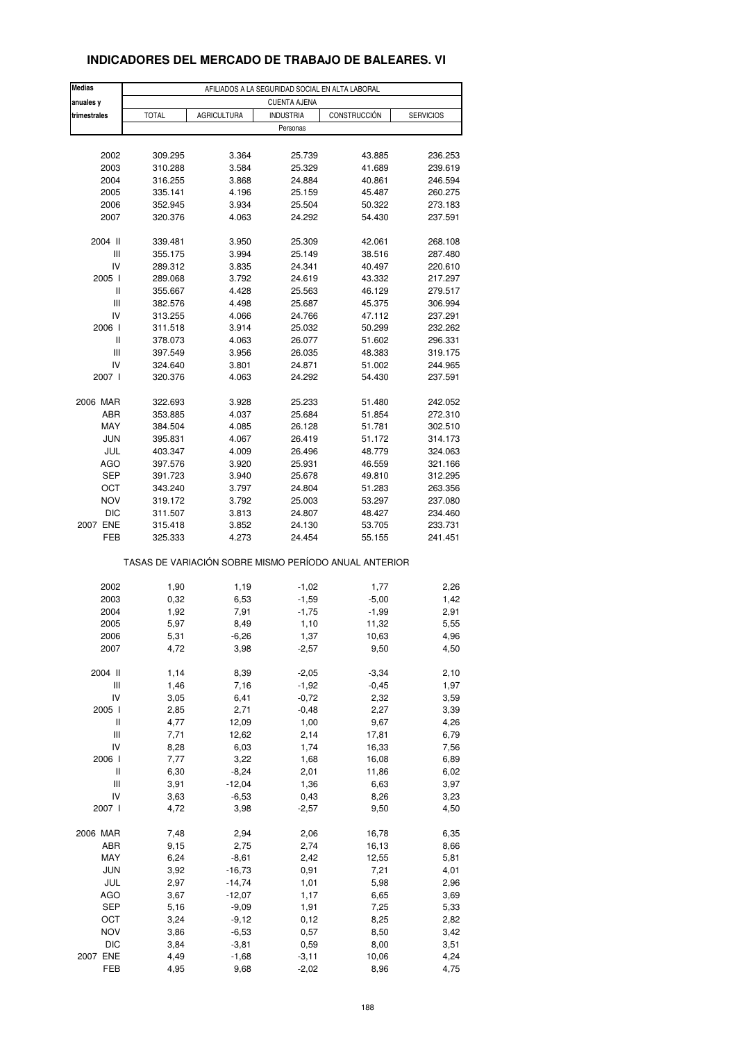| <b>Medias</b> | AFILIADOS A LA SEGURIDAD SOCIAL EN ALTA LABORAL       |                    |                     |              |                  |  |  |
|---------------|-------------------------------------------------------|--------------------|---------------------|--------------|------------------|--|--|
| anuales y     |                                                       |                    | <b>CUENTA AJENA</b> |              |                  |  |  |
| trimestrales  | <b>TOTAL</b>                                          | <b>AGRICULTURA</b> | <b>INDUSTRIA</b>    | CONSTRUCCIÓN | <b>SERVICIOS</b> |  |  |
|               |                                                       |                    | Personas            |              |                  |  |  |
|               |                                                       |                    |                     |              |                  |  |  |
| 2002          | 309.295                                               | 3.364              | 25.739              | 43.885       | 236.253          |  |  |
| 2003          | 310.288                                               | 3.584              | 25.329              | 41.689       | 239.619          |  |  |
| 2004          | 316.255                                               | 3.868              | 24.884              | 40.861       | 246.594          |  |  |
| 2005          | 335.141                                               | 4.196              | 25.159              | 45.487       | 260.275          |  |  |
| 2006          | 352.945                                               | 3.934              | 25.504              | 50.322       | 273.183          |  |  |
| 2007          | 320.376                                               | 4.063              | 24.292              | 54.430       | 237.591          |  |  |
| 2004 II       | 339.481                                               |                    | 25.309              | 42.061       | 268.108          |  |  |
|               |                                                       | 3.950              |                     |              |                  |  |  |
| Ш             | 355.175                                               | 3.994              | 25.149              | 38.516       | 287.480          |  |  |
| IV            | 289.312                                               | 3.835              | 24.341              | 40.497       | 220.610          |  |  |
| 2005 l        | 289.068                                               | 3.792              | 24.619              | 43.332       | 217.297          |  |  |
| Ш             | 355.667                                               | 4.428              | 25.563              | 46.129       | 279.517          |  |  |
| Ш             | 382.576                                               | 4.498              | 25.687              | 45.375       | 306.994          |  |  |
| IV            | 313.255                                               | 4.066              | 24.766              | 47.112       | 237.291          |  |  |
| 2006 l        | 311.518                                               | 3.914              | 25.032              | 50.299       | 232.262          |  |  |
| $\mathbf{I}$  | 378.073                                               | 4.063              | 26.077              | 51.602       | 296.331          |  |  |
| Ш             | 397.549                                               | 3.956              | 26.035              | 48.383       | 319.175          |  |  |
| IV            | 324.640                                               | 3.801              | 24.871              | 51.002       | 244.965          |  |  |
| 2007 l        | 320.376                                               | 4.063              | 24.292              | 54.430       | 237.591          |  |  |
|               |                                                       |                    |                     |              |                  |  |  |
| 2006 MAR      | 322.693                                               | 3.928              | 25.233              | 51.480       | 242.052          |  |  |
| ABR           | 353.885                                               | 4.037              | 25.684              | 51.854       | 272.310          |  |  |
| MAY           | 384.504                                               | 4.085              | 26.128              | 51.781       | 302.510          |  |  |
| <b>JUN</b>    | 395.831                                               | 4.067              | 26.419              | 51.172       | 314.173          |  |  |
| JUL           | 403.347                                               | 4.009              | 26.496              | 48.779       | 324.063          |  |  |
| AGO           | 397.576                                               | 3.920              | 25.931              | 46.559       | 321.166          |  |  |
| SEP           | 391.723                                               | 3.940              | 25.678              | 49.810       | 312.295          |  |  |
| OCT           | 343.240                                               | 3.797              | 24.804              | 51.283       | 263.356          |  |  |
| <b>NOV</b>    | 319.172                                               | 3.792              | 25.003              | 53.297       | 237.080          |  |  |
| <b>DIC</b>    |                                                       |                    |                     |              |                  |  |  |
|               | 311.507                                               | 3.813              | 24.807              | 48.427       | 234.460          |  |  |
| 2007 ENE      | 315.418                                               | 3.852              | 24.130              | 53.705       | 233.731          |  |  |
| FEB           | 325.333                                               | 4.273              | 24.454              | 55.155       | 241.451          |  |  |
|               | TASAS DE VARIACIÓN SOBRE MISMO PERÍODO ANUAL ANTERIOR |                    |                     |              |                  |  |  |
| 2002          | 1,90                                                  | 1,19               | $-1,02$             | 1,77         | 2,26             |  |  |
| 2003          | 0,32                                                  | 6,53               | $-1,59$             | $-5,00$      | 1,42             |  |  |
| 2004          | 1,92                                                  | 7,91               | $-1,75$             | $-1,99$      | 2,91             |  |  |
|               |                                                       |                    |                     |              |                  |  |  |
| 2005          | 5,97                                                  | 8,49               | 1,10                | 11,32        | 5,55             |  |  |
| 2006          | 5,31                                                  | $-6,26$            | 1,37                | 10,63        | 4,96             |  |  |
| 2007          | 4,72                                                  | 3,98               | $-2,57$             | 9,50         | 4,50             |  |  |
| 2004 II       | 1,14                                                  | 8,39               | $-2,05$             | $-3,34$      | 2,10             |  |  |
| Ш             | 1,46                                                  | 7,16               | $-1,92$             | $-0,45$      | 1,97             |  |  |
| IV            | 3,05                                                  | 6,41               | $-0,72$             | 2,32         | 3,59             |  |  |
| 2005 l        | 2,85                                                  | 2,71               | $-0,48$             | 2,27         | 3,39             |  |  |
| Ш             | 4,77                                                  | 12,09              | 1,00                | 9,67         | 4,26             |  |  |
|               |                                                       |                    |                     |              |                  |  |  |
| Ш             | 7,71                                                  | 12,62              | 2,14                | 17,81        | 6,79             |  |  |
| IV            | 8,28                                                  | 6,03               | 1,74                | 16,33        | 7,56             |  |  |
| 2006 l        | 7,77                                                  | 3,22               | 1,68                | 16,08        | 6,89             |  |  |
| Ш             | 6,30                                                  | $-8,24$            | 2,01                | 11,86        | 6,02             |  |  |
| Ш             | 3,91                                                  | $-12,04$           | 1,36                | 6,63         | 3,97             |  |  |
| IV            | 3,63                                                  | $-6,53$            | 0,43                | 8,26         | 3,23             |  |  |
| 2007 l        | 4,72                                                  | 3,98               | $-2,57$             | 9,50         | 4,50             |  |  |
| 2006 MAR      | 7,48                                                  | 2,94               | 2,06                | 16,78        | 6,35             |  |  |
| ABR           | 9,15                                                  | 2,75               | 2,74                | 16,13        | 8,66             |  |  |
|               |                                                       |                    |                     |              |                  |  |  |
| MAY           | 6,24                                                  | $-8,61$            | 2,42                | 12,55        | 5,81             |  |  |
| <b>JUN</b>    | 3,92                                                  | $-16,73$           | 0,91                | 7,21         | 4,01             |  |  |
| JUL           | 2,97                                                  | $-14,74$           | 1,01                | 5,98         | 2,96             |  |  |
| <b>AGO</b>    | 3,67                                                  | $-12,07$           | 1,17                | 6,65         | 3,69             |  |  |
| SEP           | 5,16                                                  | $-9,09$            | 1,91                | 7,25         | 5,33             |  |  |
| OCT           | 3,24                                                  | $-9,12$            | 0,12                | 8,25         | 2,82             |  |  |
| <b>NOV</b>    | 3,86                                                  | $-6,53$            | 0,57                | 8,50         | 3,42             |  |  |
| <b>DIC</b>    | 3,84                                                  | $-3,81$            | 0,59                | 8,00         | 3,51             |  |  |
| 2007 ENE      | 4,49                                                  | $-1,68$            |                     | 10,06        | 4,24             |  |  |
|               |                                                       |                    | $-3,11$             |              |                  |  |  |

# **INDICADORES DEL MERCADO DE TRABAJO DE BALEARES. VI**

FEB 4,95 9,68 -2,02 8,96 4,75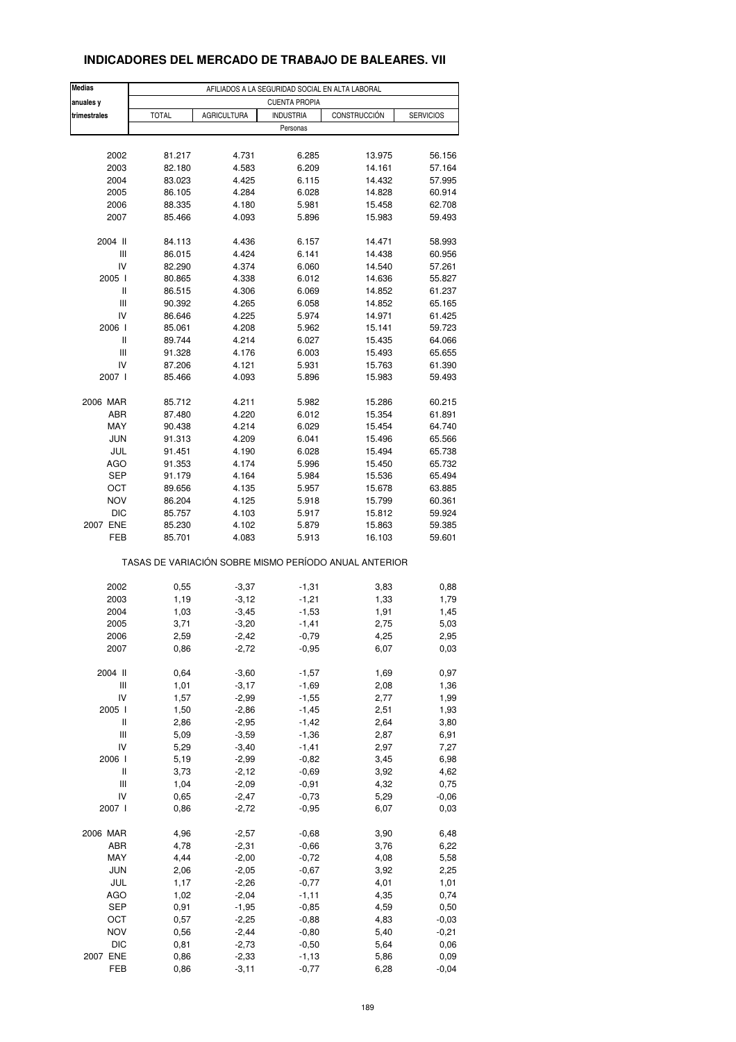| <b>Medias</b> |              |                    | AFILIADOS A LA SEGURIDAD SOCIAL EN ALTA LABORAL |                                                       |                  |
|---------------|--------------|--------------------|-------------------------------------------------|-------------------------------------------------------|------------------|
| anuales y     |              |                    | <b>CUENTA PROPIA</b>                            |                                                       |                  |
| trimestrales  | <b>TOTAL</b> | <b>AGRICULTURA</b> | <b>INDUSTRIA</b>                                | CONSTRUCCIÓN                                          | <b>SERVICIOS</b> |
|               |              |                    | Personas                                        |                                                       |                  |
|               |              |                    |                                                 |                                                       |                  |
|               |              |                    |                                                 |                                                       |                  |
| 2002          | 81.217       | 4.731              | 6.285                                           | 13.975                                                | 56.156           |
| 2003          | 82.180       | 4.583              | 6.209                                           | 14.161                                                | 57.164           |
| 2004          | 83.023       | 4.425              | 6.115                                           | 14.432                                                | 57.995           |
| 2005          | 86.105       | 4.284              | 6.028                                           | 14.828                                                | 60.914           |
| 2006          | 88.335       | 4.180              | 5.981                                           | 15.458                                                | 62.708           |
| 2007          | 85.466       | 4.093              | 5.896                                           | 15.983                                                | 59.493           |
|               |              |                    |                                                 |                                                       |                  |
| 2004 II       | 84.113       | 4.436              | 6.157                                           | 14.471                                                | 58.993           |
| Ш             | 86.015       | 4.424              | 6.141                                           | 14.438                                                | 60.956           |
| IV            | 82.290       | 4.374              | 6.060                                           | 14.540                                                | 57.261           |
| 2005 l        | 80.865       | 4.338              | 6.012                                           | 14.636                                                | 55.827           |
| Ш             | 86.515       | 4.306              | 6.069                                           | 14.852                                                | 61.237           |
| Ш             | 90.392       | 4.265              | 6.058                                           | 14.852                                                | 65.165           |
| IV            | 86.646       | 4.225              | 5.974                                           | 14.971                                                | 61.425           |
| 2006          | 85.061       | 4.208              | 5.962                                           | 15.141                                                | 59.723           |
| Ш             | 89.744       | 4.214              | 6.027                                           | 15.435                                                | 64.066           |
|               |              |                    |                                                 |                                                       |                  |
| Ш             | 91.328       | 4.176              | 6.003                                           | 15.493                                                | 65.655           |
| IV            | 87.206       | 4.121              | 5.931                                           | 15.763                                                | 61.390           |
| 2007 l        | 85.466       | 4.093              | 5.896                                           | 15.983                                                | 59.493           |
|               |              |                    |                                                 |                                                       |                  |
| 2006 MAR      | 85.712       | 4.211              | 5.982                                           | 15.286                                                | 60.215           |
| ABR           | 87.480       | 4.220              | 6.012                                           | 15.354                                                | 61.891           |
| MAY           | 90.438       | 4.214              | 6.029                                           | 15.454                                                | 64.740           |
| <b>JUN</b>    | 91.313       | 4.209              | 6.041                                           | 15.496                                                | 65.566           |
| JUL           | 91.451       | 4.190              | 6.028                                           | 15.494                                                | 65.738           |
| <b>AGO</b>    | 91.353       | 4.174              | 5.996                                           | 15.450                                                | 65.732           |
| SEP           | 91.179       | 4.164              | 5.984                                           | 15.536                                                | 65.494           |
| OCT           | 89.656       | 4.135              | 5.957                                           | 15.678                                                | 63.885           |
| <b>NOV</b>    | 86.204       | 4.125              | 5.918                                           | 15.799                                                | 60.361           |
|               |              |                    |                                                 |                                                       |                  |
| DIC           | 85.757       | 4.103              | 5.917                                           | 15.812                                                | 59.924           |
| 2007 ENE      | 85.230       | 4.102              | 5.879                                           | 15.863                                                | 59.385           |
| FEB           | 85.701       | 4.083              | 5.913                                           | 16.103                                                | 59.601           |
|               |              |                    |                                                 | TASAS DE VARIACIÓN SOBRE MISMO PERÍODO ANUAL ANTERIOR |                  |
|               |              |                    |                                                 |                                                       |                  |
| 2002          | 0,55         | $-3,37$            | $-1,31$                                         | 3,83                                                  | 0,88             |
| 2003          | 1,19         | $-3,12$            | $-1,21$                                         | 1,33                                                  | 1,79             |
| 2004          | 1,03         | $-3,45$            | $-1,53$                                         | 1,91                                                  | 1,45             |
| 2005          | 3,71         | $-3,20$            | $-1,41$                                         | 2,75                                                  | 5,03             |
| 2006          | 2,59         | $-2,42$            | $-0,79$                                         | 4,25                                                  | 2,95             |
| 2007          | 0,86         | $-2,72$            | $-0,95$                                         | 6,07                                                  | 0,03             |
|               |              |                    |                                                 |                                                       |                  |
| 2004 II       | 0,64         | $-3,60$            | $-1,57$                                         | 1,69                                                  | 0,97             |
| Ш             | 1,01         | $-3,17$            | $-1,69$                                         | 2,08                                                  | 1,36             |
| IV            | 1,57         | $-2,99$            | $-1,55$                                         | 2,77                                                  | 1,99             |
| 2005 l        | 1,50         | $-2,86$            | $-1,45$                                         | 2,51                                                  | 1,93             |
| Ш             | 2,86         | $-2,95$            | $-1,42$                                         | 2,64                                                  | 3,80             |
| Ш             | 5,09         | $-3,59$            | $-1,36$                                         | 2,87                                                  | 6,91             |
| IV            | 5,29         | $-3,40$            | $-1,41$                                         | 2,97                                                  | 7,27             |
| 2006          | 5,19         | $-2,99$            | $-0,82$                                         | 3,45                                                  | 6,98             |
|               |              |                    |                                                 |                                                       |                  |
| Ш             | 3,73         | $-2,12$            | $-0,69$                                         | 3,92                                                  | 4,62             |
| Ш             | 1,04         | $-2,09$            | $-0,91$                                         | 4,32                                                  | 0,75             |
| IV            | 0,65         | $-2,47$            | $-0,73$                                         | 5,29                                                  | $-0,06$          |
| 2007 l        | 0,86         | $-2,72$            | $-0,95$                                         | 6,07                                                  | 0,03             |
|               |              |                    |                                                 |                                                       |                  |
| 2006 MAR      | 4,96         | $-2,57$            | $-0,68$                                         | 3,90                                                  | 6,48             |
| ABR           | 4,78         | $-2,31$            | $-0,66$                                         | 3,76                                                  | 6,22             |
| MAY           | 4,44         | $-2,00$            | $-0,72$                                         | 4,08                                                  | 5,58             |
| <b>JUN</b>    | 2,06         | $-2,05$            | $-0,67$                                         | 3,92                                                  | 2,25             |
| JUL           | 1,17         | $-2,26$            | $-0,77$                                         | 4,01                                                  | 1,01             |
| AGO           | 1,02         | $-2,04$            | $-1,11$                                         | 4,35                                                  | 0,74             |
| SEP           | 0,91         | $-1,95$            | $-0,85$                                         | 4,59                                                  | 0,50             |
|               |              |                    |                                                 |                                                       |                  |
| OCT           | 0,57         | $-2,25$            | $-0,88$                                         | 4,83                                                  | $-0,03$          |
| <b>NOV</b>    | 0,56         | $-2,44$            | $-0,80$                                         | 5,40                                                  | $-0,21$          |
| DIC           | 0,81         | $-2,73$            | $-0,50$                                         | 5,64                                                  | 0,06             |
| 2007 ENE      | 0,86         | $-2,33$            | $-1, 13$                                        | 5,86                                                  | 0,09             |
| FEB           | 0,86         | $-3, 11$           | $-0,77$                                         | 6,28                                                  | $-0,04$          |

### **INDICADORES DEL MERCADO DE TRABAJO DE BALEARES. VII**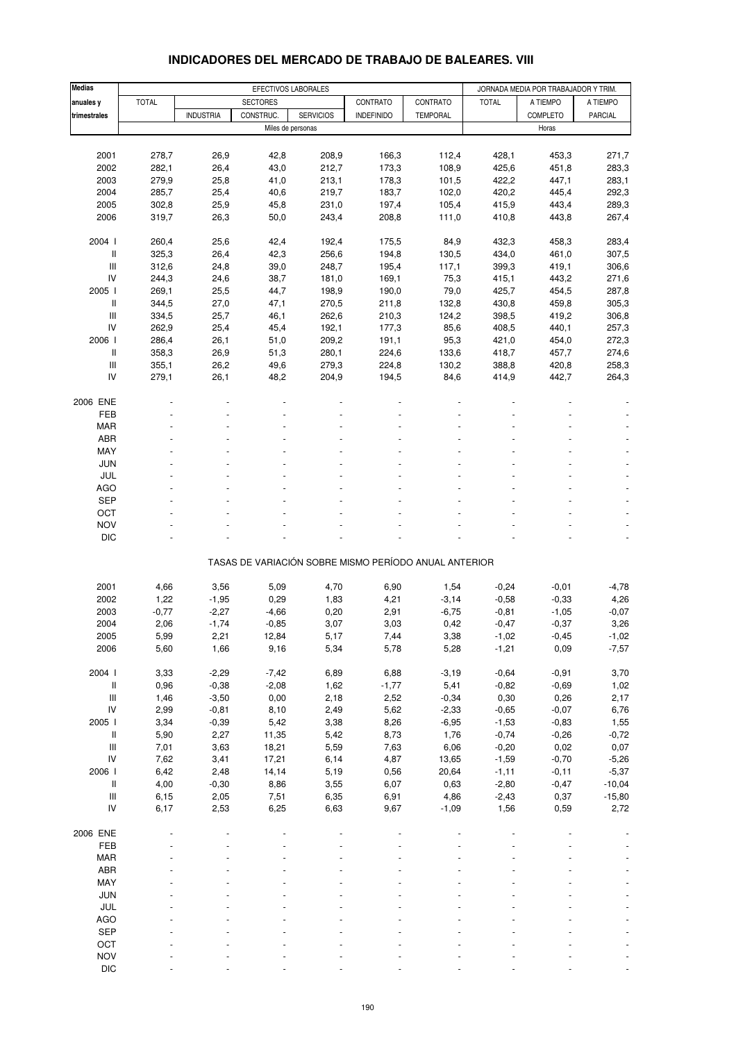| <b>Medias</b>                      | EFECTIVOS LABORALES |                  |                 |                   |                                                       |                 | JORNADA MEDIA POR TRABAJADOR Y TRIM. |                |                |  |
|------------------------------------|---------------------|------------------|-----------------|-------------------|-------------------------------------------------------|-----------------|--------------------------------------|----------------|----------------|--|
| anuales y                          | <b>TOTAL</b>        |                  | <b>SECTORES</b> |                   | CONTRATO                                              | CONTRATO        | <b>TOTAL</b>                         | A TIEMPO       | A TIEMPO       |  |
| trimestrales                       |                     | <b>INDUSTRIA</b> | CONSTRUC.       | <b>SERVICIOS</b>  | <b>INDEFINIDO</b>                                     | <b>TEMPORAL</b> |                                      | COMPLETO       | PARCIAL        |  |
|                                    |                     |                  |                 | Miles de personas |                                                       |                 |                                      | Horas          |                |  |
|                                    |                     |                  |                 |                   |                                                       |                 |                                      |                |                |  |
| 2001                               | 278,7               | 26,9             | 42,8            | 208,9             | 166,3                                                 | 112,4           | 428,1                                | 453,3          | 271,7          |  |
| 2002                               | 282,1               | 26,4             | 43,0            | 212,7             | 173,3                                                 | 108,9           | 425,6                                | 451,8          | 283,3          |  |
| 2003                               | 279,9               | 25,8             | 41,0            | 213,1             | 178,3                                                 | 101,5           | 422,2                                | 447,1          | 283,1          |  |
| 2004                               | 285,7               | 25,4             | 40,6            | 219,7             | 183,7                                                 | 102,0           | 420,2                                | 445,4          | 292,3          |  |
| 2005                               | 302,8               | 25,9             | 45,8            | 231,0             | 197,4                                                 | 105,4           | 415,9                                | 443,4          | 289,3          |  |
| 2006                               | 319,7               | 26,3             | 50,0            | 243,4             | 208,8                                                 | 111,0           | 410,8                                | 443,8          | 267,4          |  |
|                                    |                     |                  |                 |                   |                                                       |                 |                                      |                |                |  |
| 2004 l<br>$\mathsf{I}$             | 260,4<br>325,3      | 25,6<br>26,4     | 42,4<br>42,3    | 192,4<br>256,6    | 175,5<br>194,8                                        | 84,9<br>130,5   | 432,3<br>434,0                       | 458,3<br>461,0 | 283,4<br>307,5 |  |
| Ш                                  | 312,6               | 24,8             | 39,0            | 248,7             | 195,4                                                 | 117,1           | 399,3                                | 419,1          | 306,6          |  |
| IV                                 | 244,3               | 24,6             | 38,7            | 181,0             | 169,1                                                 | 75,3            | 415,1                                | 443,2          | 271,6          |  |
| 2005 l                             | 269,1               | 25,5             | 44,7            | 198,9             | 190,0                                                 | 79,0            | 425,7                                | 454,5          | 287,8          |  |
| Ш                                  | 344,5               | 27,0             | 47,1            | 270,5             | 211,8                                                 | 132,8           | 430,8                                | 459,8          | 305,3          |  |
| $\mathbf{III}$                     | 334,5               | 25,7             | 46,1            | 262,6             | 210,3                                                 | 124,2           | 398,5                                | 419,2          | 306,8          |  |
| IV                                 | 262,9               | 25,4             | 45,4            | 192,1             | 177,3                                                 | 85,6            | 408,5                                | 440,1          | 257,3          |  |
| 2006 l                             | 286,4               | 26,1             | 51,0            | 209,2             | 191,1                                                 | 95,3            | 421,0                                | 454,0          | 272,3          |  |
| $\,$ $\,$ $\,$                     | 358,3               | 26,9             | 51,3            | 280,1             | 224,6                                                 | 133,6           | 418,7                                | 457,7          | 274,6          |  |
| $\ensuremath{\mathsf{III}}\xspace$ | 355,1               | 26,2             | 49,6            | 279,3             | 224,8                                                 | 130,2           | 388,8                                | 420,8          | 258,3          |  |
| IV                                 | 279,1               | 26,1             | 48,2            | 204,9             | 194,5                                                 | 84,6            | 414,9                                | 442,7          | 264,3          |  |
|                                    |                     |                  |                 |                   |                                                       |                 |                                      |                |                |  |
| 2006 ENE                           |                     |                  |                 |                   |                                                       |                 |                                      |                |                |  |
| FEB                                |                     |                  |                 |                   |                                                       |                 |                                      |                |                |  |
| <b>MAR</b>                         |                     |                  |                 |                   |                                                       |                 |                                      |                |                |  |
| <b>ABR</b>                         |                     |                  |                 |                   |                                                       |                 |                                      |                |                |  |
| <b>MAY</b>                         |                     |                  |                 |                   |                                                       |                 |                                      |                |                |  |
| <b>JUN</b><br>JUL                  |                     |                  |                 |                   |                                                       |                 |                                      |                |                |  |
| <b>AGO</b>                         |                     |                  |                 |                   |                                                       |                 |                                      |                |                |  |
| <b>SEP</b>                         |                     |                  |                 |                   |                                                       |                 |                                      |                |                |  |
| OCT                                |                     |                  |                 |                   |                                                       |                 |                                      |                |                |  |
| <b>NOV</b>                         |                     |                  |                 |                   |                                                       |                 |                                      |                |                |  |
| <b>DIC</b>                         |                     |                  |                 |                   |                                                       |                 |                                      |                |                |  |
|                                    |                     |                  |                 |                   |                                                       |                 |                                      |                |                |  |
|                                    |                     |                  |                 |                   | TASAS DE VARIACIÓN SOBRE MISMO PERÍODO ANUAL ANTERIOR |                 |                                      |                |                |  |
|                                    |                     |                  |                 |                   |                                                       |                 |                                      |                |                |  |
| 2001                               | 4,66                | 3,56             | 5,09            | 4,70              | 6,90                                                  | 1,54            | $-0,24$                              | $-0,01$        | $-4,78$        |  |
| 2002                               | 1,22                | $-1,95$          | 0,29            | 1,83              | 4,21                                                  | $-3,14$         | $-0,58$                              | $-0,33$        | 4,26           |  |
| 2003                               | $-0,77$             | $-2,27$          | $-4,66$         | 0,20              | 2,91                                                  | $-6,75$         | $-0,81$                              | $-1,05$        | $-0,07$        |  |
| 2004                               | 2,06                | $-1,74$          | $-0,85$         | 3,07              | 3,03                                                  | 0,42            | $-0,47$                              | $-0,37$        | 3,26           |  |
| 2005                               | 5,99                | 2,21             | 12,84           | 5,17              | 7,44                                                  | 3,38            | $-1,02$                              | $-0,45$        | -1,02          |  |
| 2006                               | 5,60                | 1,66             | 9,16            | 5,34              | 5,78                                                  | 5,28            | $-1,21$                              | 0,09           | $-7,57$        |  |
| 2004 l                             | 3,33                | $-2,29$          | $-7,42$         | 6,89              | 6,88                                                  | $-3,19$         | $-0,64$                              | $-0,91$        | 3,70           |  |
| $\mathop{  }$                      | 0,96                | $-0,38$          | $-2,08$         | 1,62              | $-1,77$                                               | 5,41            | $-0,82$                              | $-0,69$        | 1,02           |  |
| Ш                                  | 1,46                | $-3,50$          | 0,00            | 2,18              | 2,52                                                  | $-0,34$         | 0,30                                 | 0,26           | 2,17           |  |
| IV                                 | 2,99                | $-0,81$          | 8,10            | 2,49              | 5,62                                                  | $-2,33$         | $-0,65$                              | $-0,07$        | 6,76           |  |
| 2005 l                             | 3,34                | $-0,39$          | 5,42            | 3,38              | 8,26                                                  | $-6,95$         | $-1,53$                              | $-0,83$        | 1,55           |  |
| $\, \parallel$                     | 5,90                | 2,27             | 11,35           | 5,42              | 8,73                                                  | 1,76            | $-0,74$                              | $-0,26$        | $-0,72$        |  |
| $\ensuremath{\mathsf{III}}\xspace$ | 7,01                | 3,63             | 18,21           | 5,59              | 7,63                                                  | 6,06            | $-0,20$                              | 0,02           | 0,07           |  |
| IV                                 | 7,62                | 3,41             | 17,21           | 6,14              | 4,87                                                  | 13,65           | $-1,59$                              | $-0,70$        | $-5,26$        |  |
| 2006                               | 6,42                | 2,48             | 14,14           | 5,19              | 0,56                                                  | 20,64           | $-1, 11$                             | $-0,11$        | $-5,37$        |  |
| Ш                                  | 4,00                | $-0,30$          | 8,86            | 3,55              | 6,07                                                  | 0,63            | $-2,80$                              | $-0,47$        | $-10,04$       |  |
| $\ensuremath{\mathsf{III}}\xspace$ | 6,15                | 2,05             | 7,51            | 6,35              | 6,91                                                  | 4,86            | $-2,43$                              | 0,37           | $-15,80$       |  |
| IV                                 | 6,17                | 2,53             | 6,25            | 6,63              | 9,67                                                  | $-1,09$         | 1,56                                 | 0,59           | 2,72           |  |
|                                    |                     |                  |                 |                   |                                                       |                 |                                      |                |                |  |
| 2006 ENE                           |                     |                  |                 |                   |                                                       |                 |                                      |                |                |  |
| FEB<br><b>MAR</b>                  |                     |                  |                 |                   |                                                       |                 |                                      |                |                |  |
| ABR                                |                     |                  |                 |                   |                                                       |                 |                                      |                |                |  |
| <b>MAY</b>                         |                     |                  |                 |                   |                                                       |                 |                                      |                |                |  |
| <b>JUN</b>                         |                     |                  |                 |                   |                                                       |                 |                                      |                |                |  |
| JUL                                |                     |                  |                 |                   |                                                       |                 |                                      |                |                |  |
| <b>AGO</b>                         |                     |                  |                 |                   |                                                       |                 |                                      |                |                |  |
| <b>SEP</b>                         |                     |                  |                 |                   |                                                       |                 |                                      |                |                |  |
| OCT                                |                     |                  |                 |                   |                                                       |                 |                                      |                |                |  |
| <b>NOV</b>                         |                     |                  |                 |                   |                                                       |                 |                                      |                |                |  |

#### **INDICADORES DEL MERCADO DE TRABAJO DE BALEARES. VIII**

DIC - - - - - - - - -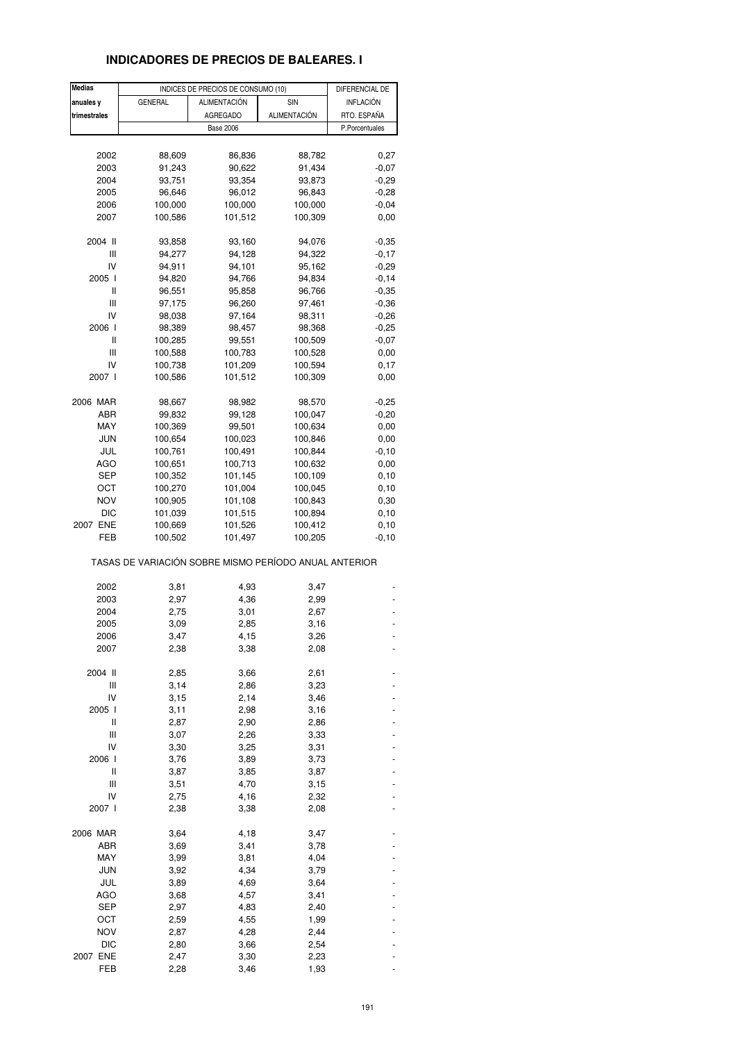# **INDICADORES DE PRECIOS DE BALEARES. I**

| <b>Medias</b> |                                                       | INDICES DE PRECIOS DE CONSUMO (10) |              | DIFERENCIAL DE |
|---------------|-------------------------------------------------------|------------------------------------|--------------|----------------|
| anuales y     | <b>GENERAL</b>                                        | <b>ALIMENTACIÓN</b>                | SIN          | INFLACIÓN      |
| trimestrales  |                                                       | <b>AGREGADO</b>                    | ALIMENTACIÓN | RTO. ESPAÑA    |
|               |                                                       | <b>Base 2006</b>                   |              | P.Porcentuales |
|               |                                                       |                                    |              |                |
|               |                                                       |                                    |              |                |
| 2002          | 88,609                                                | 86,836                             | 88,782       | 0,27           |
| 2003          | 91,243                                                | 90,622                             | 91,434       | $-0,07$        |
| 2004          | 93,751                                                | 93,354                             | 93,873       | $-0,29$        |
| 2005          | 96,646                                                | 96,012                             | 96,843       | $-0,28$        |
| 2006          | 100,000                                               | 100,000                            | 100,000      | $-0,04$        |
| 2007          | 100,586                                               | 101,512                            | 100,309      | 0,00           |
|               |                                                       |                                    |              |                |
| 2004 II       | 93,858                                                | 93,160                             | 94,076       | $-0,35$        |
| Ш             | 94,277                                                | 94,128                             | 94,322       | $-0,17$        |
| IV            | 94,911                                                | 94,101                             | 95,162       | $-0,29$        |
| 2005 l        | 94,820                                                | 94,766                             | 94,834       | $-0,14$        |
| Ш             | 96,551                                                | 95,858                             | 96,766       | $-0,35$        |
| Ш             | 97,175                                                | 96,260                             | 97,461       | $-0,36$        |
|               |                                                       |                                    |              |                |
| IV            | 98,038                                                | 97,164                             | 98,311       | $-0,26$        |
| 2006          | 98,389                                                | 98,457                             | 98,368       | $-0,25$        |
| Ш             | 100,285                                               | 99,551                             | 100,509      | $-0,07$        |
| Ш             | 100,588                                               | 100,783                            | 100,528      | 0,00           |
| IV            | 100,738                                               | 101,209                            | 100,594      | 0,17           |
| 2007 l        | 100,586                                               | 101,512                            | 100,309      | 0,00           |
|               |                                                       |                                    |              |                |
| 2006 MAR      | 98,667                                                | 98,982                             | 98,570       | $-0,25$        |
| ABR           | 99,832                                                | 99,128                             | 100,047      | $-0,20$        |
| MAY           | 100,369                                               | 99,501                             | 100,634      | 0,00           |
| JUN           | 100,654                                               | 100,023                            | 100,846      | 0,00           |
| JUL           | 100,761                                               | 100,491                            | 100,844      | $-0,10$        |
| AGO           | 100,651                                               | 100,713                            | 100,632      | 0,00           |
|               |                                                       |                                    |              |                |
| SEP           | 100,352                                               | 101,145                            | 100,109      | 0,10           |
| ОСТ           | 100,270                                               | 101,004                            | 100,045      | 0,10           |
| <b>NOV</b>    | 100,905                                               | 101,108                            | 100,843      | 0,30           |
| <b>DIC</b>    | 101,039                                               | 101,515                            | 100,894      | 0,10           |
| 2007 ENE      | 100,669                                               | 101,526                            | 100,412      | 0,10           |
| FEB           | 100,502                                               | 101,497                            | 100,205      | $-0,10$        |
|               | TASAS DE VARIACIÓN SOBRE MISMO PERÍODO ANUAL ANTERIOR |                                    |              |                |
|               |                                                       |                                    |              |                |
| 2002<br>2003  | 3,81                                                  | 4,93                               | 3,47         |                |
|               | 2,97                                                  | 4,36                               | 2,99         |                |
| 2004          | 2,75                                                  | 3,01                               | 2,67         |                |
| 2005          | 3,09                                                  | 2,85                               | 3,16         |                |
| 2006          | 3,47                                                  | 4,15                               | 3,26         |                |
| 2007          | 2,38                                                  | 3,38                               | 2,08         |                |
|               |                                                       |                                    |              |                |
| 2004 II       | 2,85                                                  | 3,66                               | 2,61         |                |
| Ш             | 3,14                                                  | 2,86                               | 3,23         |                |
| IV            | 3,15                                                  | 2,14                               | 3,46         |                |
| 2005 l        | 3,11                                                  | 2,98                               | 3,16         |                |
| Ш             | 2,87                                                  | 2,90                               | 2,86         |                |
| Ш             | 3,07                                                  | 2,26                               | 3,33         |                |
| IV            | 3,30                                                  | 3,25                               | 3,31         |                |
| 2006 l        | 3,76                                                  | 3,89                               | 3,73         |                |
| Ш             | 3,87                                                  | 3,85                               | 3,87         |                |
| Ш             | 3,51                                                  | 4,70                               | 3,15         |                |
| IV            | 2,75                                                  | 4,16                               | 2,32         |                |
|               |                                                       |                                    |              |                |
| 2007 l        | 2,38                                                  | 3,38                               | 2,08         |                |
| 2006 MAR      | 3,64                                                  | 4,18                               | 3,47         |                |
| ABR           | 3,69                                                  | 3,41                               | 3,78         |                |
| MAY           | 3,99                                                  | 3,81                               | 4,04         |                |
| JUN           | 3,92                                                  | 4,34                               | 3,79         |                |
|               |                                                       |                                    |              |                |
| JUL           | 3,89                                                  | 4,69                               | 3,64         |                |
| <b>AGO</b>    | 3,68                                                  | 4,57                               | 3,41         |                |
| <b>SEP</b>    | 2,97                                                  | 4,83                               | 2,40         |                |
| ОСТ           | 2,59                                                  | 4,55                               | 1,99         |                |
| <b>NOV</b>    | 2,87                                                  | 4,28                               | 2,44         |                |
| DIC           | 2,80                                                  | 3,66                               | 2,54         |                |
| 2007 ENE      | 2,47                                                  | 3,30                               | 2,23         |                |
| FEB           | 2,28                                                  | 3,46                               | 1,93         |                |
|               |                                                       |                                    |              |                |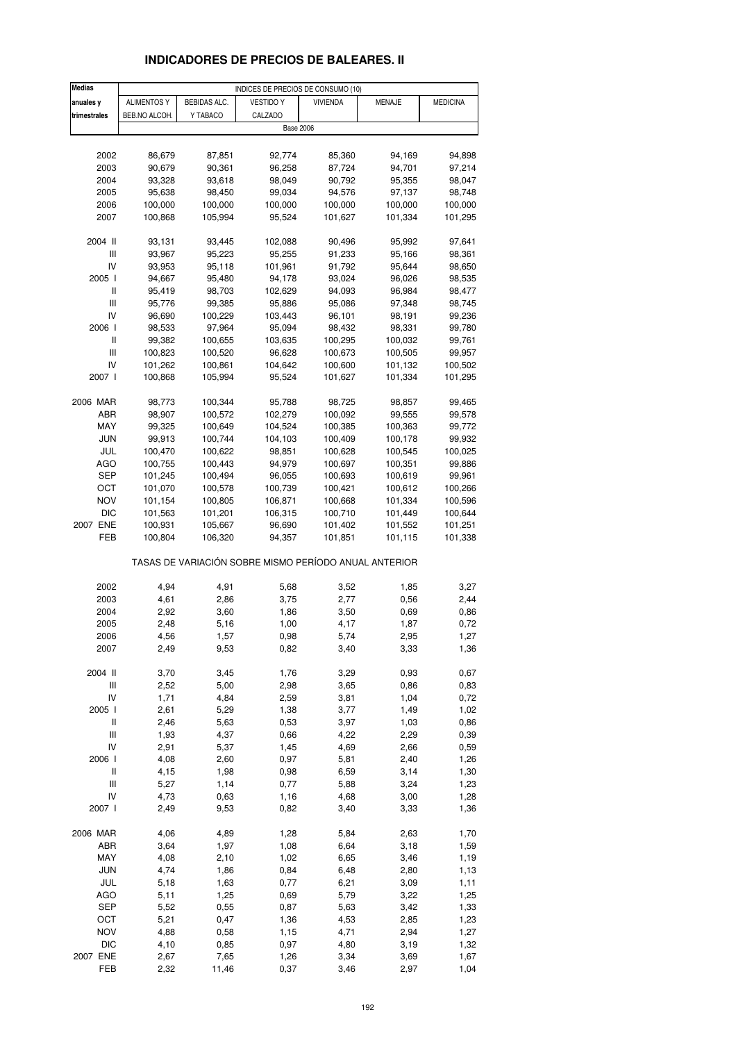# **INDICADORES DE PRECIOS DE BALEARES. II**

| <b>Medias</b>                      |                    |              | INDICES DE PRECIOS DE CONSUMO (10)                    |                  |         |                 |
|------------------------------------|--------------------|--------------|-------------------------------------------------------|------------------|---------|-----------------|
| anuales y                          | <b>ALIMENTOS Y</b> | BEBIDAS ALC. | <b>VESTIDO Y</b>                                      | <b>VIVIENDA</b>  | MENAJE  | <b>MEDICINA</b> |
| trimestrales                       | BEB.NO ALCOH.      | Y TABACO     | CALZADO                                               |                  |         |                 |
|                                    |                    |              | <b>Base 2006</b>                                      |                  |         |                 |
|                                    |                    |              |                                                       |                  |         |                 |
| 2002                               | 86,679             | 87,851       | 92,774                                                | 85,360           | 94,169  | 94,898          |
| 2003                               | 90,679             | 90,361       | 96,258                                                | 87,724           | 94,701  | 97,214          |
| 2004                               | 93,328             | 93,618       | 98,049                                                | 90,792           | 95,355  | 98,047          |
|                                    | 95,638             |              |                                                       |                  | 97,137  |                 |
| 2005                               |                    | 98,450       | 99,034                                                | 94,576           | 100,000 | 98,748          |
| 2006                               | 100,000            | 100,000      | 100,000                                               | 100,000          |         | 100,000         |
| 2007                               | 100,868            | 105,994      | 95,524                                                | 101,627          | 101,334 | 101,295         |
| 2004 II                            | 93,131             | 93,445       | 102,088                                               | 90,496           | 95,992  | 97,641          |
| $\ensuremath{\mathsf{III}}\xspace$ | 93,967             | 95,223       |                                                       |                  | 95,166  | 98,361          |
| IV                                 |                    |              | 95,255<br>101,961                                     | 91,233<br>91,792 | 95,644  |                 |
|                                    | 93,953             | 95,118       |                                                       |                  |         | 98,650          |
| 2005 l                             | 94,667             | 95,480       | 94,178                                                | 93,024           | 96,026  | 98,535          |
| Ш                                  | 95,419             | 98,703       | 102,629                                               | 94,093           | 96,984  | 98,477          |
| $\ensuremath{\mathsf{III}}\xspace$ | 95,776             | 99,385       | 95,886                                                | 95,086           | 97,348  | 98,745          |
| IV                                 | 96,690             | 100,229      | 103,443                                               | 96,101           | 98,191  | 99,236          |
| 2006 l                             | 98,533             | 97,964       | 95,094                                                | 98,432           | 98,331  | 99,780          |
| Ш                                  | 99,382             | 100,655      | 103,635                                               | 100,295          | 100,032 | 99,761          |
| Ш                                  | 100,823            | 100,520      | 96,628                                                | 100,673          | 100,505 | 99,957          |
| IV                                 | 101,262            | 100,861      | 104,642                                               | 100,600          | 101,132 | 100,502         |
| 2007 l                             | 100,868            | 105,994      | 95,524                                                | 101,627          | 101,334 | 101,295         |
|                                    |                    |              |                                                       |                  |         |                 |
| 2006 MAR                           | 98,773             | 100,344      | 95,788                                                | 98,725           | 98,857  | 99,465          |
| ABR                                | 98,907             | 100,572      | 102,279                                               | 100,092          | 99,555  | 99,578          |
| MAY                                | 99,325             | 100,649      | 104,524                                               | 100,385          | 100,363 | 99,772          |
| <b>JUN</b>                         | 99,913             | 100,744      | 104,103                                               | 100,409          | 100,178 | 99,932          |
| JUL                                | 100,470            | 100,622      | 98,851                                                | 100,628          | 100,545 | 100,025         |
| AGO                                | 100,755            | 100,443      | 94,979                                                | 100,697          | 100,351 | 99,886          |
| SEP                                | 101,245            | 100,494      | 96,055                                                | 100,693          | 100,619 | 99,961          |
| ост                                | 101,070            | 100,578      | 100,739                                               | 100,421          | 100,612 | 100,266         |
| <b>NOV</b>                         | 101,154            | 100,805      | 106,871                                               | 100,668          | 101,334 | 100,596         |
| <b>DIC</b>                         | 101,563            | 101,201      | 106,315                                               | 100,710          | 101,449 | 100,644         |
| 2007 ENE                           | 100,931            | 105,667      | 96,690                                                | 101,402          | 101,552 | 101,251         |
| FEB                                | 100,804            | 106,320      | 94,357                                                | 101,851          | 101,115 | 101,338         |
|                                    |                    |              | TASAS DE VARIACIÓN SOBRE MISMO PERÍODO ANUAL ANTERIOR |                  |         |                 |
|                                    |                    |              |                                                       |                  |         |                 |
| 2002                               | 4,94               | 4,91         | 5,68                                                  | 3,52             | 1,85    | 3,27            |
| 2003                               | 4,61               | 2,86         | 3,75                                                  | 2,77             | 0,56    | 2,44            |
| 2004                               | 2,92               | 3,60         | 1,86                                                  | 3,50             | 0,69    | 0,86            |
| 2005                               | 2,48               | 5,16         | 1,00                                                  | 4,17             | 1,87    | 0,72            |
| 2006                               | 4,56               | 1,57         | 0,98                                                  | 5,74             | 2,95    | 1,27            |
| 2007                               | 2,49               | 9,53         | 0,82                                                  | 3,40             | 3,33    | 1,36            |
|                                    |                    |              |                                                       |                  |         |                 |
| 2004 II                            | 3,70               | 3,45         | 1,76                                                  | 3,29             | 0,93    | 0,67            |
| Ш                                  | 2,52               | 5,00         | 2,98                                                  | 3,65             | 0,86    | 0,83            |
| IV                                 | 1,71               | 4,84         | 2,59                                                  | 3,81             | 1,04    | 0,72            |
| 2005 l                             | 2,61               | 5,29         | 1,38                                                  | 3,77             | 1,49    | 1,02            |
| $\sf II$                           | 2,46               | 5,63         | 0,53                                                  | 3,97             | 1,03    | 0,86            |
| $\ensuremath{\mathsf{III}}\xspace$ | 1,93               | 4,37         | 0,66                                                  | 4,22             | 2,29    | 0,39            |
| IV                                 | 2,91               | 5,37         | 1,45                                                  | 4,69             | 2,66    | 0,59            |
| 2006                               | 4,08               | 2,60         | 0,97                                                  | 5,81             | 2,40    | 1,26            |
| Ш                                  | 4,15               | 1,98         | 0,98                                                  | 6,59             | 3,14    | 1,30            |
| Ш                                  | 5,27               | 1,14         | 0,77                                                  | 5,88             | 3,24    | 1,23            |
| IV                                 | 4,73               | 0,63         | 1,16                                                  | 4,68             | 3,00    | 1,28            |
| 2007 l                             | 2,49               | 9,53         | 0,82                                                  | 3,40             | 3,33    | 1,36            |
|                                    |                    |              |                                                       |                  |         |                 |
| 2006 MAR                           | 4,06               | 4,89         | 1,28                                                  | 5,84             | 2,63    | 1,70            |
| ABR                                | 3,64               | 1,97         | 1,08                                                  | 6,64             | 3,18    | 1,59            |
| MAY                                | 4,08               | 2,10         | 1,02                                                  | 6,65             | 3,46    | 1,19            |
| <b>JUN</b>                         | 4,74               | 1,86         | 0,84                                                  | 6,48             | 2,80    | 1,13            |
| JUL                                | 5,18               | 1,63         | 0,77                                                  | 6,21             | 3,09    | 1,11            |
| <b>AGO</b>                         | 5,11               | 1,25         | 0,69                                                  | 5,79             | 3,22    | 1,25            |
| <b>SEP</b>                         | 5,52               | 0,55         | 0,87                                                  | 5,63             | 3,42    | 1,33            |
| OCT                                | 5,21               | 0,47         | 1,36                                                  | 4,53             | 2,85    | 1,23            |
| <b>NOV</b>                         | 4,88               | 0,58         | 1,15                                                  | 4,71             | 2,94    | 1,27            |
| <b>DIC</b>                         | 4,10               | 0,85         | 0,97                                                  | 4,80             | 3,19    | 1,32            |
| 2007 ENE                           | 2,67               | 7,65         | 1,26                                                  | 3,34             | 3,69    | 1,67            |
| FEB                                | 2,32               | 11,46        | 0,37                                                  | 3,46             | 2,97    | 1,04            |
|                                    |                    |              |                                                       |                  |         |                 |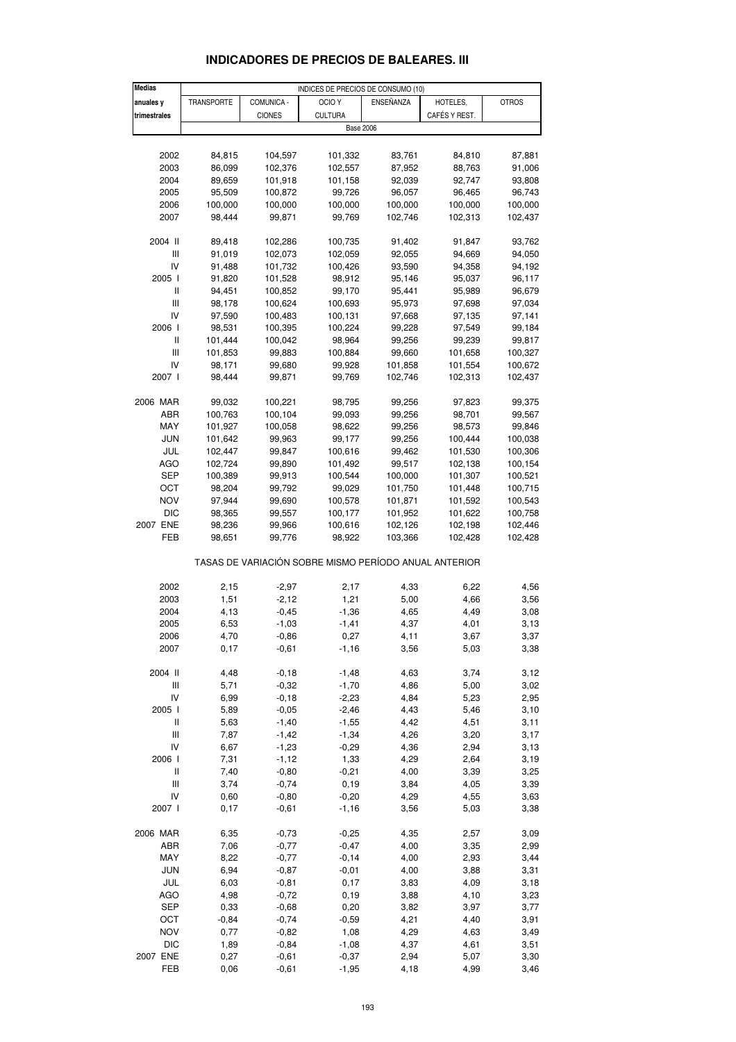| <b>Medias</b>                         |            |                    | INDICES DE PRECIOS DE CONSUMO (10)                    |           |               |              |
|---------------------------------------|------------|--------------------|-------------------------------------------------------|-----------|---------------|--------------|
| anuales y                             | TRANSPORTE | COMUNICA -         | OCIO <sub>Y</sub>                                     | ENSEÑANZA | HOTELES,      | <b>OTROS</b> |
| trimestrales                          |            | <b>CIONES</b>      | <b>CULTURA</b>                                        |           | CAFÉS Y REST. |              |
|                                       |            |                    | <b>Base 2006</b>                                      |           |               |              |
|                                       |            |                    |                                                       |           |               |              |
| 2002                                  | 84,815     | 104,597            | 101,332                                               | 83,761    | 84,810        | 87,881       |
| 2003                                  | 86,099     | 102,376            | 102,557                                               | 87,952    | 88,763        | 91,006       |
| 2004                                  | 89,659     | 101,918            | 101,158                                               | 92,039    | 92,747        | 93,808       |
| 2005                                  | 95,509     | 100,872            | 99,726                                                | 96,057    | 96,465        | 96,743       |
| 2006                                  | 100,000    | 100,000            | 100,000                                               | 100,000   | 100,000       | 100,000      |
| 2007                                  |            | 99,871             | 99,769                                                | 102,746   | 102,313       | 102,437      |
|                                       | 98,444     |                    |                                                       |           |               |              |
| 2004 II                               | 89,418     | 102,286            | 100,735                                               | 91,402    | 91,847        | 93,762       |
| $\begin{array}{c} \hline \end{array}$ | 91,019     | 102,073            | 102,059                                               | 92,055    | 94,669        | 94,050       |
| IV                                    | 91,488     | 101,732            | 100,426                                               | 93,590    | 94,358        | 94,192       |
| 2005 l                                | 91,820     | 101,528            | 98,912                                                | 95,146    | 95,037        | 96,117       |
| Ш                                     | 94,451     | 100,852            | 99,170                                                | 95,441    | 95,989        | 96,679       |
| $\ensuremath{\mathsf{III}}\xspace$    | 98,178     | 100,624            | 100,693                                               | 95,973    | 97,698        | 97,034       |
| IV                                    | 97,590     | 100,483            | 100,131                                               | 97,668    | 97,135        | 97,141       |
| 2006                                  | 98,531     | 100,395            | 100,224                                               | 99,228    | 97,549        | 99,184       |
| Ш                                     | 101,444    | 100,042            | 98,964                                                | 99,256    | 99,239        | 99,817       |
| $\ensuremath{\mathsf{III}}\xspace$    |            |                    | 100,884                                               | 99,660    |               |              |
| IV                                    | 101,853    | 99,883             |                                                       |           | 101,658       | 100,327      |
|                                       | 98,171     | 99,680             | 99,928                                                | 101,858   | 101,554       | 100,672      |
| 2007 l                                | 98,444     | 99,871             | 99,769                                                | 102,746   | 102,313       | 102,437      |
| 2006 MAR                              | 99,032     | 100,221            | 98,795                                                | 99,256    | 97,823        | 99,375       |
| ABR                                   | 100,763    |                    |                                                       |           | 98,701        | 99,567       |
|                                       |            | 100,104<br>100,058 | 99,093                                                | 99,256    | 98,573        |              |
| MAY                                   | 101,927    | 99,963             | 98,622                                                | 99,256    |               | 99,846       |
| JUN                                   | 101,642    |                    | 99,177                                                | 99,256    | 100,444       | 100,038      |
| JUL                                   | 102,447    | 99,847             | 100,616                                               | 99,462    | 101,530       | 100,306      |
| <b>AGO</b>                            | 102,724    | 99,890             | 101,492                                               | 99,517    | 102,138       | 100,154      |
| SEP                                   | 100,389    | 99,913             | 100,544                                               | 100,000   | 101,307       | 100,521      |
| ОСТ                                   | 98,204     | 99,792             | 99,029                                                | 101,750   | 101,448       | 100,715      |
| NOV                                   | 97,944     | 99,690             | 100,578                                               | 101,871   | 101,592       | 100,543      |
| <b>DIC</b>                            | 98,365     | 99,557             | 100,177                                               | 101,952   | 101,622       | 100,758      |
| 2007 ENE                              | 98,236     | 99,966             | 100,616                                               | 102,126   | 102,198       | 102,446      |
| FEB                                   | 98,651     | 99,776             | 98,922                                                | 103,366   | 102,428       | 102,428      |
|                                       |            |                    | TASAS DE VARIACIÓN SOBRE MISMO PERÍODO ANUAL ANTERIOR |           |               |              |
|                                       |            |                    |                                                       |           |               |              |
| 2002                                  | 2,15       | $-2,97$            | 2,17                                                  | 4,33      | 6,22          | 4,56         |
| 2003                                  | 1,51       | $-2,12$            | 1,21                                                  | 5,00      | 4,66          | 3,56         |
| 2004                                  | 4,13       | $-0,45$            | $-1,36$                                               | 4,65      | 4,49          | 3,08         |
| 2005                                  | 6,53       | $-1,03$            | $-1,41$                                               | 4,37      | 4,01          | 3,13         |
| 2006                                  | 4,70       | $-0,86$            | 0,27                                                  | 4,11      | 3,67          | 3,37         |
| 2007                                  | 0,17       | $-0,61$            | $-1,16$                                               | 3,56      | 5,03          | 3,38         |
|                                       |            |                    |                                                       |           |               |              |
| 2004 II                               | 4,48       | $-0,18$            | $-1,48$                                               | 4,63      | 3,74          | 3,12         |
| Ш                                     | 5,71       | $-0,32$            | $-1,70$                                               | 4,86      | 5,00          | 3,02         |
| IV                                    | 6,99       | $-0,18$            | $-2,23$                                               | 4,84      | 5,23          | 2,95         |
| 2005 l                                | 5,89       | $-0,05$            | $-2,46$                                               | 4,43      | 5,46          | 3,10         |
| Ш                                     | 5,63       | $-1,40$            | $-1,55$                                               | 4,42      | 4,51          | 3,11         |
| $\ensuremath{\mathsf{III}}\xspace$    | 7,87       | $-1,42$            | $-1,34$                                               | 4,26      | 3,20          | 3,17         |
| IV                                    | 6,67       | $-1,23$            | $-0,29$                                               | 4,36      | 2,94          | 3,13         |
| 2006 l                                | 7,31       | $-1,12$            | 1,33                                                  | 4,29      | 2,64          | 3,19         |
| Ш                                     | 7,40       | $-0,80$            | $-0,21$                                               | 4,00      | 3,39          | 3,25         |
| Ш                                     | 3,74       | $-0,74$            | 0, 19                                                 | 3,84      | 4,05          | 3,39         |
| IV                                    | 0,60       | $-0,80$            | $-0,20$                                               | 4,29      | 4,55          | 3,63         |
| 2007 l                                | 0,17       | $-0,61$            | $-1,16$                                               | 3,56      | 5,03          | 3,38         |
| 2006 MAR                              | 6,35       | $-0,73$            | $-0,25$                                               | 4,35      | 2,57          | 3,09         |
| ABR                                   | 7,06       | $-0,77$            | $-0,47$                                               | 4,00      | 3,35          | 2,99         |
| MAY                                   | 8,22       | $-0,77$            | $-0, 14$                                              | 4,00      | 2,93          | 3,44         |
| <b>JUN</b>                            | 6,94       | $-0,87$            | $-0,01$                                               | 4,00      | 3,88          | 3,31         |
| JUL                                   | 6,03       | $-0,81$            | 0,17                                                  | 3,83      | 4,09          | 3,18         |
| <b>AGO</b>                            | 4,98       | $-0,72$            | 0, 19                                                 | 3,88      | 4,10          | 3,23         |
| <b>SEP</b>                            | 0,33       | $-0,68$            | 0,20                                                  | 3,82      | 3,97          | 3,77         |
| OCT                                   | $-0,84$    | $-0,74$            | $-0,59$                                               | 4,21      |               |              |
|                                       |            |                    |                                                       |           | 4,40          | 3,91         |
| NOV                                   | 0,77       | $-0,82$            | 1,08                                                  | 4,29      | 4,63          | 3,49         |
| <b>DIC</b>                            | 1,89       | $-0,84$            | $-1,08$                                               | 4,37      | 4,61          | 3,51         |
| 2007 ENE                              | 0,27       | $-0,61$            | $-0,37$                                               | 2,94      | 5,07          | 3,30         |

#### **INDICADORES DE PRECIOS DE BALEARES. III**

FEB 0,06 -0,61 -1,95 4,18 4,99 3,46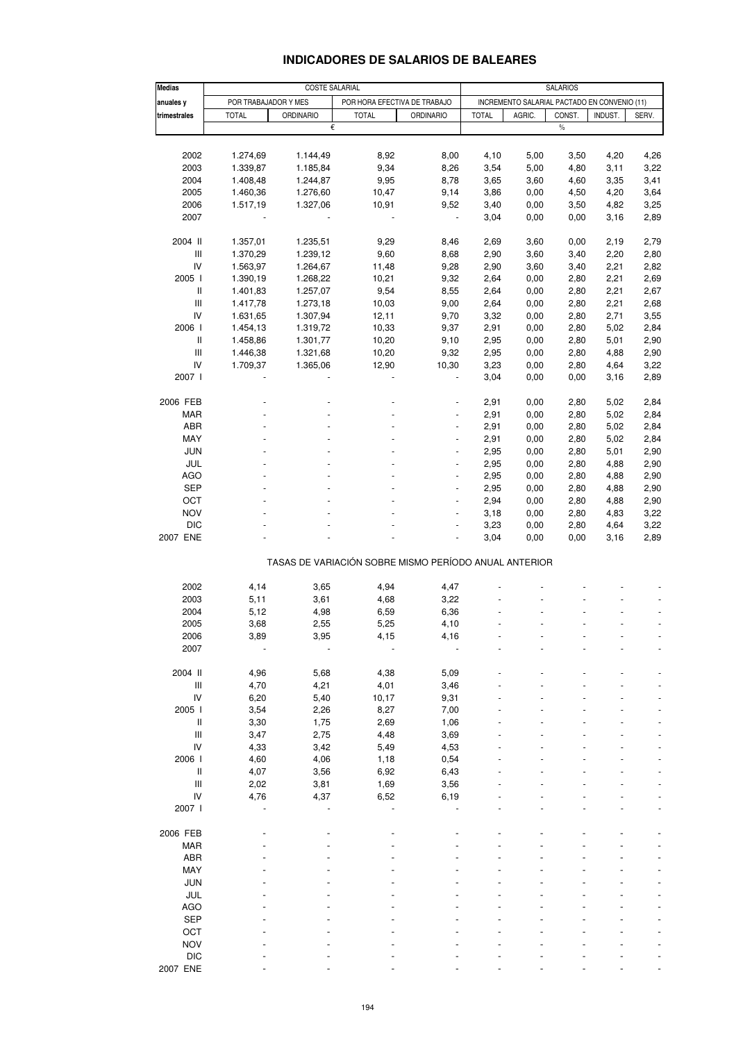| <b>Medias</b>                                 |                                                                               |                  | <b>SALARIOS</b>                                       |                          |                                              |        |               |         |       |
|-----------------------------------------------|-------------------------------------------------------------------------------|------------------|-------------------------------------------------------|--------------------------|----------------------------------------------|--------|---------------|---------|-------|
| anuales y                                     | <b>COSTE SALARIAL</b><br>POR TRABAJADOR Y MES<br>POR HORA EFECTIVA DE TRABAJO |                  |                                                       |                          | INCREMENTO SALARIAL PACTADO EN CONVENIO (11) |        |               |         |       |
| trimestrales                                  | <b>TOTAL</b>                                                                  | <b>ORDINARIO</b> | <b>TOTAL</b>                                          | <b>ORDINARIO</b>         | <b>TOTAL</b>                                 | AGRIC. | CONST.        | INDUST. | SERV. |
|                                               |                                                                               | €                |                                                       |                          |                                              |        | $\frac{0}{0}$ |         |       |
|                                               |                                                                               |                  |                                                       |                          |                                              |        |               |         |       |
| 2002                                          | 1.274,69                                                                      | 1.144,49         | 8,92                                                  | 8,00                     | 4,10                                         | 5,00   | 3,50          | 4,20    | 4,26  |
| 2003                                          | 1.339,87                                                                      | 1.185,84         | 9,34                                                  | 8,26                     | 3,54                                         | 5,00   | 4,80          | 3,11    | 3,22  |
| 2004                                          | 1.408,48                                                                      | 1.244,87         | 9,95                                                  | 8,78                     | 3,65                                         | 3,60   | 4,60          | 3,35    | 3,41  |
| 2005                                          | 1.460,36                                                                      | 1.276,60         | 10,47                                                 | 9,14                     | 3,86                                         | 0,00   | 4,50          | 4,20    | 3,64  |
| 2006                                          | 1.517,19                                                                      | 1.327,06         | 10,91                                                 | 9,52                     | 3,40                                         | 0,00   | 3,50          | 4,82    | 3,25  |
| 2007                                          |                                                                               |                  |                                                       | $\overline{\phantom{a}}$ | 3,04                                         | 0,00   | 0,00          | 3,16    | 2,89  |
|                                               |                                                                               |                  |                                                       |                          |                                              |        |               |         |       |
| 2004 II                                       | 1.357,01                                                                      | 1.235,51         | 9,29                                                  | 8,46                     | 2,69                                         | 3,60   | 0,00          | 2,19    | 2,79  |
| $\mathsf{III}$                                | 1.370,29                                                                      | 1.239,12         | 9,60                                                  | 8,68                     | 2,90                                         | 3,60   | 3,40          | 2,20    | 2,80  |
| IV                                            | 1.563,97                                                                      | 1.264,67         | 11,48                                                 | 9,28                     | 2,90                                         | 3,60   | 3,40          | 2,21    | 2,82  |
| 2005 l                                        | 1.390,19                                                                      | 1.268,22         | 10,21                                                 | 9,32                     | 2,64                                         | 0,00   | 2,80          | 2,21    | 2,69  |
| Ш                                             | 1.401,83                                                                      | 1.257,07         | 9,54                                                  | 8,55                     | 2,64                                         | 0,00   | 2,80          | 2,21    | 2,67  |
| $\ensuremath{\mathsf{III}}\xspace$            | 1.417,78                                                                      | 1.273,18         | 10,03                                                 | 9,00                     | 2,64                                         | 0,00   | 2,80          | 2,21    | 2,68  |
| IV                                            | 1.631,65                                                                      | 1.307,94         | 12,11                                                 | 9,70                     | 3,32                                         | 0,00   | 2,80          | 2,71    | 3,55  |
| 2006                                          | 1.454,13                                                                      | 1.319,72         | 10,33                                                 | 9,37                     | 2,91                                         | 0,00   | 2,80          | 5,02    | 2,84  |
| Ш                                             | 1.458,86                                                                      | 1.301,77         | 10,20                                                 | 9,10                     | 2,95                                         | 0,00   | 2,80          | 5,01    | 2,90  |
| $\ensuremath{\mathsf{III}}\xspace$            | 1.446,38                                                                      | 1.321,68         | 10,20                                                 | 9,32                     | 2,95                                         | 0,00   | 2,80          | 4,88    | 2,90  |
| IV                                            | 1.709,37                                                                      | 1.365,06         | 12,90                                                 | 10,30                    | 3,23                                         | 0,00   | 2,80          | 4,64    | 3,22  |
| 2007 l                                        |                                                                               |                  |                                                       |                          | 3,04                                         | 0,00   | 0,00          | 3,16    | 2,89  |
|                                               |                                                                               |                  |                                                       |                          |                                              |        |               |         |       |
| 2006 FEB                                      |                                                                               |                  |                                                       |                          | 2,91                                         | 0,00   | 2,80          | 5,02    | 2,84  |
| <b>MAR</b>                                    |                                                                               |                  |                                                       |                          | 2,91                                         | 0,00   | 2,80          | 5,02    | 2,84  |
| ABR                                           |                                                                               |                  |                                                       |                          | 2,91                                         | 0,00   | 2,80          | 5,02    | 2,84  |
| MAY                                           |                                                                               |                  |                                                       | $\overline{\phantom{a}}$ | 2,91                                         | 0,00   | 2,80          | 5,02    | 2,84  |
| <b>JUN</b>                                    |                                                                               |                  |                                                       |                          | 2,95                                         | 0,00   | 2,80          | 5,01    | 2,90  |
| JUL                                           |                                                                               |                  |                                                       |                          | 2,95                                         | 0,00   | 2,80          | 4,88    | 2,90  |
| <b>AGO</b>                                    |                                                                               |                  |                                                       | $\overline{a}$           | 2,95                                         | 0,00   | 2,80          | 4,88    | 2,90  |
| <b>SEP</b>                                    |                                                                               |                  |                                                       |                          | 2,95                                         | 0,00   | 2,80          | 4,88    | 2,90  |
| OCT                                           |                                                                               |                  |                                                       |                          | 2,94                                         | 0,00   | 2,80          | 4,88    | 2,90  |
| <b>NOV</b>                                    |                                                                               |                  |                                                       | $\overline{a}$           | 3,18                                         | 0,00   | 2,80          | 4,83    | 3,22  |
| <b>DIC</b>                                    |                                                                               |                  |                                                       | $\overline{a}$           | 3,23                                         | 0,00   | 2,80          | 4,64    | 3,22  |
| 2007 ENE                                      |                                                                               |                  |                                                       |                          | 3,04                                         | 0,00   | 0,00          | 3,16    | 2,89  |
|                                               |                                                                               |                  | TASAS DE VARIACIÓN SOBRE MISMO PERÍODO ANUAL ANTERIOR |                          |                                              |        |               |         |       |
|                                               |                                                                               |                  |                                                       |                          |                                              |        |               |         |       |
| 2002                                          | 4,14                                                                          | 3,65             | 4,94                                                  | 4,47                     |                                              |        |               |         |       |
| 2003                                          | 5,11                                                                          | 3,61             | 4,68                                                  | 3,22                     |                                              |        |               |         |       |
| 2004                                          | 5,12                                                                          | 4,98             | 6,59                                                  | 6,36                     |                                              |        |               |         |       |
| 2005                                          | 3,68                                                                          | 2,55             | 5,25                                                  | 4,10                     |                                              |        |               |         |       |
| 2006                                          | 3,89                                                                          | 3,95             | 4,15                                                  | 4,16                     |                                              |        |               |         |       |
| 2007                                          |                                                                               |                  |                                                       |                          |                                              |        |               |         |       |
|                                               |                                                                               |                  |                                                       |                          |                                              |        |               |         |       |
| 2004 II<br>$\ensuremath{\mathsf{III}}\xspace$ | 4,96                                                                          | 5,68             | 4,38                                                  | 5,09                     |                                              |        |               |         |       |
| IV                                            | 4,70                                                                          | 4,21             | 4,01                                                  | 3,46                     |                                              |        |               |         |       |
|                                               | 6,20                                                                          | 5,40             | 10,17                                                 | 9,31                     |                                              |        |               |         |       |
| 2005 l<br>Ш                                   | 3,54<br>3,30                                                                  | 2,26<br>1,75     | 8,27<br>2,69                                          | 7,00<br>1,06             |                                              |        |               |         |       |
| Ш                                             | 3,47                                                                          | 2,75             | 4,48                                                  | 3,69                     |                                              |        |               |         |       |
| IV                                            | 4,33                                                                          | 3,42             | 5,49                                                  | 4,53                     |                                              |        |               |         |       |
| 2006                                          | 4,60                                                                          | 4,06             | 1,18                                                  | 0,54                     |                                              |        |               |         |       |
| Ш                                             | 4,07                                                                          | 3,56             | 6,92                                                  | 6,43                     |                                              |        |               |         |       |
| $\ensuremath{\mathsf{III}}\xspace$            | 2,02                                                                          | 3,81             | 1,69                                                  | 3,56                     |                                              |        |               |         |       |
| IV                                            | 4,76                                                                          | 4,37             | 6,52                                                  | 6,19                     |                                              |        |               |         |       |
| 2007 l                                        |                                                                               |                  |                                                       |                          |                                              |        |               |         |       |
|                                               |                                                                               |                  |                                                       |                          |                                              |        |               |         |       |
| 2006 FEB                                      |                                                                               |                  |                                                       |                          |                                              |        |               |         |       |
| <b>MAR</b>                                    |                                                                               |                  |                                                       |                          |                                              |        |               |         |       |
| <b>ABR</b>                                    |                                                                               |                  |                                                       |                          |                                              |        |               |         |       |
| MAY                                           |                                                                               |                  |                                                       |                          |                                              |        |               |         |       |
| <b>JUN</b>                                    |                                                                               |                  |                                                       |                          |                                              |        |               |         |       |
| JUL                                           |                                                                               |                  |                                                       |                          |                                              |        |               |         |       |
| <b>AGO</b>                                    |                                                                               |                  |                                                       |                          |                                              |        |               |         |       |
| <b>SEP</b>                                    |                                                                               |                  |                                                       |                          |                                              |        |               |         |       |
| OCT                                           |                                                                               |                  |                                                       |                          |                                              |        |               |         |       |
| <b>NOV</b>                                    |                                                                               |                  |                                                       |                          |                                              |        |               |         |       |
| <b>DIC</b>                                    |                                                                               |                  |                                                       |                          |                                              |        |               |         |       |
| 2007 ENE                                      |                                                                               |                  |                                                       |                          |                                              |        |               |         |       |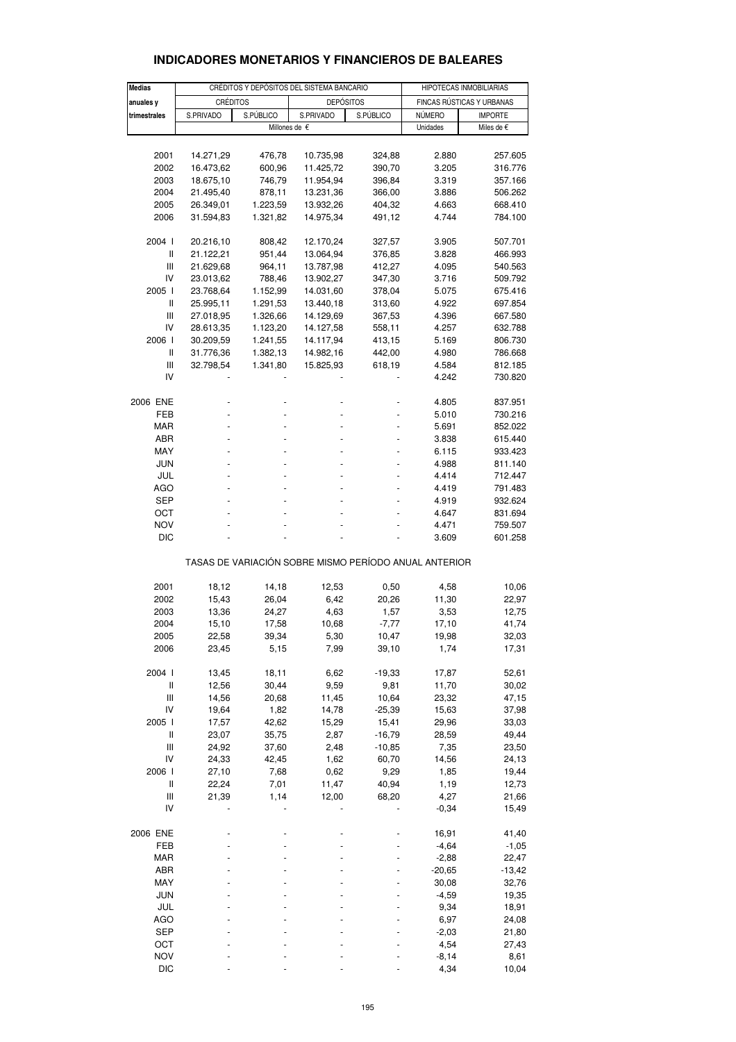| <b>Medias</b>                         |                 |           | CRÉDITOS Y DEPÓSITOS DEL SISTEMA BANCARIO             |                | HIPOTECAS INMOBILIARIAS   |            |  |
|---------------------------------------|-----------------|-----------|-------------------------------------------------------|----------------|---------------------------|------------|--|
| anuales y                             | <b>CRÉDITOS</b> |           | <b>DEPÓSITOS</b>                                      |                | FINCAS RÚSTICAS Y URBANAS |            |  |
| trimestrales                          | S.PRIVADO       | S.PÚBLICO | S.PRIVADO                                             | S.PÚBLICO      | NÚMERO<br><b>IMPORTE</b>  |            |  |
|                                       |                 |           | Millones de €                                         |                | Unidades                  | Miles de € |  |
|                                       |                 |           |                                                       |                |                           |            |  |
| 2001                                  | 14.271,29       | 476,78    | 10.735,98                                             | 324,88         | 2.880                     | 257.605    |  |
| 2002                                  | 16.473,62       | 600,96    | 11.425,72                                             | 390,70         | 3.205                     | 316.776    |  |
| 2003                                  | 18.675,10       | 746,79    | 11.954,94                                             | 396,84         | 3.319                     | 357.166    |  |
| 2004                                  | 21.495,40       | 878,11    | 13.231,36                                             | 366,00         | 3.886                     | 506.262    |  |
| 2005                                  | 26.349,01       | 1.223,59  | 13.932,26                                             | 404,32         | 4.663                     | 668.410    |  |
| 2006                                  | 31.594,83       | 1.321,82  | 14.975,34                                             | 491,12         | 4.744                     | 784.100    |  |
| 2004 l                                | 20.216,10       | 808,42    | 12.170,24                                             | 327,57         | 3.905                     | 507.701    |  |
| Ш                                     | 21.122,21       | 951,44    | 13.064,94                                             | 376,85         | 3.828                     | 466.993    |  |
| Ш                                     | 21.629,68       | 964,11    | 13.787,98                                             | 412,27         | 4.095                     | 540.563    |  |
| IV                                    | 23.013,62       | 788,46    | 13.902,27                                             | 347,30         | 3.716                     | 509.792    |  |
| 2005 l                                | 23.768,64       | 1.152,99  | 14.031,60                                             | 378,04         | 5.075                     | 675.416    |  |
| $\sf II$                              | 25.995,11       | 1.291,53  | 13.440,18                                             | 313,60         | 4.922                     | 697.854    |  |
| Ш                                     | 27.018,95       | 1.326,66  | 14.129,69                                             | 367,53         | 4.396                     | 667.580    |  |
| IV                                    | 28.613,35       | 1.123,20  | 14.127,58                                             | 558,11         | 4.257                     | 632.788    |  |
| 2006                                  | 30.209,59       | 1.241,55  | 14.117,94                                             | 413,15         | 5.169                     | 806.730    |  |
| Ш                                     | 31.776,36       | 1.382,13  | 14.982,16                                             | 442,00         | 4.980                     | 786.668    |  |
| Ш                                     | 32.798,54       | 1.341,80  | 15.825,93                                             | 618,19         | 4.584                     | 812.185    |  |
| IV                                    |                 |           |                                                       |                | 4.242                     | 730.820    |  |
| 2006 ENE                              |                 |           |                                                       |                | 4.805                     | 837.951    |  |
| FEB                                   | ÷,              |           |                                                       |                | 5.010                     | 730.216    |  |
| MAR                                   |                 |           |                                                       |                | 5.691                     | 852.022    |  |
| ABR                                   |                 |           |                                                       |                | 3.838                     | 615.440    |  |
| MAY                                   |                 |           |                                                       | $\blacksquare$ | 6.115                     | 933.423    |  |
| <b>JUN</b>                            |                 |           |                                                       |                | 4.988                     | 811.140    |  |
| JUL                                   |                 |           |                                                       |                | 4.414                     | 712.447    |  |
| AGO                                   | -               |           |                                                       | $\blacksquare$ | 4.419                     | 791.483    |  |
| SEP                                   |                 |           |                                                       |                | 4.919                     | 932.624    |  |
| OCT                                   |                 |           |                                                       |                | 4.647                     | 831.694    |  |
| <b>NOV</b>                            |                 |           |                                                       |                | 4.471                     | 759.507    |  |
| <b>DIC</b>                            |                 |           |                                                       |                | 3.609                     | 601.258    |  |
|                                       |                 |           |                                                       |                |                           |            |  |
|                                       |                 |           | TASAS DE VARIACIÓN SOBRE MISMO PERÍODO ANUAL ANTERIOR |                |                           |            |  |
| 2001                                  | 18,12           | 14,18     | 12,53                                                 | 0,50           | 4,58                      | 10,06      |  |
| 2002                                  | 15,43           | 26,04     | 6,42                                                  | 20,26          | 11,30                     | 22,97      |  |
| 2003                                  | 13,36           | 24,27     | 4,63                                                  | 1,57           | 3,53                      | 12,75      |  |
| 2004                                  | 15,10           | 17,58     | 10,68                                                 | $-7,77$        | 17,10                     | 41,74      |  |
| 2005                                  | 22,58           | 39,34     | 5,30                                                  | 10,47          | 19,98                     | 32,03      |  |
| 2006                                  | 23,45           | 5,15      | 7,99                                                  | 39,10          | 1,74                      | 17,31      |  |
| 2004 l                                | 13,45           | 18,11     | 6,62                                                  | -19,33         | 17,87                     | 52,61      |  |
| $\begin{array}{c} \hline \end{array}$ | 12,56           | 30,44     | 9,59                                                  | 9,81           | 11,70                     | 30,02      |  |
| $\mathbf{III}$                        | 14,56           | 20,68     | 11,45                                                 | 10,64          | 23,32                     | 47,15      |  |
| IV                                    | 19,64           | 1,82      | 14,78                                                 | $-25,39$       | 15,63                     | 37,98      |  |
| 2005 l                                | 17,57           | 42,62     | 15,29                                                 | 15,41          | 29,96                     | 33,03      |  |
| $\begin{array}{c} \hline \end{array}$ | 23,07           | 35,75     | 2,87                                                  | $-16,79$       | 28,59                     | 49,44      |  |
| $\mathbf{III}$                        | 24,92           | 37,60     | 2,48                                                  | $-10,85$       | 7,35                      | 23,50      |  |
| IV                                    | 24,33           | 42,45     | 1,62                                                  | 60,70          | 14,56                     | 24,13      |  |
| 2006                                  | 27,10           | 7,68      | 0,62                                                  | 9,29           | 1,85                      | 19,44      |  |
| Ш                                     | 22,24           | 7,01      | 11,47                                                 | 40,94          | 1,19                      | 12,73      |  |
| $\mathbf{III}$                        | 21,39           | 1,14      | 12,00                                                 | 68,20          | 4,27                      | 21,66      |  |
| IV                                    |                 |           |                                                       |                | $-0,34$                   | 15,49      |  |
| 2006 ENE                              |                 |           |                                                       |                | 16,91                     | 41,40      |  |
| FEB                                   |                 |           |                                                       |                | $-4,64$                   | $-1,05$    |  |
| <b>MAR</b>                            |                 |           |                                                       |                | $-2,88$                   | 22,47      |  |
| ABR                                   |                 |           |                                                       |                | $-20,65$                  | $-13,42$   |  |
| MAY                                   |                 |           |                                                       |                | 30,08                     | 32,76      |  |
| JUN                                   |                 |           |                                                       |                | $-4,59$                   | 19,35      |  |
| JUL                                   |                 |           |                                                       |                | 9,34                      | 18,91      |  |
| <b>AGO</b>                            |                 |           |                                                       |                | 6,97                      | 24,08      |  |
| <b>SEP</b>                            |                 |           |                                                       |                | $-2,03$                   | 21,80      |  |
| OCT                                   |                 |           |                                                       |                | 4,54                      | 27,43      |  |
| <b>NOV</b>                            |                 |           |                                                       |                | $-8,14$                   | 8,61       |  |

## **INDICADORES MONETARIOS Y FINANCIEROS DE BALEARES**

DIC - - - - 4,34 10,04